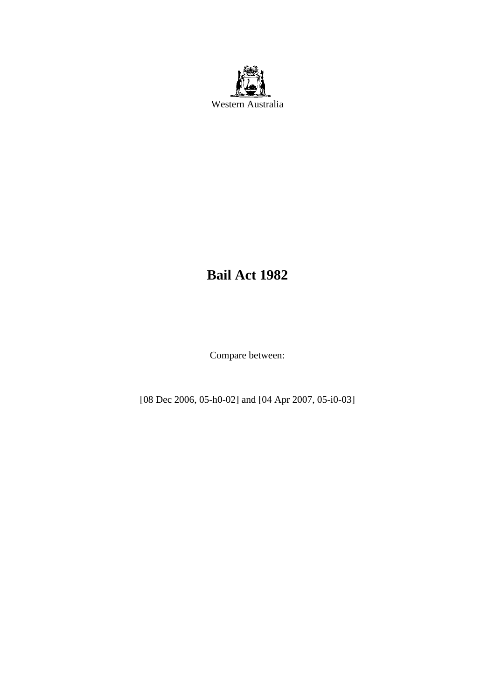

# **Bail Act 1982**

Compare between:

[08 Dec 2006, 05-h0-02] and [04 Apr 2007, 05-i0-03]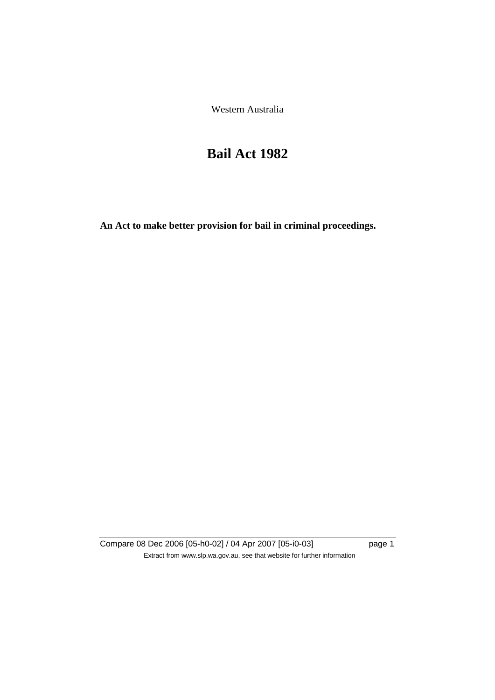Western Australia

# **Bail Act 1982**

**An Act to make better provision for bail in criminal proceedings.** 

Compare 08 Dec 2006 [05-h0-02] / 04 Apr 2007 [05-i0-03] page 1 Extract from www.slp.wa.gov.au, see that website for further information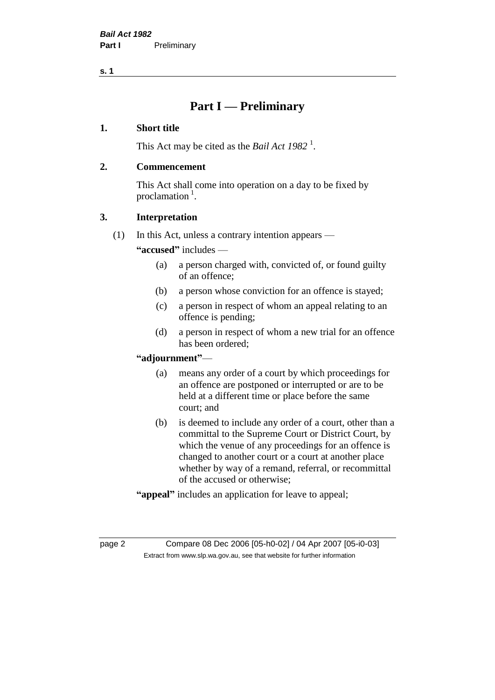## **Part I — Preliminary**

## **1. Short title**

This Act may be cited as the *Bail Act* 1982<sup>1</sup>.

## **2. Commencement**

This Act shall come into operation on a day to be fixed by proclamation  $<sup>1</sup>$ .</sup>

## **3. Interpretation**

(1) In this Act, unless a contrary intention appears —

**"accused"** includes —

- (a) a person charged with, convicted of, or found guilty of an offence;
- (b) a person whose conviction for an offence is stayed;
- (c) a person in respect of whom an appeal relating to an offence is pending;
- (d) a person in respect of whom a new trial for an offence has been ordered;

## **"adjournment"**—

- (a) means any order of a court by which proceedings for an offence are postponed or interrupted or are to be held at a different time or place before the same court; and
- (b) is deemed to include any order of a court, other than a committal to the Supreme Court or District Court, by which the venue of any proceedings for an offence is changed to another court or a court at another place whether by way of a remand, referral, or recommittal of the accused or otherwise;
- **"appeal"** includes an application for leave to appeal;

page 2 Compare 08 Dec 2006 [05-h0-02] / 04 Apr 2007 [05-i0-03] Extract from www.slp.wa.gov.au, see that website for further information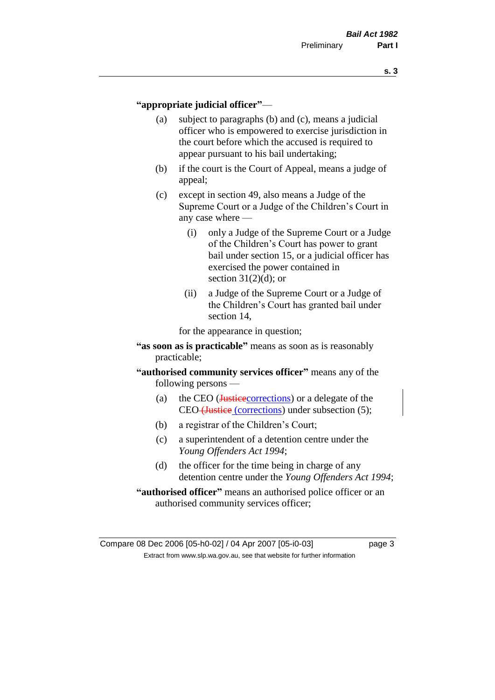#### **"appropriate judicial officer"**—

- (a) subject to paragraphs (b) and (c), means a judicial officer who is empowered to exercise jurisdiction in the court before which the accused is required to appear pursuant to his bail undertaking;
- (b) if the court is the Court of Appeal, means a judge of appeal;
- (c) except in section 49, also means a Judge of the Supreme Court or a Judge of the Children's Court in any case where —
	- (i) only a Judge of the Supreme Court or a Judge of the Children's Court has power to grant bail under section 15, or a judicial officer has exercised the power contained in section  $31(2)(d)$ ; or
	- (ii) a Judge of the Supreme Court or a Judge of the Children's Court has granted bail under section 14,

for the appearance in question;

- **"as soon as is practicable"** means as soon as is reasonably practicable;
- **"authorised community services officer"** means any of the following persons —
	- (a) the CEO (*Justicecorrections*) or a delegate of the CEO (Justice (corrections) under subsection (5);
	- (b) a registrar of the Children's Court;
	- (c) a superintendent of a detention centre under the *Young Offenders Act 1994*;
	- (d) the officer for the time being in charge of any detention centre under the *Young Offenders Act 1994*;
- **"authorised officer"** means an authorised police officer or an authorised community services officer;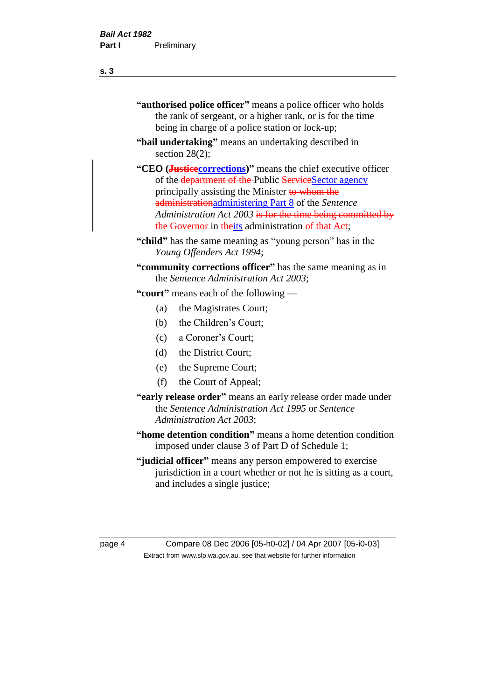of the department of the Public ServiceSector agency principally assisting the Minister to whom the administrationadministering Part 8 of the *Sentence Administration Act 2003* is for the time being committed by the Governor in theits administration of that Act;

**"child"** has the same meaning as "young person" has in the *Young Offenders Act 1994*;

**"community corrections officer"** has the same meaning as in the *Sentence Administration Act 2003*;

**"court"** means each of the following —

- (a) the Magistrates Court;
- (b) the Children's Court;
- (c) a Coroner's Court;
- (d) the District Court;
- (e) the Supreme Court;
- (f) the Court of Appeal;
- **"early release order"** means an early release order made under the *Sentence Administration Act 1995* or *Sentence Administration Act 2003*;
- **"home detention condition"** means a home detention condition imposed under clause 3 of Part D of Schedule 1;
- **"judicial officer"** means any person empowered to exercise jurisdiction in a court whether or not he is sitting as a court, and includes a single justice;

page 4 Compare 08 Dec 2006 [05-h0-02] / 04 Apr 2007 [05-i0-03] Extract from www.slp.wa.gov.au, see that website for further information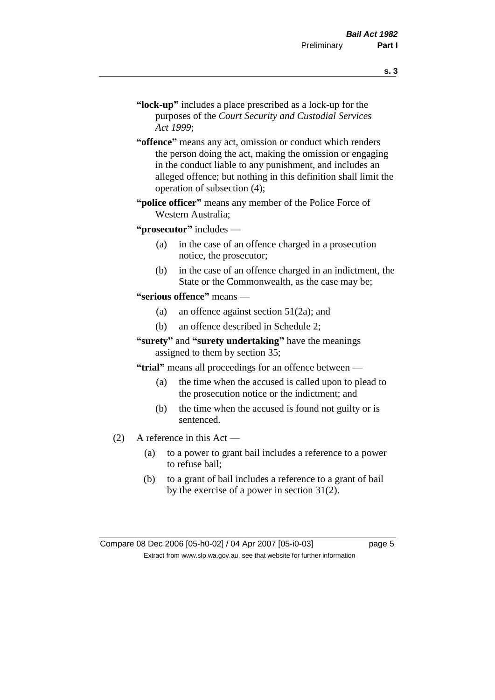- **"lock-up"** includes a place prescribed as a lock-up for the purposes of the *Court Security and Custodial Services Act 1999*;
- **"offence"** means any act, omission or conduct which renders the person doing the act, making the omission or engaging in the conduct liable to any punishment, and includes an alleged offence; but nothing in this definition shall limit the operation of subsection (4);
- **"police officer"** means any member of the Police Force of Western Australia;

**"prosecutor"** includes —

- (a) in the case of an offence charged in a prosecution notice, the prosecutor;
- (b) in the case of an offence charged in an indictment, the State or the Commonwealth, as the case may be;

#### **"serious offence"** means —

- (a) an offence against section 51(2a); and
- (b) an offence described in Schedule 2;
- **"surety"** and **"surety undertaking"** have the meanings assigned to them by section 35;

**"trial"** means all proceedings for an offence between —

- (a) the time when the accused is called upon to plead to the prosecution notice or the indictment; and
- (b) the time when the accused is found not guilty or is sentenced.
- (2) A reference in this Act
	- (a) to a power to grant bail includes a reference to a power to refuse bail;
	- (b) to a grant of bail includes a reference to a grant of bail by the exercise of a power in section 31(2).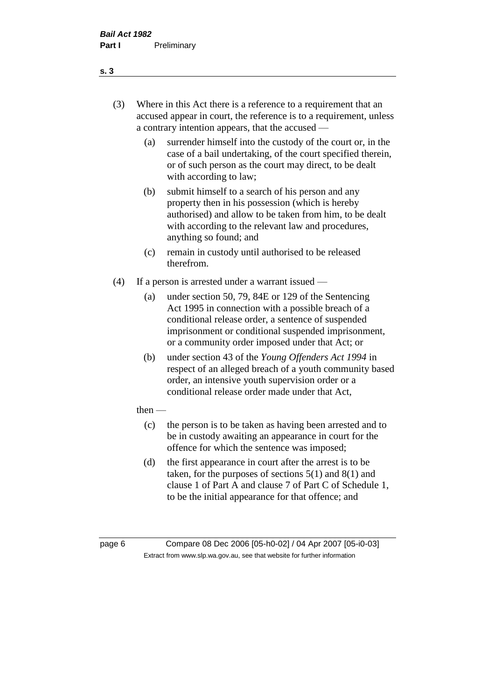- (3) Where in this Act there is a reference to a requirement that an accused appear in court, the reference is to a requirement, unless a contrary intention appears, that the accused —
	- (a) surrender himself into the custody of the court or, in the case of a bail undertaking, of the court specified therein, or of such person as the court may direct, to be dealt with according to law;
	- (b) submit himself to a search of his person and any property then in his possession (which is hereby authorised) and allow to be taken from him, to be dealt with according to the relevant law and procedures, anything so found; and
	- (c) remain in custody until authorised to be released therefrom.
- (4) If a person is arrested under a warrant issued
	- (a) under section 50, 79, 84E or 129 of the Sentencing Act 1995 in connection with a possible breach of a conditional release order, a sentence of suspended imprisonment or conditional suspended imprisonment, or a community order imposed under that Act; or
	- (b) under section 43 of the *Young Offenders Act 1994* in respect of an alleged breach of a youth community based order, an intensive youth supervision order or a conditional release order made under that Act,
	- then
		- (c) the person is to be taken as having been arrested and to be in custody awaiting an appearance in court for the offence for which the sentence was imposed;
		- (d) the first appearance in court after the arrest is to be taken, for the purposes of sections  $5(1)$  and  $8(1)$  and clause 1 of Part A and clause 7 of Part C of Schedule 1, to be the initial appearance for that offence; and

page 6 Compare 08 Dec 2006 [05-h0-02] / 04 Apr 2007 [05-i0-03] Extract from www.slp.wa.gov.au, see that website for further information

#### **s. 3**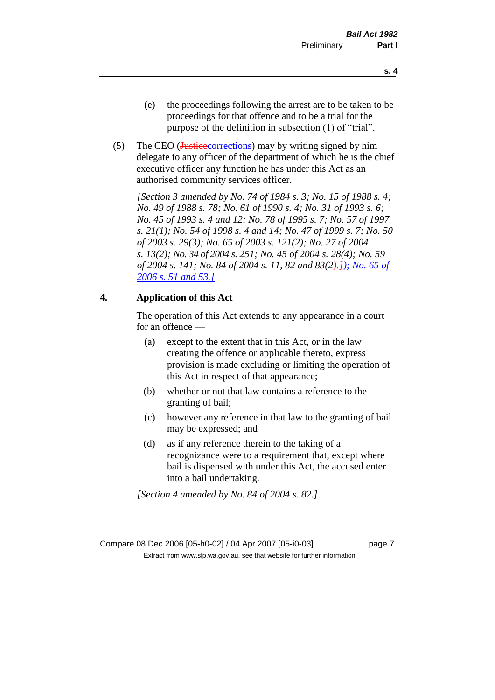- (e) the proceedings following the arrest are to be taken to be proceedings for that offence and to be a trial for the purpose of the definition in subsection (1) of "trial".
- (5) The CEO (*Justicecorrections*) may by writing signed by him delegate to any officer of the department of which he is the chief executive officer any function he has under this Act as an authorised community services officer.

*[Section 3 amended by No. 74 of 1984 s. 3; No. 15 of 1988 s. 4; No. 49 of 1988 s. 78; No. 61 of 1990 s. 4; No. 31 of 1993 s. 6; No. 45 of 1993 s. 4 and 12; No. 78 of 1995 s. 7; No. 57 of 1997 s. 21(1); No. 54 of 1998 s. 4 and 14; No. 47 of 1999 s. 7; No. 50 of 2003 s. 29(3); No. 65 of 2003 s. 121(2); No. 27 of 2004 s. 13(2); No. 34 of 2004 s. 251; No. 45 of 2004 s. 28(4); No. 59 of 2004 s. 141; No. 84 of 2004 s. 11, 82 and 83(2).]); No. 65 of 2006 s. 51 and 53.]*

## **4. Application of this Act**

The operation of this Act extends to any appearance in a court for an offence —

- (a) except to the extent that in this Act, or in the law creating the offence or applicable thereto, express provision is made excluding or limiting the operation of this Act in respect of that appearance;
- (b) whether or not that law contains a reference to the granting of bail;
- (c) however any reference in that law to the granting of bail may be expressed; and
- (d) as if any reference therein to the taking of a recognizance were to a requirement that, except where bail is dispensed with under this Act, the accused enter into a bail undertaking.

*[Section 4 amended by No. 84 of 2004 s. 82.]*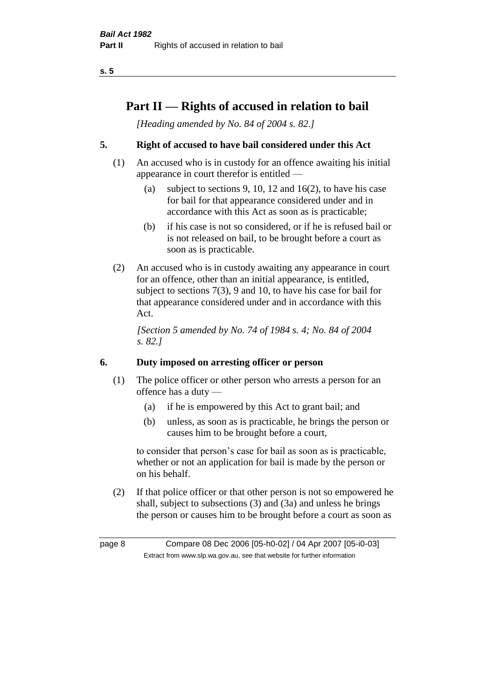## **Part II — Rights of accused in relation to bail**

*[Heading amended by No. 84 of 2004 s. 82.]* 

## **5. Right of accused to have bail considered under this Act**

- (1) An accused who is in custody for an offence awaiting his initial appearance in court therefor is entitled —
	- (a) subject to sections 9, 10, 12 and 16(2), to have his case for bail for that appearance considered under and in accordance with this Act as soon as is practicable;
	- (b) if his case is not so considered, or if he is refused bail or is not released on bail, to be brought before a court as soon as is practicable.
- (2) An accused who is in custody awaiting any appearance in court for an offence, other than an initial appearance, is entitled, subject to sections 7(3), 9 and 10, to have his case for bail for that appearance considered under and in accordance with this Act.

*[Section 5 amended by No. 74 of 1984 s. 4; No. 84 of 2004 s. 82.]* 

## **6. Duty imposed on arresting officer or person**

- (1) The police officer or other person who arrests a person for an offence has a duty —
	- (a) if he is empowered by this Act to grant bail; and
	- (b) unless, as soon as is practicable, he brings the person or causes him to be brought before a court,

to consider that person's case for bail as soon as is practicable, whether or not an application for bail is made by the person or on his behalf.

(2) If that police officer or that other person is not so empowered he shall, subject to subsections (3) and (3a) and unless he brings the person or causes him to be brought before a court as soon as

page 8 Compare 08 Dec 2006 [05-h0-02] / 04 Apr 2007 [05-i0-03] Extract from www.slp.wa.gov.au, see that website for further information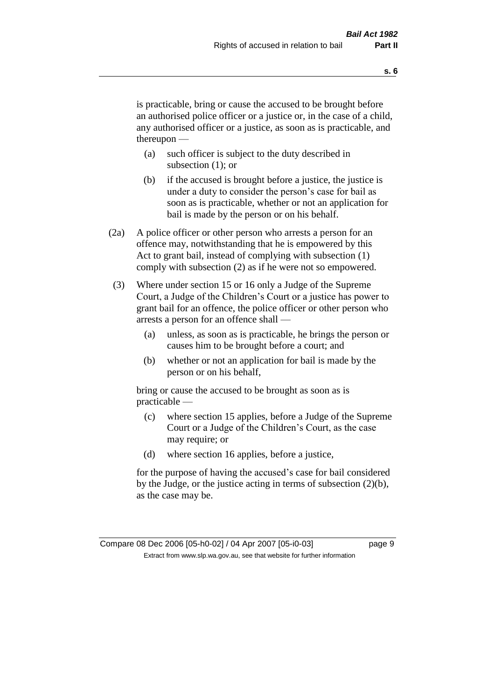is practicable, bring or cause the accused to be brought before an authorised police officer or a justice or, in the case of a child, any authorised officer or a justice, as soon as is practicable, and thereupon —

- (a) such officer is subject to the duty described in subsection (1); or
- (b) if the accused is brought before a justice, the justice is under a duty to consider the person's case for bail as soon as is practicable, whether or not an application for bail is made by the person or on his behalf.
- (2a) A police officer or other person who arrests a person for an offence may, notwithstanding that he is empowered by this Act to grant bail, instead of complying with subsection (1) comply with subsection (2) as if he were not so empowered.
- (3) Where under section 15 or 16 only a Judge of the Supreme Court, a Judge of the Children's Court or a justice has power to grant bail for an offence, the police officer or other person who arrests a person for an offence shall —
	- (a) unless, as soon as is practicable, he brings the person or causes him to be brought before a court; and
	- (b) whether or not an application for bail is made by the person or on his behalf,

bring or cause the accused to be brought as soon as is practicable —

- (c) where section 15 applies, before a Judge of the Supreme Court or a Judge of the Children's Court, as the case may require; or
- (d) where section 16 applies, before a justice,

for the purpose of having the accused's case for bail considered by the Judge, or the justice acting in terms of subsection (2)(b), as the case may be.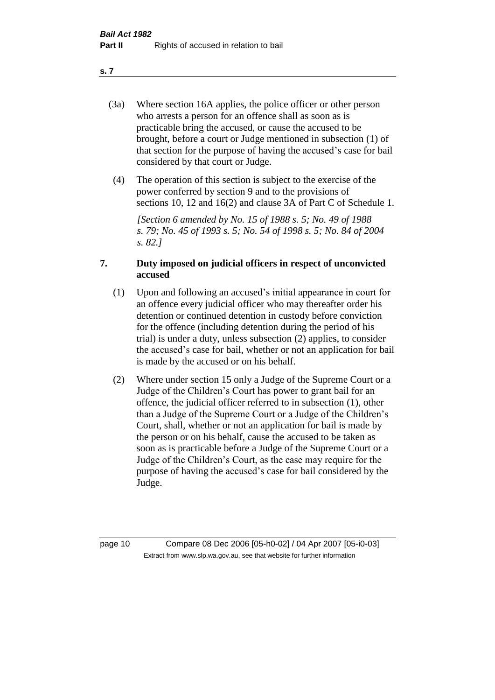- (3a) Where section 16A applies, the police officer or other person who arrests a person for an offence shall as soon as is practicable bring the accused, or cause the accused to be brought, before a court or Judge mentioned in subsection (1) of that section for the purpose of having the accused's case for bail considered by that court or Judge.
- (4) The operation of this section is subject to the exercise of the power conferred by section 9 and to the provisions of sections 10, 12 and 16(2) and clause 3A of Part C of Schedule 1.

*[Section 6 amended by No. 15 of 1988 s. 5; No. 49 of 1988 s. 79; No. 45 of 1993 s. 5; No. 54 of 1998 s. 5; No. 84 of 2004 s. 82.]* 

## **7. Duty imposed on judicial officers in respect of unconvicted accused**

- (1) Upon and following an accused's initial appearance in court for an offence every judicial officer who may thereafter order his detention or continued detention in custody before conviction for the offence (including detention during the period of his trial) is under a duty, unless subsection (2) applies, to consider the accused's case for bail, whether or not an application for bail is made by the accused or on his behalf.
- (2) Where under section 15 only a Judge of the Supreme Court or a Judge of the Children's Court has power to grant bail for an offence, the judicial officer referred to in subsection (1), other than a Judge of the Supreme Court or a Judge of the Children's Court, shall, whether or not an application for bail is made by the person or on his behalf, cause the accused to be taken as soon as is practicable before a Judge of the Supreme Court or a Judge of the Children's Court, as the case may require for the purpose of having the accused's case for bail considered by the Judge.

page 10 Compare 08 Dec 2006 [05-h0-02] / 04 Apr 2007 [05-i0-03] Extract from www.slp.wa.gov.au, see that website for further information

**s. 7**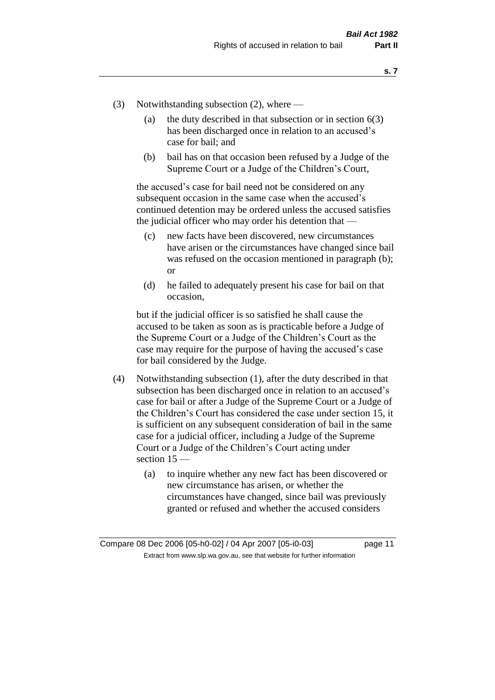- (3) Notwithstanding subsection (2), where
	- (a) the duty described in that subsection or in section  $6(3)$ has been discharged once in relation to an accused's case for bail; and
	- (b) bail has on that occasion been refused by a Judge of the Supreme Court or a Judge of the Children's Court,

the accused's case for bail need not be considered on any subsequent occasion in the same case when the accused's continued detention may be ordered unless the accused satisfies the judicial officer who may order his detention that —

- (c) new facts have been discovered, new circumstances have arisen or the circumstances have changed since bail was refused on the occasion mentioned in paragraph (b); or
- (d) he failed to adequately present his case for bail on that occasion,

but if the judicial officer is so satisfied he shall cause the accused to be taken as soon as is practicable before a Judge of the Supreme Court or a Judge of the Children's Court as the case may require for the purpose of having the accused's case for bail considered by the Judge.

- (4) Notwithstanding subsection (1), after the duty described in that subsection has been discharged once in relation to an accused's case for bail or after a Judge of the Supreme Court or a Judge of the Children's Court has considered the case under section 15, it is sufficient on any subsequent consideration of bail in the same case for a judicial officer, including a Judge of the Supreme Court or a Judge of the Children's Court acting under section 15 —
	- (a) to inquire whether any new fact has been discovered or new circumstance has arisen, or whether the circumstances have changed, since bail was previously granted or refused and whether the accused considers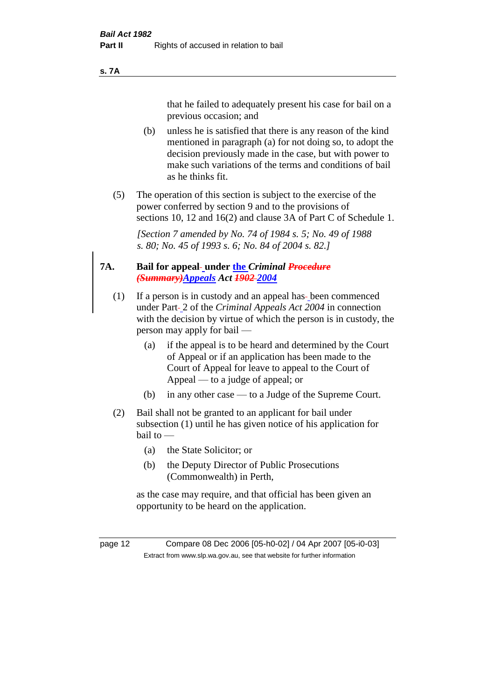#### **s. 7A**

that he failed to adequately present his case for bail on a previous occasion; and

- (b) unless he is satisfied that there is any reason of the kind mentioned in paragraph (a) for not doing so, to adopt the decision previously made in the case, but with power to make such variations of the terms and conditions of bail as he thinks fit.
- (5) The operation of this section is subject to the exercise of the power conferred by section 9 and to the provisions of sections 10, 12 and 16(2) and clause 3A of Part C of Schedule 1.

*[Section 7 amended by No. 74 of 1984 s. 5; No. 49 of 1988 s. 80; No. 45 of 1993 s. 6; No. 84 of 2004 s. 82.]* 

#### **7A. Bail for appeal under the** *Criminal Procedure (Summary)Appeals Act 1902 2004*

- (1) If a person is in custody and an appeal has-been commenced under Part-2 of the *Criminal Appeals Act* 2004 in connection with the decision by virtue of which the person is in custody, the person may apply for bail —
	- (a) if the appeal is to be heard and determined by the Court of Appeal or if an application has been made to the Court of Appeal for leave to appeal to the Court of Appeal — to a judge of appeal; or
	- (b) in any other case to a Judge of the Supreme Court.
- (2) Bail shall not be granted to an applicant for bail under subsection (1) until he has given notice of his application for bail to —
	- (a) the State Solicitor; or
	- (b) the Deputy Director of Public Prosecutions (Commonwealth) in Perth,

as the case may require, and that official has been given an opportunity to be heard on the application.

page 12 Compare 08 Dec 2006 [05-h0-02] / 04 Apr 2007 [05-i0-03] Extract from www.slp.wa.gov.au, see that website for further information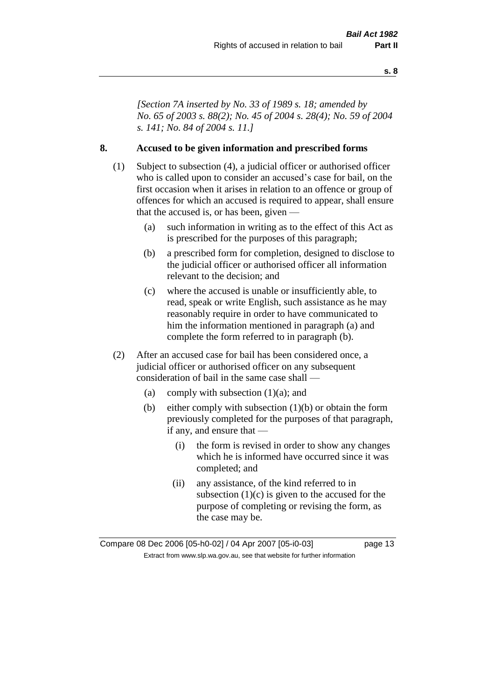*[Section 7A inserted by No. 33 of 1989 s. 18; amended by No. 65 of 2003 s. 88(2); No. 45 of 2004 s. 28(4); No. 59 of 2004 s. 141; No. 84 of 2004 s. 11.]* 

## **8. Accused to be given information and prescribed forms**

- (1) Subject to subsection (4), a judicial officer or authorised officer who is called upon to consider an accused's case for bail, on the first occasion when it arises in relation to an offence or group of offences for which an accused is required to appear, shall ensure that the accused is, or has been, given —
	- (a) such information in writing as to the effect of this Act as is prescribed for the purposes of this paragraph;
	- (b) a prescribed form for completion, designed to disclose to the judicial officer or authorised officer all information relevant to the decision; and
	- (c) where the accused is unable or insufficiently able, to read, speak or write English, such assistance as he may reasonably require in order to have communicated to him the information mentioned in paragraph (a) and complete the form referred to in paragraph (b).
- (2) After an accused case for bail has been considered once, a judicial officer or authorised officer on any subsequent consideration of bail in the same case shall —
	- (a) comply with subsection  $(1)(a)$ ; and
	- (b) either comply with subsection (1)(b) or obtain the form previously completed for the purposes of that paragraph, if any, and ensure that —
		- (i) the form is revised in order to show any changes which he is informed have occurred since it was completed; and
		- (ii) any assistance, of the kind referred to in subsection  $(1)(c)$  is given to the accused for the purpose of completing or revising the form, as the case may be.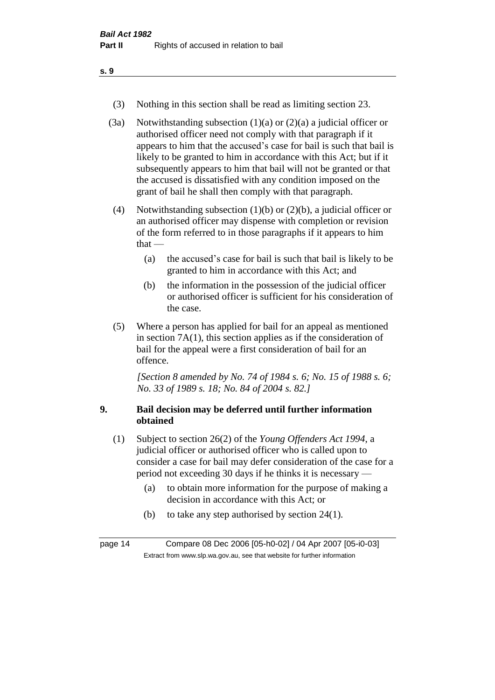- (3) Nothing in this section shall be read as limiting section 23.
- (3a) Notwithstanding subsection  $(1)(a)$  or  $(2)(a)$  a judicial officer or authorised officer need not comply with that paragraph if it appears to him that the accused's case for bail is such that bail is likely to be granted to him in accordance with this Act; but if it subsequently appears to him that bail will not be granted or that the accused is dissatisfied with any condition imposed on the grant of bail he shall then comply with that paragraph.
- (4) Notwithstanding subsection (1)(b) or (2)(b), a judicial officer or an authorised officer may dispense with completion or revision of the form referred to in those paragraphs if it appears to him  $that -$ 
	- (a) the accused's case for bail is such that bail is likely to be granted to him in accordance with this Act; and
	- (b) the information in the possession of the judicial officer or authorised officer is sufficient for his consideration of the case.
- (5) Where a person has applied for bail for an appeal as mentioned in section 7A(1), this section applies as if the consideration of bail for the appeal were a first consideration of bail for an offence.

*[Section 8 amended by No. 74 of 1984 s. 6; No. 15 of 1988 s. 6; No. 33 of 1989 s. 18; No. 84 of 2004 s. 82.]* 

## **9. Bail decision may be deferred until further information obtained**

- (1) Subject to section 26(2) of the *Young Offenders Act 1994*, a judicial officer or authorised officer who is called upon to consider a case for bail may defer consideration of the case for a period not exceeding 30 days if he thinks it is necessary —
	- (a) to obtain more information for the purpose of making a decision in accordance with this Act; or
	- (b) to take any step authorised by section 24(1).

page 14 Compare 08 Dec 2006 [05-h0-02] / 04 Apr 2007 [05-i0-03] Extract from www.slp.wa.gov.au, see that website for further information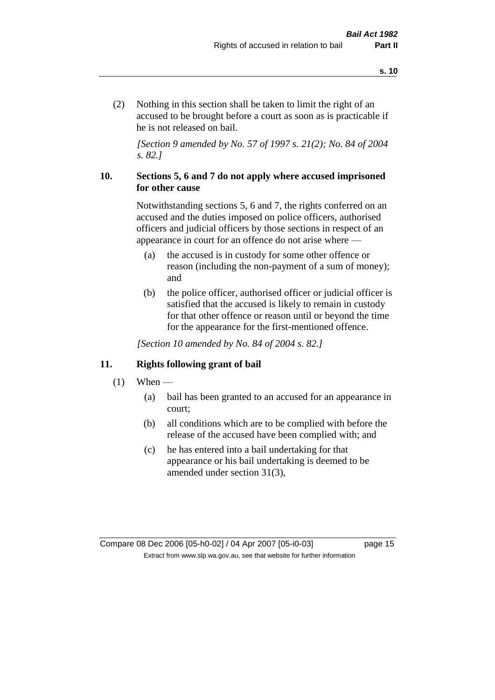(2) Nothing in this section shall be taken to limit the right of an accused to be brought before a court as soon as is practicable if he is not released on bail.

*[Section 9 amended by No. 57 of 1997 s. 21(2); No. 84 of 2004 s. 82.]*

## **10. Sections 5, 6 and 7 do not apply where accused imprisoned for other cause**

Notwithstanding sections 5, 6 and 7, the rights conferred on an accused and the duties imposed on police officers, authorised officers and judicial officers by those sections in respect of an appearance in court for an offence do not arise where —

- (a) the accused is in custody for some other offence or reason (including the non-payment of a sum of money); and
- (b) the police officer, authorised officer or judicial officer is satisfied that the accused is likely to remain in custody for that other offence or reason until or beyond the time for the appearance for the first-mentioned offence.

*[Section 10 amended by No. 84 of 2004 s. 82.]*

## **11. Rights following grant of bail**

- $(1)$  When
	- (a) bail has been granted to an accused for an appearance in court;
	- (b) all conditions which are to be complied with before the release of the accused have been complied with; and
	- (c) he has entered into a bail undertaking for that appearance or his bail undertaking is deemed to be amended under section 31(3),

Compare 08 Dec 2006 [05-h0-02] / 04 Apr 2007 [05-i0-03] page 15 Extract from www.slp.wa.gov.au, see that website for further information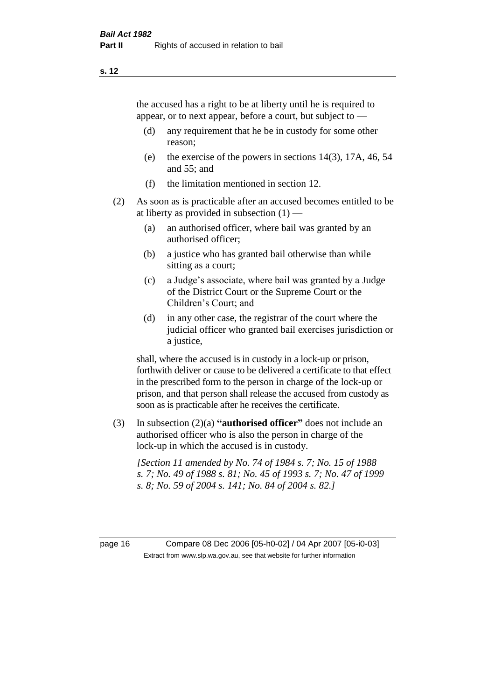the accused has a right to be at liberty until he is required to appear, or to next appear, before a court, but subject to —

- (d) any requirement that he be in custody for some other reason;
- (e) the exercise of the powers in sections 14(3), 17A, 46, 54 and 55; and
- (f) the limitation mentioned in section 12.
- (2) As soon as is practicable after an accused becomes entitled to be at liberty as provided in subsection  $(1)$  —
	- (a) an authorised officer, where bail was granted by an authorised officer;
	- (b) a justice who has granted bail otherwise than while sitting as a court;
	- (c) a Judge's associate, where bail was granted by a Judge of the District Court or the Supreme Court or the Children's Court; and
	- (d) in any other case, the registrar of the court where the judicial officer who granted bail exercises jurisdiction or a justice,

shall, where the accused is in custody in a lock-up or prison, forthwith deliver or cause to be delivered a certificate to that effect in the prescribed form to the person in charge of the lock-up or prison, and that person shall release the accused from custody as soon as is practicable after he receives the certificate.

(3) In subsection (2)(a) **"authorised officer"** does not include an authorised officer who is also the person in charge of the lock-up in which the accused is in custody.

*[Section 11 amended by No. 74 of 1984 s. 7; No. 15 of 1988 s. 7; No. 49 of 1988 s. 81; No. 45 of 1993 s. 7; No. 47 of 1999 s. 8; No. 59 of 2004 s. 141; No. 84 of 2004 s. 82.]* 

page 16 Compare 08 Dec 2006 [05-h0-02] / 04 Apr 2007 [05-i0-03] Extract from www.slp.wa.gov.au, see that website for further information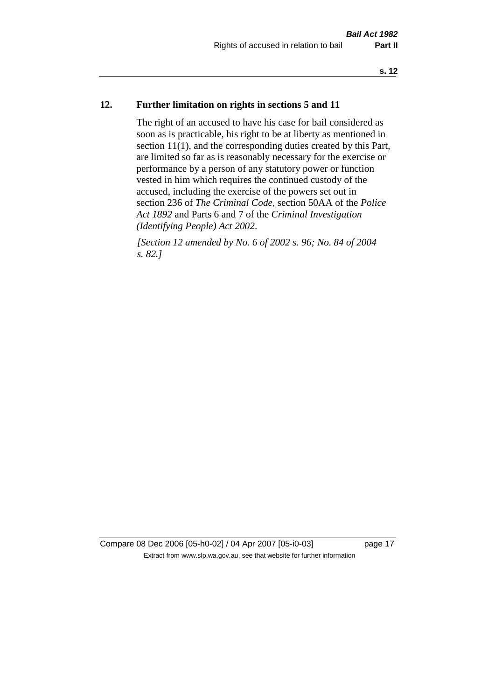## **12. Further limitation on rights in sections 5 and 11**

The right of an accused to have his case for bail considered as soon as is practicable, his right to be at liberty as mentioned in section 11(1), and the corresponding duties created by this Part, are limited so far as is reasonably necessary for the exercise or performance by a person of any statutory power or function vested in him which requires the continued custody of the accused, including the exercise of the powers set out in section 236 of *The Criminal Code*, section 50AA of the *Police Act 1892* and Parts 6 and 7 of the *Criminal Investigation (Identifying People) Act 2002*.

*[Section 12 amended by No. 6 of 2002 s. 96; No. 84 of 2004 s. 82.]*

Compare 08 Dec 2006 [05-h0-02] / 04 Apr 2007 [05-i0-03] page 17 Extract from www.slp.wa.gov.au, see that website for further information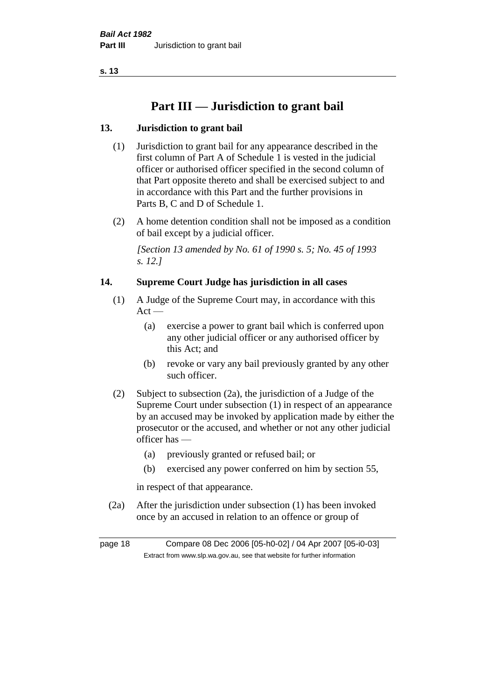## **Part III — Jurisdiction to grant bail**

## **13. Jurisdiction to grant bail**

- (1) Jurisdiction to grant bail for any appearance described in the first column of Part A of Schedule 1 is vested in the judicial officer or authorised officer specified in the second column of that Part opposite thereto and shall be exercised subject to and in accordance with this Part and the further provisions in Parts B, C and D of Schedule 1.
- (2) A home detention condition shall not be imposed as a condition of bail except by a judicial officer.

*[Section 13 amended by No. 61 of 1990 s. 5; No. 45 of 1993 s. 12.]* 

## **14. Supreme Court Judge has jurisdiction in all cases**

- (1) A Judge of the Supreme Court may, in accordance with this  $Act -$ 
	- (a) exercise a power to grant bail which is conferred upon any other judicial officer or any authorised officer by this Act; and
	- (b) revoke or vary any bail previously granted by any other such officer.
- (2) Subject to subsection (2a), the jurisdiction of a Judge of the Supreme Court under subsection (1) in respect of an appearance by an accused may be invoked by application made by either the prosecutor or the accused, and whether or not any other judicial officer has —
	- (a) previously granted or refused bail; or
	- (b) exercised any power conferred on him by section 55,

in respect of that appearance.

(2a) After the jurisdiction under subsection (1) has been invoked once by an accused in relation to an offence or group of

page 18 Compare 08 Dec 2006 [05-h0-02] / 04 Apr 2007 [05-i0-03] Extract from www.slp.wa.gov.au, see that website for further information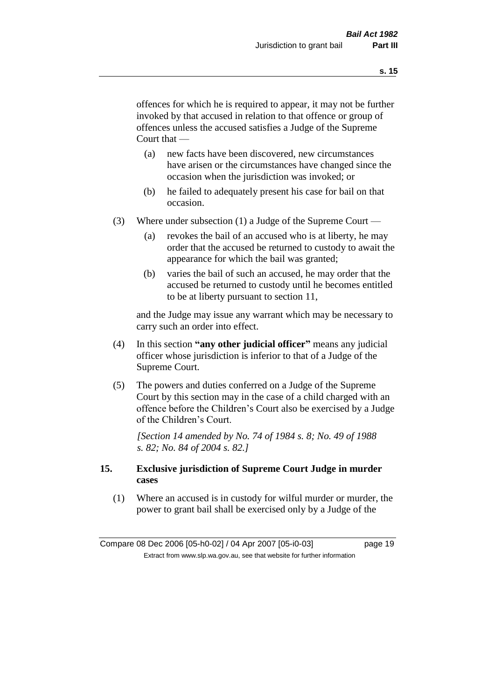offences for which he is required to appear, it may not be further invoked by that accused in relation to that offence or group of offences unless the accused satisfies a Judge of the Supreme Court that —

- (a) new facts have been discovered, new circumstances have arisen or the circumstances have changed since the occasion when the jurisdiction was invoked; or
- (b) he failed to adequately present his case for bail on that occasion.
- (3) Where under subsection (1) a Judge of the Supreme Court
	- (a) revokes the bail of an accused who is at liberty, he may order that the accused be returned to custody to await the appearance for which the bail was granted;
	- (b) varies the bail of such an accused, he may order that the accused be returned to custody until he becomes entitled to be at liberty pursuant to section 11,

and the Judge may issue any warrant which may be necessary to carry such an order into effect.

- (4) In this section **"any other judicial officer"** means any judicial officer whose jurisdiction is inferior to that of a Judge of the Supreme Court.
- (5) The powers and duties conferred on a Judge of the Supreme Court by this section may in the case of a child charged with an offence before the Children's Court also be exercised by a Judge of the Children's Court.

*[Section 14 amended by No. 74 of 1984 s. 8; No. 49 of 1988 s. 82; No. 84 of 2004 s. 82.]* 

## **15. Exclusive jurisdiction of Supreme Court Judge in murder cases**

(1) Where an accused is in custody for wilful murder or murder, the power to grant bail shall be exercised only by a Judge of the

Compare 08 Dec 2006 [05-h0-02] / 04 Apr 2007 [05-i0-03] page 19 Extract from www.slp.wa.gov.au, see that website for further information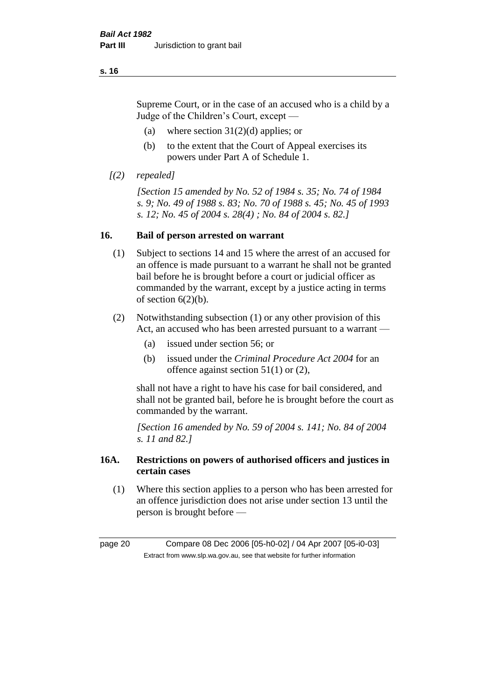Supreme Court, or in the case of an accused who is a child by a Judge of the Children's Court, except —

- (a) where section  $31(2)(d)$  applies; or
- (b) to the extent that the Court of Appeal exercises its powers under Part A of Schedule 1.
- *[(2) repealed]*

*[Section 15 amended by No. 52 of 1984 s. 35; No. 74 of 1984 s. 9; No. 49 of 1988 s. 83; No. 70 of 1988 s. 45; No. 45 of 1993 s. 12; No. 45 of 2004 s. 28(4) ; No. 84 of 2004 s. 82.]* 

## **16. Bail of person arrested on warrant**

- (1) Subject to sections 14 and 15 where the arrest of an accused for an offence is made pursuant to a warrant he shall not be granted bail before he is brought before a court or judicial officer as commanded by the warrant, except by a justice acting in terms of section  $6(2)(b)$ .
- (2) Notwithstanding subsection (1) or any other provision of this Act, an accused who has been arrested pursuant to a warrant -
	- (a) issued under section 56; or
	- (b) issued under the *Criminal Procedure Act 2004* for an offence against section 51(1) or (2),

shall not have a right to have his case for bail considered, and shall not be granted bail, before he is brought before the court as commanded by the warrant.

*[Section 16 amended by No. 59 of 2004 s. 141; No. 84 of 2004 s. 11 and 82.]*

## **16A. Restrictions on powers of authorised officers and justices in certain cases**

(1) Where this section applies to a person who has been arrested for an offence jurisdiction does not arise under section 13 until the person is brought before —

page 20 Compare 08 Dec 2006 [05-h0-02] / 04 Apr 2007 [05-i0-03] Extract from www.slp.wa.gov.au, see that website for further information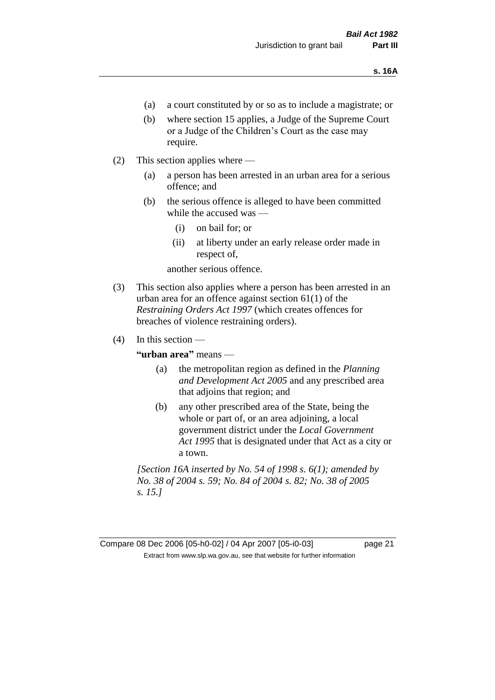- (a) a court constituted by or so as to include a magistrate; or
- (b) where section 15 applies, a Judge of the Supreme Court or a Judge of the Children's Court as the case may require.
- (2) This section applies where
	- (a) a person has been arrested in an urban area for a serious offence; and
	- (b) the serious offence is alleged to have been committed while the accused was —
		- (i) on bail for; or
		- (ii) at liberty under an early release order made in respect of,

another serious offence.

- (3) This section also applies where a person has been arrested in an urban area for an offence against section 61(1) of the *Restraining Orders Act 1997* (which creates offences for breaches of violence restraining orders).
- $(4)$  In this section —

**"urban area"** means —

- (a) the metropolitan region as defined in the *Planning and Development Act 2005* and any prescribed area that adjoins that region; and
- (b) any other prescribed area of the State, being the whole or part of, or an area adjoining, a local government district under the *Local Government Act 1995* that is designated under that Act as a city or a town.

*[Section 16A inserted by No. 54 of 1998 s. 6(1); amended by No. 38 of 2004 s. 59; No. 84 of 2004 s. 82; No. 38 of 2005 s. 15.]*

Compare 08 Dec 2006 [05-h0-02] / 04 Apr 2007 [05-i0-03] page 21 Extract from www.slp.wa.gov.au, see that website for further information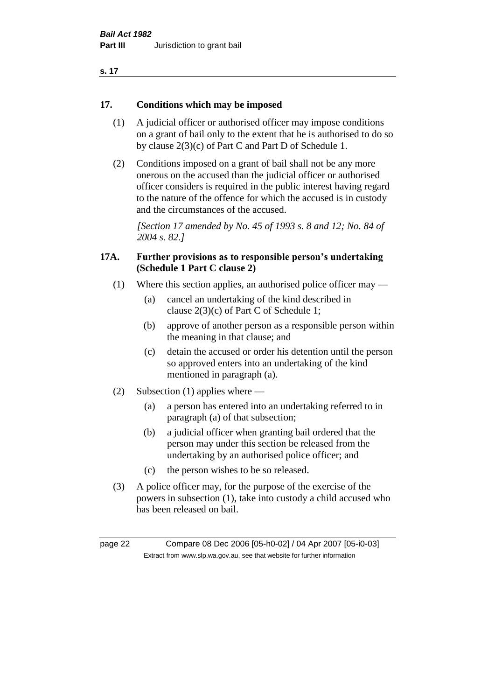| . .<br>۰. |  |
|-----------|--|
|-----------|--|

## **17. Conditions which may be imposed**

- (1) A judicial officer or authorised officer may impose conditions on a grant of bail only to the extent that he is authorised to do so by clause 2(3)(c) of Part C and Part D of Schedule 1.
- (2) Conditions imposed on a grant of bail shall not be any more onerous on the accused than the judicial officer or authorised officer considers is required in the public interest having regard to the nature of the offence for which the accused is in custody and the circumstances of the accused.

*[Section 17 amended by No. 45 of 1993 s. 8 and 12; No. 84 of 2004 s. 82.]* 

## **17A. Further provisions as to responsible person's undertaking (Schedule 1 Part C clause 2)**

- (1) Where this section applies, an authorised police officer may
	- (a) cancel an undertaking of the kind described in clause 2(3)(c) of Part C of Schedule 1;
	- (b) approve of another person as a responsible person within the meaning in that clause; and
	- (c) detain the accused or order his detention until the person so approved enters into an undertaking of the kind mentioned in paragraph (a).
- (2) Subsection (1) applies where
	- (a) a person has entered into an undertaking referred to in paragraph (a) of that subsection;
	- (b) a judicial officer when granting bail ordered that the person may under this section be released from the undertaking by an authorised police officer; and
	- (c) the person wishes to be so released.
- (3) A police officer may, for the purpose of the exercise of the powers in subsection (1), take into custody a child accused who has been released on bail.

page 22 Compare 08 Dec 2006 [05-h0-02] / 04 Apr 2007 [05-i0-03] Extract from www.slp.wa.gov.au, see that website for further information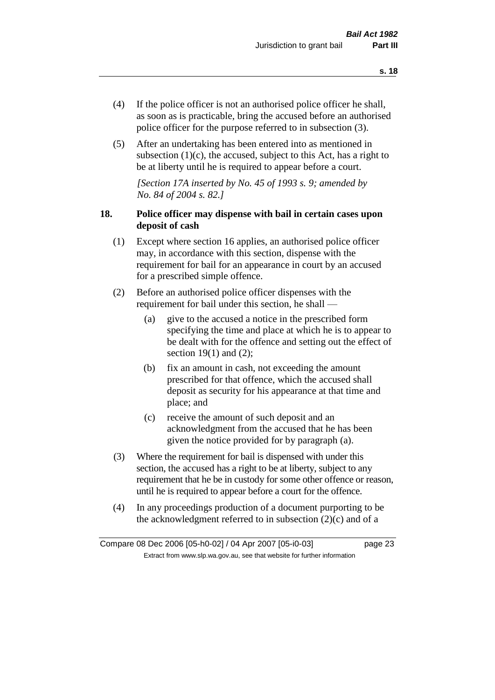- (4) If the police officer is not an authorised police officer he shall, as soon as is practicable, bring the accused before an authorised police officer for the purpose referred to in subsection (3).
- (5) After an undertaking has been entered into as mentioned in subsection  $(1)(c)$ , the accused, subject to this Act, has a right to be at liberty until he is required to appear before a court.

*[Section 17A inserted by No. 45 of 1993 s. 9; amended by No. 84 of 2004 s. 82.]* 

## **18. Police officer may dispense with bail in certain cases upon deposit of cash**

- (1) Except where section 16 applies, an authorised police officer may, in accordance with this section, dispense with the requirement for bail for an appearance in court by an accused for a prescribed simple offence.
- (2) Before an authorised police officer dispenses with the requirement for bail under this section, he shall —
	- (a) give to the accused a notice in the prescribed form specifying the time and place at which he is to appear to be dealt with for the offence and setting out the effect of section  $19(1)$  and  $(2)$ ;
	- (b) fix an amount in cash, not exceeding the amount prescribed for that offence, which the accused shall deposit as security for his appearance at that time and place; and
	- (c) receive the amount of such deposit and an acknowledgment from the accused that he has been given the notice provided for by paragraph (a).
- (3) Where the requirement for bail is dispensed with under this section, the accused has a right to be at liberty, subject to any requirement that he be in custody for some other offence or reason, until he is required to appear before a court for the offence.
- (4) In any proceedings production of a document purporting to be the acknowledgment referred to in subsection  $(2)(c)$  and of a

Compare 08 Dec 2006 [05-h0-02] / 04 Apr 2007 [05-i0-03] page 23 Extract from www.slp.wa.gov.au, see that website for further information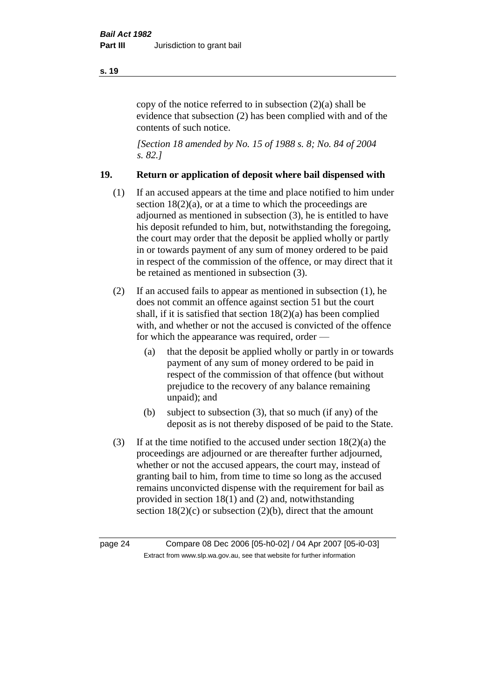copy of the notice referred to in subsection (2)(a) shall be evidence that subsection (2) has been complied with and of the contents of such notice.

*[Section 18 amended by No. 15 of 1988 s. 8; No. 84 of 2004 s. 82.]* 

## **19. Return or application of deposit where bail dispensed with**

- (1) If an accused appears at the time and place notified to him under section  $18(2)(a)$ , or at a time to which the proceedings are adjourned as mentioned in subsection (3), he is entitled to have his deposit refunded to him, but, notwithstanding the foregoing, the court may order that the deposit be applied wholly or partly in or towards payment of any sum of money ordered to be paid in respect of the commission of the offence, or may direct that it be retained as mentioned in subsection (3).
- (2) If an accused fails to appear as mentioned in subsection (1), he does not commit an offence against section 51 but the court shall, if it is satisfied that section 18(2)(a) has been complied with, and whether or not the accused is convicted of the offence for which the appearance was required, order —
	- (a) that the deposit be applied wholly or partly in or towards payment of any sum of money ordered to be paid in respect of the commission of that offence (but without prejudice to the recovery of any balance remaining unpaid); and
	- (b) subject to subsection (3), that so much (if any) of the deposit as is not thereby disposed of be paid to the State.
- (3) If at the time notified to the accused under section  $18(2)(a)$  the proceedings are adjourned or are thereafter further adjourned, whether or not the accused appears, the court may, instead of granting bail to him, from time to time so long as the accused remains unconvicted dispense with the requirement for bail as provided in section 18(1) and (2) and, notwithstanding section  $18(2)(c)$  or subsection  $(2)(b)$ , direct that the amount

page 24 Compare 08 Dec 2006 [05-h0-02] / 04 Apr 2007 [05-i0-03] Extract from www.slp.wa.gov.au, see that website for further information

#### **s. 19**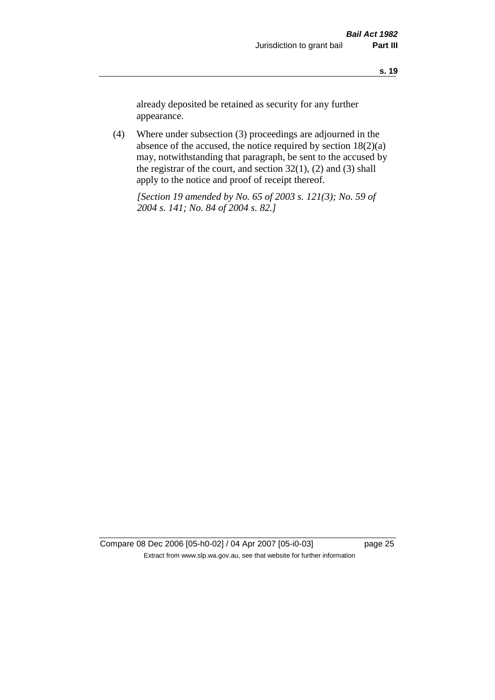already deposited be retained as security for any further appearance.

(4) Where under subsection (3) proceedings are adjourned in the absence of the accused, the notice required by section 18(2)(a) may, notwithstanding that paragraph, be sent to the accused by the registrar of the court, and section  $32(1)$ ,  $(2)$  and  $(3)$  shall apply to the notice and proof of receipt thereof.

*[Section 19 amended by No. 65 of 2003 s. 121(3); No. 59 of 2004 s. 141; No. 84 of 2004 s. 82.]*

Compare 08 Dec 2006 [05-h0-02] / 04 Apr 2007 [05-i0-03] page 25 Extract from www.slp.wa.gov.au, see that website for further information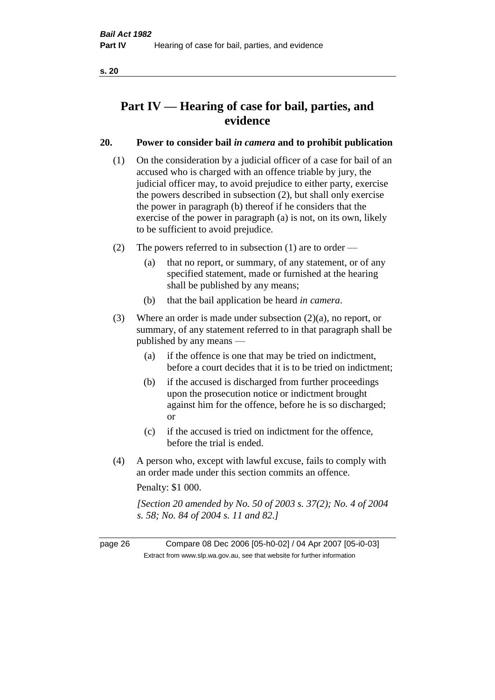## **Part IV — Hearing of case for bail, parties, and evidence**

## **20. Power to consider bail** *in camera* **and to prohibit publication**

- (1) On the consideration by a judicial officer of a case for bail of an accused who is charged with an offence triable by jury, the judicial officer may, to avoid prejudice to either party, exercise the powers described in subsection (2), but shall only exercise the power in paragraph (b) thereof if he considers that the exercise of the power in paragraph (a) is not, on its own, likely to be sufficient to avoid prejudice.
- (2) The powers referred to in subsection (1) are to order
	- (a) that no report, or summary, of any statement, or of any specified statement, made or furnished at the hearing shall be published by any means;
	- (b) that the bail application be heard *in camera*.
- (3) Where an order is made under subsection (2)(a), no report, or summary, of any statement referred to in that paragraph shall be published by any means —
	- (a) if the offence is one that may be tried on indictment, before a court decides that it is to be tried on indictment;
	- (b) if the accused is discharged from further proceedings upon the prosecution notice or indictment brought against him for the offence, before he is so discharged; or
	- (c) if the accused is tried on indictment for the offence, before the trial is ended.
- (4) A person who, except with lawful excuse, fails to comply with an order made under this section commits an offence.

Penalty: \$1 000.

*[Section 20 amended by No. 50 of 2003 s. 37(2); No. 4 of 2004 s. 58; No. 84 of 2004 s. 11 and 82.]*

page 26 Compare 08 Dec 2006 [05-h0-02] / 04 Apr 2007 [05-i0-03] Extract from www.slp.wa.gov.au, see that website for further information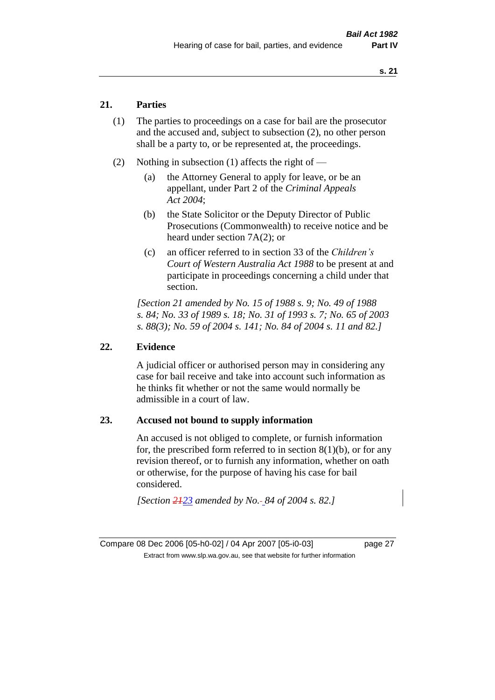## **21. Parties**

- (1) The parties to proceedings on a case for bail are the prosecutor and the accused and, subject to subsection (2), no other person shall be a party to, or be represented at, the proceedings.
- (2) Nothing in subsection (1) affects the right of
	- (a) the Attorney General to apply for leave, or be an appellant, under Part 2 of the *Criminal Appeals Act 2004*;
	- (b) the State Solicitor or the Deputy Director of Public Prosecutions (Commonwealth) to receive notice and be heard under section 7A(2); or
	- (c) an officer referred to in section 33 of the *Children's Court of Western Australia Act 1988* to be present at and participate in proceedings concerning a child under that section.

*[Section 21 amended by No. 15 of 1988 s. 9; No. 49 of 1988 s. 84; No. 33 of 1989 s. 18; No. 31 of 1993 s. 7; No. 65 of 2003 s. 88(3); No. 59 of 2004 s. 141; No. 84 of 2004 s. 11 and 82.]* 

#### **22. Evidence**

A judicial officer or authorised person may in considering any case for bail receive and take into account such information as he thinks fit whether or not the same would normally be admissible in a court of law.

#### **23. Accused not bound to supply information**

An accused is not obliged to complete, or furnish information for, the prescribed form referred to in section  $8(1)(b)$ , or for any revision thereof, or to furnish any information, whether on oath or otherwise, for the purpose of having his case for bail considered.

*[Section 2123 amended by No. 84 of 2004 s. 82.]* 

Compare 08 Dec 2006 [05-h0-02] / 04 Apr 2007 [05-i0-03] page 27 Extract from www.slp.wa.gov.au, see that website for further information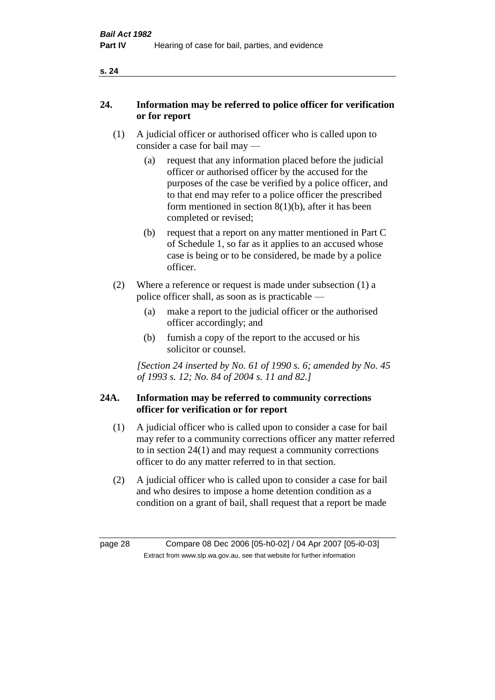## **24. Information may be referred to police officer for verification or for report**

- (1) A judicial officer or authorised officer who is called upon to consider a case for bail may —
	- (a) request that any information placed before the judicial officer or authorised officer by the accused for the purposes of the case be verified by a police officer, and to that end may refer to a police officer the prescribed form mentioned in section  $8(1)(b)$ , after it has been completed or revised;
	- (b) request that a report on any matter mentioned in Part C of Schedule 1, so far as it applies to an accused whose case is being or to be considered, be made by a police officer.
- (2) Where a reference or request is made under subsection (1) a police officer shall, as soon as is practicable —
	- (a) make a report to the judicial officer or the authorised officer accordingly; and
	- (b) furnish a copy of the report to the accused or his solicitor or counsel.

*[Section 24 inserted by No. 61 of 1990 s. 6; amended by No. 45 of 1993 s. 12; No. 84 of 2004 s. 11 and 82.]* 

## **24A. Information may be referred to community corrections officer for verification or for report**

- (1) A judicial officer who is called upon to consider a case for bail may refer to a community corrections officer any matter referred to in section 24(1) and may request a community corrections officer to do any matter referred to in that section.
- (2) A judicial officer who is called upon to consider a case for bail and who desires to impose a home detention condition as a condition on a grant of bail, shall request that a report be made

page 28 Compare 08 Dec 2006 [05-h0-02] / 04 Apr 2007 [05-i0-03] Extract from www.slp.wa.gov.au, see that website for further information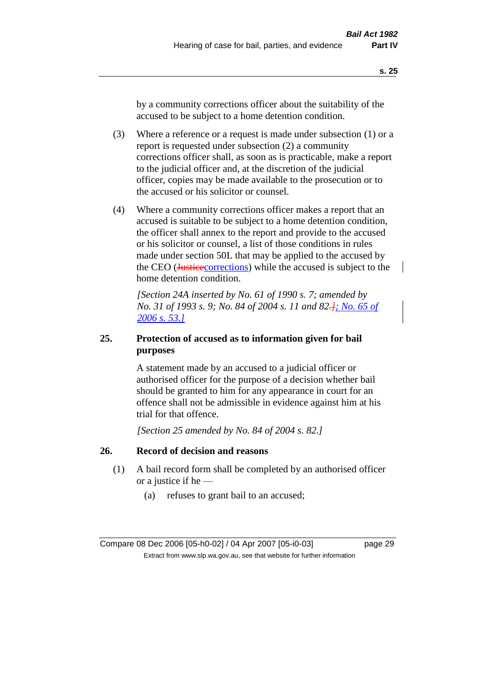by a community corrections officer about the suitability of the accused to be subject to a home detention condition.

- (3) Where a reference or a request is made under subsection (1) or a report is requested under subsection (2) a community corrections officer shall, as soon as is practicable, make a report to the judicial officer and, at the discretion of the judicial officer, copies may be made available to the prosecution or to the accused or his solicitor or counsel.
- (4) Where a community corrections officer makes a report that an accused is suitable to be subject to a home detention condition, the officer shall annex to the report and provide to the accused or his solicitor or counsel, a list of those conditions in rules made under section 50L that may be applied to the accused by the CEO (*Justicecorrections*) while the accused is subject to the home detention condition.

*[Section 24A inserted by No. 61 of 1990 s. 7; amended by No. 31 of 1993 s. 9; No. 84 of 2004 s. 11 and 82.]; No. 65 of 2006 s. 53.]*

## **25. Protection of accused as to information given for bail purposes**

A statement made by an accused to a judicial officer or authorised officer for the purpose of a decision whether bail should be granted to him for any appearance in court for an offence shall not be admissible in evidence against him at his trial for that offence.

*[Section 25 amended by No. 84 of 2004 s. 82.]* 

## **26. Record of decision and reasons**

- (1) A bail record form shall be completed by an authorised officer or a justice if he —
	- (a) refuses to grant bail to an accused;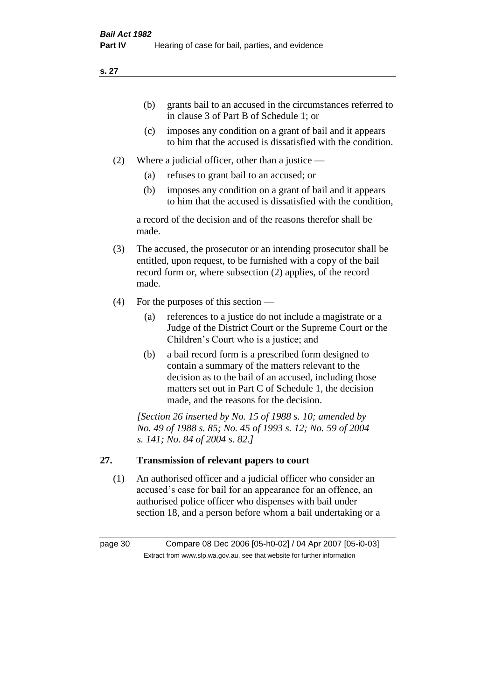- (b) grants bail to an accused in the circumstances referred to in clause 3 of Part B of Schedule 1; or
- (c) imposes any condition on a grant of bail and it appears to him that the accused is dissatisfied with the condition.
- (2) Where a judicial officer, other than a justice
	- (a) refuses to grant bail to an accused; or
	- (b) imposes any condition on a grant of bail and it appears to him that the accused is dissatisfied with the condition,

a record of the decision and of the reasons therefor shall be made.

- (3) The accused, the prosecutor or an intending prosecutor shall be entitled, upon request, to be furnished with a copy of the bail record form or, where subsection (2) applies, of the record made.
- (4) For the purposes of this section
	- (a) references to a justice do not include a magistrate or a Judge of the District Court or the Supreme Court or the Children's Court who is a justice; and
	- (b) a bail record form is a prescribed form designed to contain a summary of the matters relevant to the decision as to the bail of an accused, including those matters set out in Part C of Schedule 1, the decision made, and the reasons for the decision.

*[Section 26 inserted by No. 15 of 1988 s. 10; amended by No. 49 of 1988 s. 85; No. 45 of 1993 s. 12; No. 59 of 2004 s. 141; No. 84 of 2004 s. 82.]* 

## **27. Transmission of relevant papers to court**

(1) An authorised officer and a judicial officer who consider an accused's case for bail for an appearance for an offence, an authorised police officer who dispenses with bail under section 18, and a person before whom a bail undertaking or a

page 30 Compare 08 Dec 2006 [05-h0-02] / 04 Apr 2007 [05-i0-03] Extract from www.slp.wa.gov.au, see that website for further information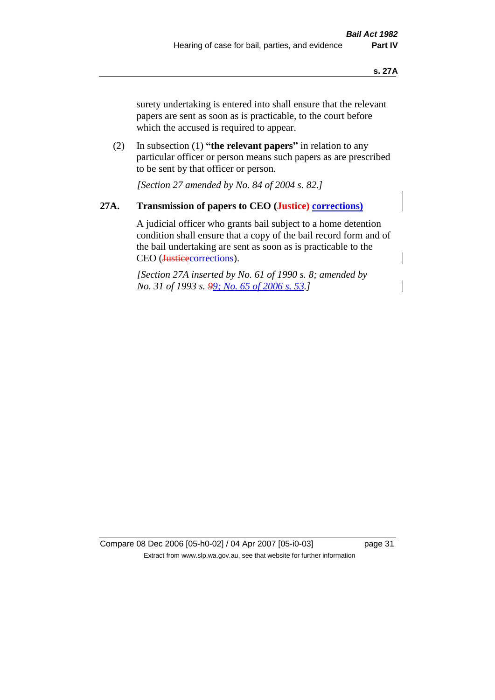surety undertaking is entered into shall ensure that the relevant papers are sent as soon as is practicable, to the court before which the accused is required to appear.

(2) In subsection (1) **"the relevant papers"** in relation to any particular officer or person means such papers as are prescribed to be sent by that officer or person.

*[Section 27 amended by No. 84 of 2004 s. 82.]* 

## **27A. Transmission of papers to CEO (Justice) corrections)**

A judicial officer who grants bail subject to a home detention condition shall ensure that a copy of the bail record form and of the bail undertaking are sent as soon as is practicable to the CEO (Justicecorrections).

*[Section 27A inserted by No. 61 of 1990 s. 8; amended by No. 31 of 1993 s. 99; No. 65 of 2006 s. 53.]* 

Compare 08 Dec 2006 [05-h0-02] / 04 Apr 2007 [05-i0-03] page 31 Extract from www.slp.wa.gov.au, see that website for further information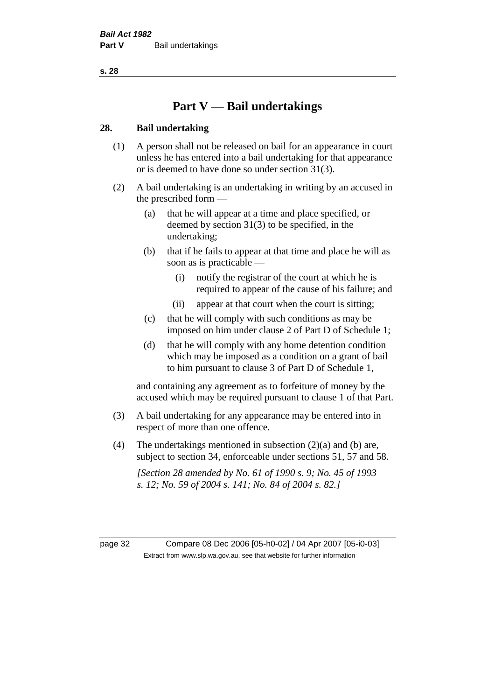## **Part V — Bail undertakings**

## **28. Bail undertaking**

- (1) A person shall not be released on bail for an appearance in court unless he has entered into a bail undertaking for that appearance or is deemed to have done so under section 31(3).
- (2) A bail undertaking is an undertaking in writing by an accused in the prescribed form —
	- (a) that he will appear at a time and place specified, or deemed by section 31(3) to be specified, in the undertaking;
	- (b) that if he fails to appear at that time and place he will as soon as is practicable —
		- (i) notify the registrar of the court at which he is required to appear of the cause of his failure; and
		- (ii) appear at that court when the court is sitting;
	- (c) that he will comply with such conditions as may be imposed on him under clause 2 of Part D of Schedule 1;
	- (d) that he will comply with any home detention condition which may be imposed as a condition on a grant of bail to him pursuant to clause 3 of Part D of Schedule 1,

and containing any agreement as to forfeiture of money by the accused which may be required pursuant to clause 1 of that Part.

- (3) A bail undertaking for any appearance may be entered into in respect of more than one offence.
- (4) The undertakings mentioned in subsection  $(2)(a)$  and (b) are, subject to section 34, enforceable under sections 51, 57 and 58.

*[Section 28 amended by No. 61 of 1990 s. 9; No. 45 of 1993 s. 12; No. 59 of 2004 s. 141; No. 84 of 2004 s. 82.]* 

page 32 Compare 08 Dec 2006 [05-h0-02] / 04 Apr 2007 [05-i0-03] Extract from www.slp.wa.gov.au, see that website for further information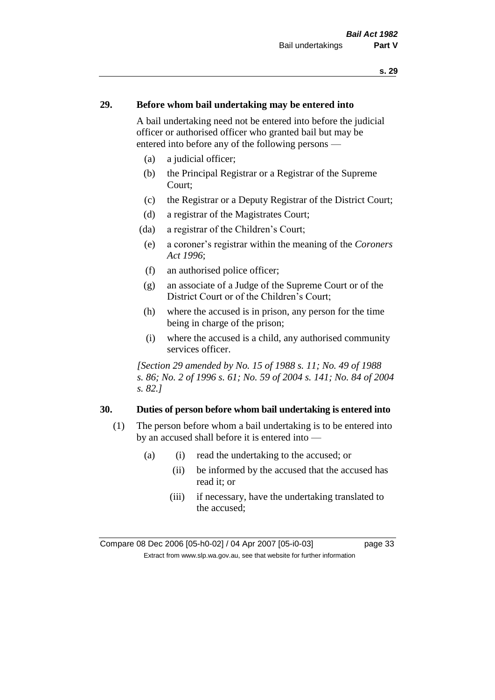## **29. Before whom bail undertaking may be entered into**

A bail undertaking need not be entered into before the judicial officer or authorised officer who granted bail but may be entered into before any of the following persons —

- (a) a judicial officer;
- (b) the Principal Registrar or a Registrar of the Supreme Court;
- (c) the Registrar or a Deputy Registrar of the District Court;
- (d) a registrar of the Magistrates Court;
- (da) a registrar of the Children's Court;
- (e) a coroner's registrar within the meaning of the *Coroners Act 1996*;
- (f) an authorised police officer;
- (g) an associate of a Judge of the Supreme Court or of the District Court or of the Children's Court;
- (h) where the accused is in prison, any person for the time being in charge of the prison;
- (i) where the accused is a child, any authorised community services officer.

*[Section 29 amended by No. 15 of 1988 s. 11; No. 49 of 1988 s. 86; No. 2 of 1996 s. 61; No. 59 of 2004 s. 141; No. 84 of 2004 s. 82.]* 

#### **30. Duties of person before whom bail undertaking is entered into**

- (1) The person before whom a bail undertaking is to be entered into by an accused shall before it is entered into —
	- (a) (i) read the undertaking to the accused; or
		- (ii) be informed by the accused that the accused has read it; or
		- (iii) if necessary, have the undertaking translated to the accused;

Compare 08 Dec 2006 [05-h0-02] / 04 Apr 2007 [05-i0-03] page 33 Extract from www.slp.wa.gov.au, see that website for further information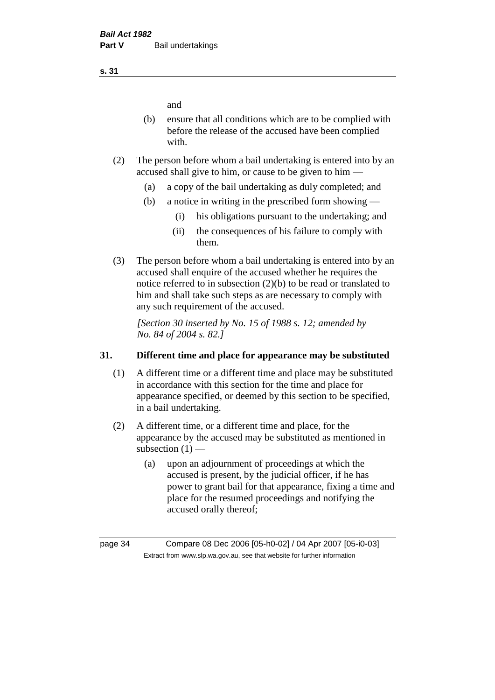and

- (b) ensure that all conditions which are to be complied with before the release of the accused have been complied with.
- (2) The person before whom a bail undertaking is entered into by an accused shall give to him, or cause to be given to him —
	- (a) a copy of the bail undertaking as duly completed; and
	- (b) a notice in writing in the prescribed form showing
		- (i) his obligations pursuant to the undertaking; and
		- (ii) the consequences of his failure to comply with them.
- (3) The person before whom a bail undertaking is entered into by an accused shall enquire of the accused whether he requires the notice referred to in subsection (2)(b) to be read or translated to him and shall take such steps as are necessary to comply with any such requirement of the accused.

*[Section 30 inserted by No. 15 of 1988 s. 12; amended by No. 84 of 2004 s. 82.]* 

#### **31. Different time and place for appearance may be substituted**

- (1) A different time or a different time and place may be substituted in accordance with this section for the time and place for appearance specified, or deemed by this section to be specified, in a bail undertaking.
- (2) A different time, or a different time and place, for the appearance by the accused may be substituted as mentioned in subsection  $(1)$  —
	- (a) upon an adjournment of proceedings at which the accused is present, by the judicial officer, if he has power to grant bail for that appearance, fixing a time and place for the resumed proceedings and notifying the accused orally thereof;

**s. 31**

page 34 Compare 08 Dec 2006 [05-h0-02] / 04 Apr 2007 [05-i0-03] Extract from www.slp.wa.gov.au, see that website for further information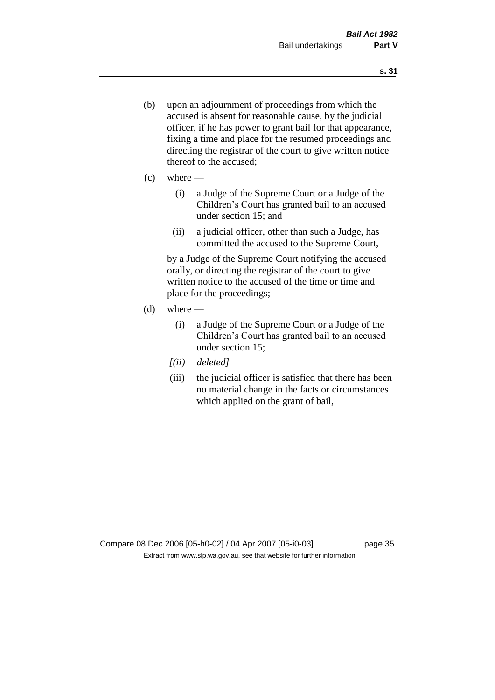- (b) upon an adjournment of proceedings from which the accused is absent for reasonable cause, by the judicial officer, if he has power to grant bail for that appearance, fixing a time and place for the resumed proceedings and directing the registrar of the court to give written notice thereof to the accused;
- $(c)$  where
	- (i) a Judge of the Supreme Court or a Judge of the Children's Court has granted bail to an accused under section 15; and
	- (ii) a judicial officer, other than such a Judge, has committed the accused to the Supreme Court,

by a Judge of the Supreme Court notifying the accused orally, or directing the registrar of the court to give written notice to the accused of the time or time and place for the proceedings;

- $(d)$  where
	- (i) a Judge of the Supreme Court or a Judge of the Children's Court has granted bail to an accused under section 15;
	- *[(ii) deleted]*
	- (iii) the judicial officer is satisfied that there has been no material change in the facts or circumstances which applied on the grant of bail,

Compare 08 Dec 2006 [05-h0-02] / 04 Apr 2007 [05-i0-03] page 35 Extract from www.slp.wa.gov.au, see that website for further information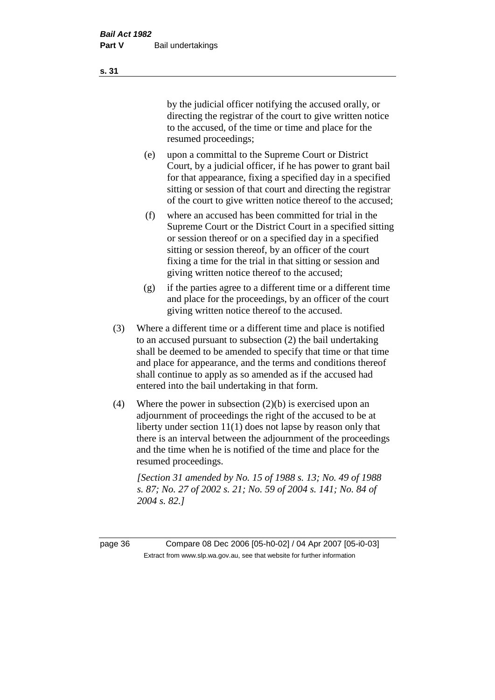by the judicial officer notifying the accused orally, or directing the registrar of the court to give written notice to the accused, of the time or time and place for the resumed proceedings;

- (e) upon a committal to the Supreme Court or District Court, by a judicial officer, if he has power to grant bail for that appearance, fixing a specified day in a specified sitting or session of that court and directing the registrar of the court to give written notice thereof to the accused;
- (f) where an accused has been committed for trial in the Supreme Court or the District Court in a specified sitting or session thereof or on a specified day in a specified sitting or session thereof, by an officer of the court fixing a time for the trial in that sitting or session and giving written notice thereof to the accused;
- (g) if the parties agree to a different time or a different time and place for the proceedings, by an officer of the court giving written notice thereof to the accused.
- (3) Where a different time or a different time and place is notified to an accused pursuant to subsection (2) the bail undertaking shall be deemed to be amended to specify that time or that time and place for appearance, and the terms and conditions thereof shall continue to apply as so amended as if the accused had entered into the bail undertaking in that form.
- (4) Where the power in subsection (2)(b) is exercised upon an adjournment of proceedings the right of the accused to be at liberty under section 11(1) does not lapse by reason only that there is an interval between the adjournment of the proceedings and the time when he is notified of the time and place for the resumed proceedings.

*[Section 31 amended by No. 15 of 1988 s. 13; No. 49 of 1988 s. 87; No. 27 of 2002 s. 21; No. 59 of 2004 s. 141; No. 84 of 2004 s. 82.]* 

page 36 Compare 08 Dec 2006 [05-h0-02] / 04 Apr 2007 [05-i0-03] Extract from www.slp.wa.gov.au, see that website for further information

**s. 31**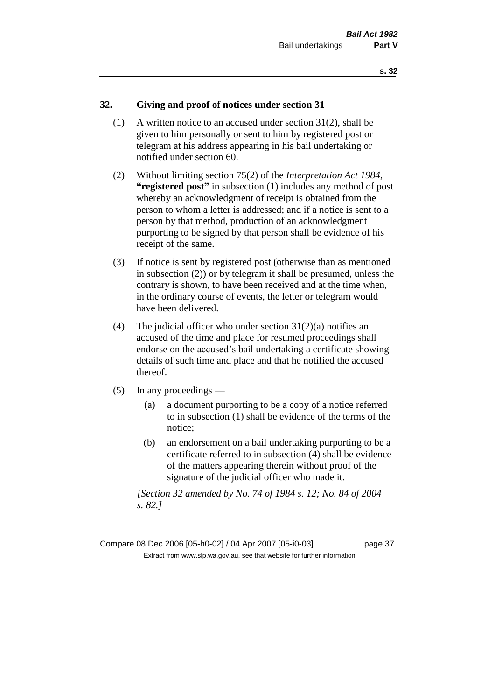# **32. Giving and proof of notices under section 31**

- (1) A written notice to an accused under section 31(2), shall be given to him personally or sent to him by registered post or telegram at his address appearing in his bail undertaking or notified under section 60.
- (2) Without limiting section 75(2) of the *Interpretation Act 1984*, **"registered post"** in subsection (1) includes any method of post whereby an acknowledgment of receipt is obtained from the person to whom a letter is addressed; and if a notice is sent to a person by that method, production of an acknowledgment purporting to be signed by that person shall be evidence of his receipt of the same.
- (3) If notice is sent by registered post (otherwise than as mentioned in subsection (2)) or by telegram it shall be presumed, unless the contrary is shown, to have been received and at the time when, in the ordinary course of events, the letter or telegram would have been delivered.
- (4) The judicial officer who under section  $31(2)(a)$  notifies an accused of the time and place for resumed proceedings shall endorse on the accused's bail undertaking a certificate showing details of such time and place and that he notified the accused thereof.
- (5) In any proceedings
	- (a) a document purporting to be a copy of a notice referred to in subsection (1) shall be evidence of the terms of the notice;
	- (b) an endorsement on a bail undertaking purporting to be a certificate referred to in subsection (4) shall be evidence of the matters appearing therein without proof of the signature of the judicial officer who made it.

*[Section 32 amended by No. 74 of 1984 s. 12; No. 84 of 2004 s. 82.]*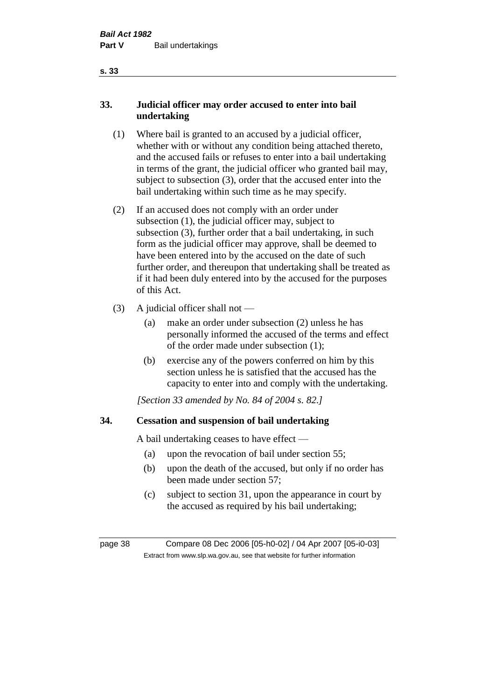# **33. Judicial officer may order accused to enter into bail undertaking**

- (1) Where bail is granted to an accused by a judicial officer, whether with or without any condition being attached thereto, and the accused fails or refuses to enter into a bail undertaking in terms of the grant, the judicial officer who granted bail may, subject to subsection (3), order that the accused enter into the bail undertaking within such time as he may specify.
- (2) If an accused does not comply with an order under subsection (1), the judicial officer may, subject to subsection (3), further order that a bail undertaking, in such form as the judicial officer may approve, shall be deemed to have been entered into by the accused on the date of such further order, and thereupon that undertaking shall be treated as if it had been duly entered into by the accused for the purposes of this Act.
- (3) A judicial officer shall not
	- (a) make an order under subsection (2) unless he has personally informed the accused of the terms and effect of the order made under subsection (1);
	- (b) exercise any of the powers conferred on him by this section unless he is satisfied that the accused has the capacity to enter into and comply with the undertaking.

*[Section 33 amended by No. 84 of 2004 s. 82.]* 

# **34. Cessation and suspension of bail undertaking**

A bail undertaking ceases to have effect —

- (a) upon the revocation of bail under section 55;
- (b) upon the death of the accused, but only if no order has been made under section 57;
- (c) subject to section 31, upon the appearance in court by the accused as required by his bail undertaking;

| page 38 | Compare 08 Dec 2006 [05-h0-02] / 04 Apr 2007 [05-i0-03]                  |
|---------|--------------------------------------------------------------------------|
|         | Extract from www.slp.wa.gov.au, see that website for further information |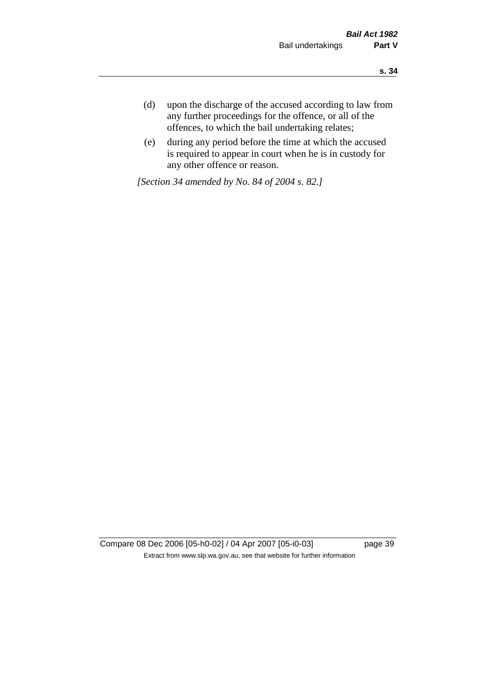- **s. 34**
- (d) upon the discharge of the accused according to law from any further proceedings for the offence, or all of the offences, to which the bail undertaking relates;
- (e) during any period before the time at which the accused is required to appear in court when he is in custody for any other offence or reason.

*[Section 34 amended by No. 84 of 2004 s. 82.]* 

Compare 08 Dec 2006 [05-h0-02] / 04 Apr 2007 [05-i0-03] page 39 Extract from www.slp.wa.gov.au, see that website for further information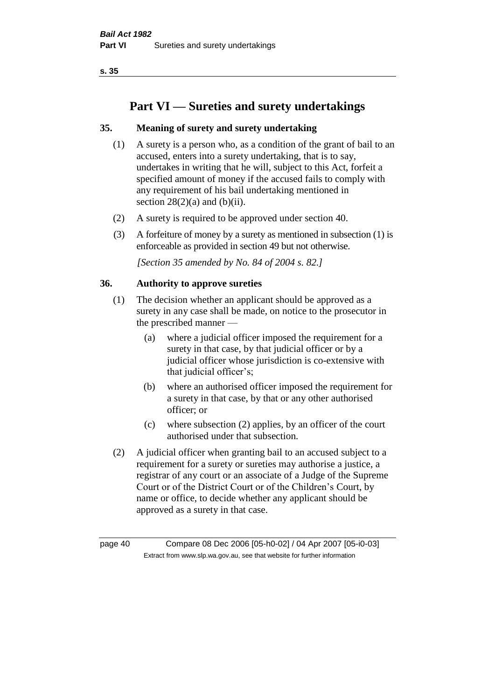# **Part VI — Sureties and surety undertakings**

# **35. Meaning of surety and surety undertaking**

- (1) A surety is a person who, as a condition of the grant of bail to an accused, enters into a surety undertaking, that is to say, undertakes in writing that he will, subject to this Act, forfeit a specified amount of money if the accused fails to comply with any requirement of his bail undertaking mentioned in section  $28(2)(a)$  and  $(b)(ii)$ .
- (2) A surety is required to be approved under section 40.
- (3) A forfeiture of money by a surety as mentioned in subsection (1) is enforceable as provided in section 49 but not otherwise.

*[Section 35 amended by No. 84 of 2004 s. 82.]* 

#### **36. Authority to approve sureties**

- (1) The decision whether an applicant should be approved as a surety in any case shall be made, on notice to the prosecutor in the prescribed manner —
	- (a) where a judicial officer imposed the requirement for a surety in that case, by that judicial officer or by a judicial officer whose jurisdiction is co-extensive with that judicial officer's;
	- (b) where an authorised officer imposed the requirement for a surety in that case, by that or any other authorised officer; or
	- (c) where subsection (2) applies, by an officer of the court authorised under that subsection.
- (2) A judicial officer when granting bail to an accused subject to a requirement for a surety or sureties may authorise a justice, a registrar of any court or an associate of a Judge of the Supreme Court or of the District Court or of the Children's Court, by name or office, to decide whether any applicant should be approved as a surety in that case.

page 40 Compare 08 Dec 2006 [05-h0-02] / 04 Apr 2007 [05-i0-03] Extract from www.slp.wa.gov.au, see that website for further information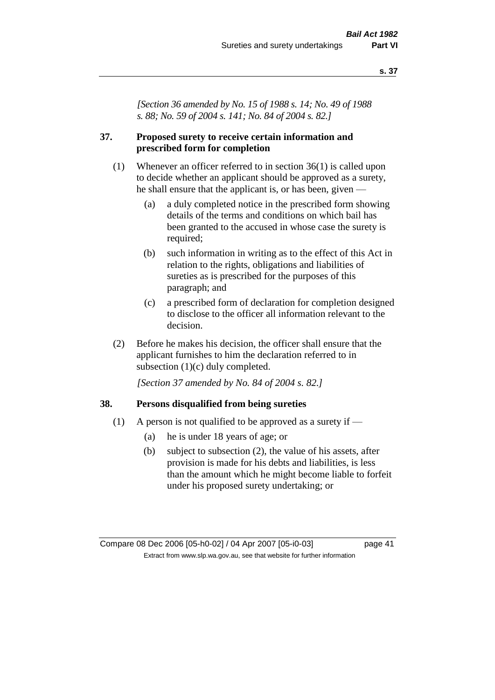*[Section 36 amended by No. 15 of 1988 s. 14; No. 49 of 1988 s. 88; No. 59 of 2004 s. 141; No. 84 of 2004 s. 82.]* 

## **37. Proposed surety to receive certain information and prescribed form for completion**

- (1) Whenever an officer referred to in section 36(1) is called upon to decide whether an applicant should be approved as a surety, he shall ensure that the applicant is, or has been, given —
	- (a) a duly completed notice in the prescribed form showing details of the terms and conditions on which bail has been granted to the accused in whose case the surety is required;
	- (b) such information in writing as to the effect of this Act in relation to the rights, obligations and liabilities of sureties as is prescribed for the purposes of this paragraph; and
	- (c) a prescribed form of declaration for completion designed to disclose to the officer all information relevant to the decision.
- (2) Before he makes his decision, the officer shall ensure that the applicant furnishes to him the declaration referred to in subsection (1)(c) duly completed.

*[Section 37 amended by No. 84 of 2004 s. 82.]* 

#### **38. Persons disqualified from being sureties**

- (1) A person is not qualified to be approved as a surety if  $-$ 
	- (a) he is under 18 years of age; or
	- (b) subject to subsection (2), the value of his assets, after provision is made for his debts and liabilities, is less than the amount which he might become liable to forfeit under his proposed surety undertaking; or

Compare 08 Dec 2006 [05-h0-02] / 04 Apr 2007 [05-i0-03] page 41 Extract from www.slp.wa.gov.au, see that website for further information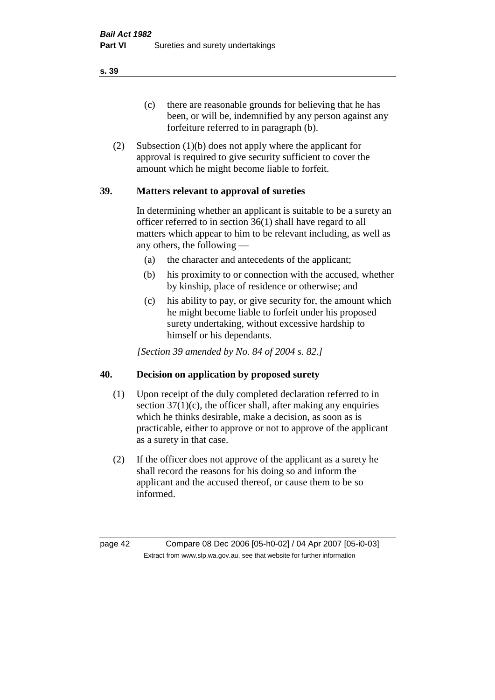(c) there are reasonable grounds for believing that he has been, or will be, indemnified by any person against any forfeiture referred to in paragraph (b).

(2) Subsection (1)(b) does not apply where the applicant for approval is required to give security sufficient to cover the amount which he might become liable to forfeit.

# **39. Matters relevant to approval of sureties**

In determining whether an applicant is suitable to be a surety an officer referred to in section 36(1) shall have regard to all matters which appear to him to be relevant including, as well as any others, the following —

- (a) the character and antecedents of the applicant;
- (b) his proximity to or connection with the accused, whether by kinship, place of residence or otherwise; and
- (c) his ability to pay, or give security for, the amount which he might become liable to forfeit under his proposed surety undertaking, without excessive hardship to himself or his dependants.

*[Section 39 amended by No. 84 of 2004 s. 82.]* 

#### **40. Decision on application by proposed surety**

- (1) Upon receipt of the duly completed declaration referred to in section  $37(1)(c)$ , the officer shall, after making any enquiries which he thinks desirable, make a decision, as soon as is practicable, either to approve or not to approve of the applicant as a surety in that case.
- (2) If the officer does not approve of the applicant as a surety he shall record the reasons for his doing so and inform the applicant and the accused thereof, or cause them to be so informed.

page 42 Compare 08 Dec 2006 [05-h0-02] / 04 Apr 2007 [05-i0-03] Extract from www.slp.wa.gov.au, see that website for further information

**s. 39**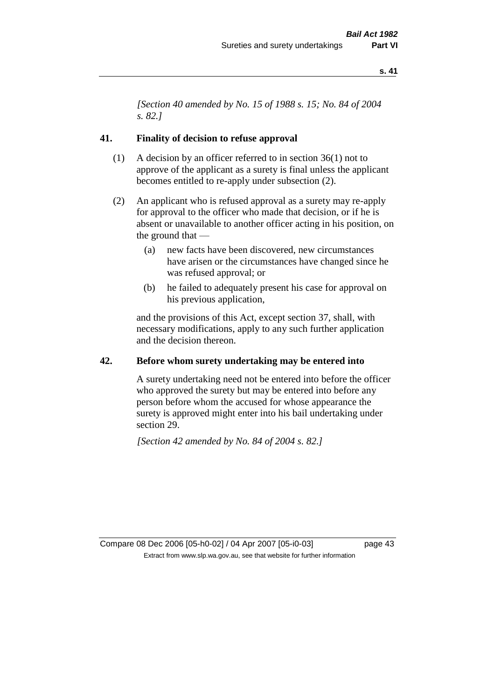*[Section 40 amended by No. 15 of 1988 s. 15; No. 84 of 2004 s. 82.]* 

#### **41. Finality of decision to refuse approval**

- (1) A decision by an officer referred to in section 36(1) not to approve of the applicant as a surety is final unless the applicant becomes entitled to re-apply under subsection (2).
- (2) An applicant who is refused approval as a surety may re-apply for approval to the officer who made that decision, or if he is absent or unavailable to another officer acting in his position, on the ground that —
	- (a) new facts have been discovered, new circumstances have arisen or the circumstances have changed since he was refused approval; or
	- (b) he failed to adequately present his case for approval on his previous application,

and the provisions of this Act, except section 37, shall, with necessary modifications, apply to any such further application and the decision thereon.

#### **42. Before whom surety undertaking may be entered into**

A surety undertaking need not be entered into before the officer who approved the surety but may be entered into before any person before whom the accused for whose appearance the surety is approved might enter into his bail undertaking under section 29.

*[Section 42 amended by No. 84 of 2004 s. 82.]* 

Compare 08 Dec 2006 [05-h0-02] / 04 Apr 2007 [05-i0-03] page 43 Extract from www.slp.wa.gov.au, see that website for further information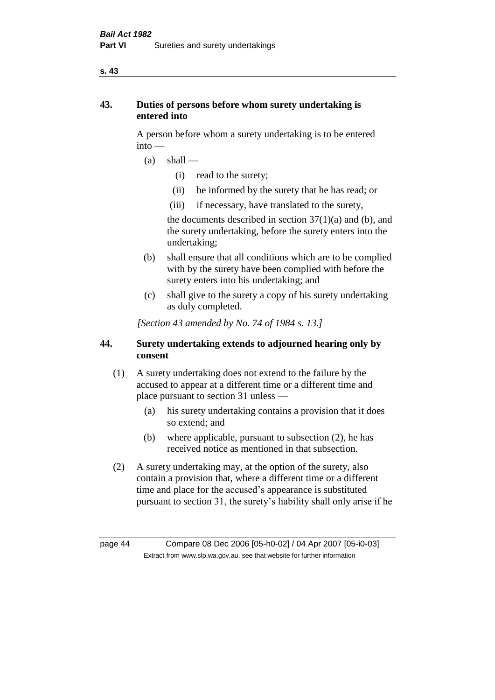# **43. Duties of persons before whom surety undertaking is entered into**

A person before whom a surety undertaking is to be entered into —

- $(a)$  shall
	- (i) read to the surety;
	- (ii) be informed by the surety that he has read; or
	- (iii) if necessary, have translated to the surety,

the documents described in section  $37(1)(a)$  and (b), and the surety undertaking, before the surety enters into the undertaking;

- (b) shall ensure that all conditions which are to be complied with by the surety have been complied with before the surety enters into his undertaking; and
- (c) shall give to the surety a copy of his surety undertaking as duly completed.

*[Section 43 amended by No. 74 of 1984 s. 13.]* 

# **44. Surety undertaking extends to adjourned hearing only by consent**

- (1) A surety undertaking does not extend to the failure by the accused to appear at a different time or a different time and place pursuant to section 31 unless —
	- (a) his surety undertaking contains a provision that it does so extend; and
	- (b) where applicable, pursuant to subsection (2), he has received notice as mentioned in that subsection.
- (2) A surety undertaking may, at the option of the surety, also contain a provision that, where a different time or a different time and place for the accused's appearance is substituted pursuant to section 31, the surety's liability shall only arise if he

page 44 Compare 08 Dec 2006 [05-h0-02] / 04 Apr 2007 [05-i0-03] Extract from www.slp.wa.gov.au, see that website for further information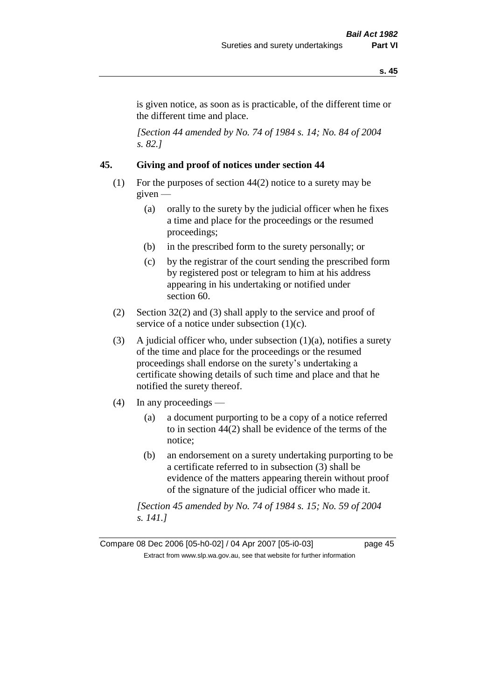is given notice, as soon as is practicable, of the different time or the different time and place.

*[Section 44 amended by No. 74 of 1984 s. 14; No. 84 of 2004 s. 82.]* 

# **45. Giving and proof of notices under section 44**

- (1) For the purposes of section 44(2) notice to a surety may be given —
	- (a) orally to the surety by the judicial officer when he fixes a time and place for the proceedings or the resumed proceedings;
	- (b) in the prescribed form to the surety personally; or
	- (c) by the registrar of the court sending the prescribed form by registered post or telegram to him at his address appearing in his undertaking or notified under section 60.
- (2) Section 32(2) and (3) shall apply to the service and proof of service of a notice under subsection  $(1)(c)$ .
- (3) A judicial officer who, under subsection  $(1)(a)$ , notifies a surety of the time and place for the proceedings or the resumed proceedings shall endorse on the surety's undertaking a certificate showing details of such time and place and that he notified the surety thereof.
- (4) In any proceedings
	- (a) a document purporting to be a copy of a notice referred to in section 44(2) shall be evidence of the terms of the notice;
	- (b) an endorsement on a surety undertaking purporting to be a certificate referred to in subsection (3) shall be evidence of the matters appearing therein without proof of the signature of the judicial officer who made it.

*[Section 45 amended by No. 74 of 1984 s. 15; No. 59 of 2004 s. 141.]* 

Compare 08 Dec 2006 [05-h0-02] / 04 Apr 2007 [05-i0-03] page 45 Extract from www.slp.wa.gov.au, see that website for further information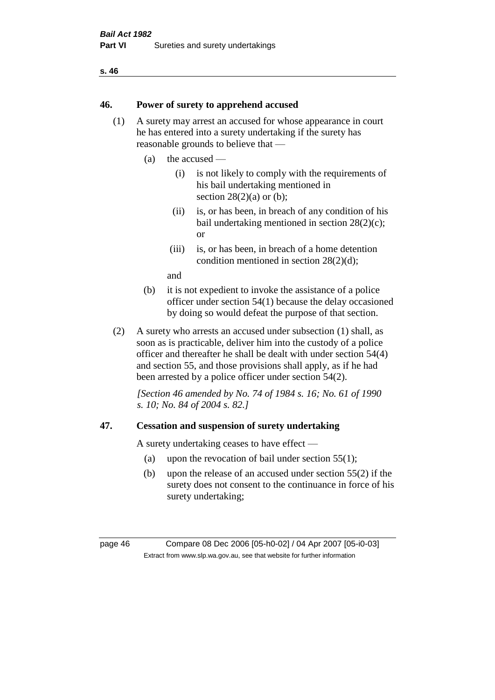#### **46. Power of surety to apprehend accused**

- (1) A surety may arrest an accused for whose appearance in court he has entered into a surety undertaking if the surety has reasonable grounds to believe that —
	- (a) the accused
		- (i) is not likely to comply with the requirements of his bail undertaking mentioned in section  $28(2)(a)$  or (b):
		- (ii) is, or has been, in breach of any condition of his bail undertaking mentioned in section 28(2)(c); or
		- (iii) is, or has been, in breach of a home detention condition mentioned in section 28(2)(d);

and

- (b) it is not expedient to invoke the assistance of a police officer under section 54(1) because the delay occasioned by doing so would defeat the purpose of that section.
- (2) A surety who arrests an accused under subsection (1) shall, as soon as is practicable, deliver him into the custody of a police officer and thereafter he shall be dealt with under section 54(4) and section 55, and those provisions shall apply, as if he had been arrested by a police officer under section 54(2).

*[Section 46 amended by No. 74 of 1984 s. 16; No. 61 of 1990 s. 10; No. 84 of 2004 s. 82.]* 

#### **47. Cessation and suspension of surety undertaking**

A surety undertaking ceases to have effect —

- (a) upon the revocation of bail under section  $55(1)$ ;
- (b) upon the release of an accused under section 55(2) if the surety does not consent to the continuance in force of his surety undertaking;

page 46 Compare 08 Dec 2006 [05-h0-02] / 04 Apr 2007 [05-i0-03] Extract from www.slp.wa.gov.au, see that website for further information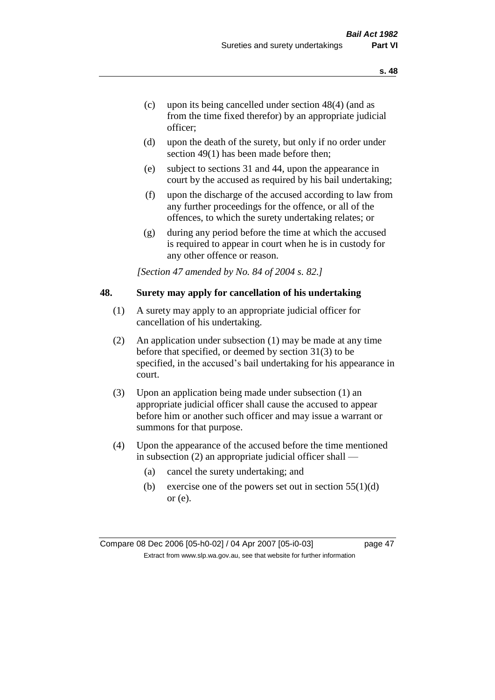- (c) upon its being cancelled under section 48(4) (and as from the time fixed therefor) by an appropriate judicial officer;
- (d) upon the death of the surety, but only if no order under section 49(1) has been made before then;
- (e) subject to sections 31 and 44, upon the appearance in court by the accused as required by his bail undertaking;
- (f) upon the discharge of the accused according to law from any further proceedings for the offence, or all of the offences, to which the surety undertaking relates; or
- (g) during any period before the time at which the accused is required to appear in court when he is in custody for any other offence or reason.

*[Section 47 amended by No. 84 of 2004 s. 82.]* 

#### **48. Surety may apply for cancellation of his undertaking**

- (1) A surety may apply to an appropriate judicial officer for cancellation of his undertaking.
- (2) An application under subsection (1) may be made at any time before that specified, or deemed by section 31(3) to be specified, in the accused's bail undertaking for his appearance in court.
- (3) Upon an application being made under subsection (1) an appropriate judicial officer shall cause the accused to appear before him or another such officer and may issue a warrant or summons for that purpose.
- (4) Upon the appearance of the accused before the time mentioned in subsection (2) an appropriate judicial officer shall —
	- (a) cancel the surety undertaking; and
	- (b) exercise one of the powers set out in section  $55(1)(d)$ or (e).

Compare 08 Dec 2006 [05-h0-02] / 04 Apr 2007 [05-i0-03] page 47 Extract from www.slp.wa.gov.au, see that website for further information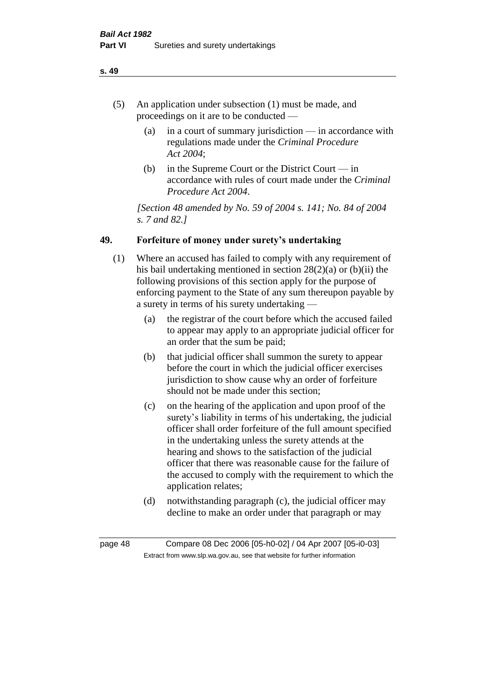- (5) An application under subsection (1) must be made, and proceedings on it are to be conducted —
	- (a) in a court of summary jurisdiction in accordance with regulations made under the *Criminal Procedure Act 2004*;
	- (b) in the Supreme Court or the District Court  $-\text{in}$ accordance with rules of court made under the *Criminal Procedure Act 2004*.

*[Section 48 amended by No. 59 of 2004 s. 141; No. 84 of 2004 s. 7 and 82.]* 

# **49. Forfeiture of money under surety's undertaking**

- (1) Where an accused has failed to comply with any requirement of his bail undertaking mentioned in section 28(2)(a) or (b)(ii) the following provisions of this section apply for the purpose of enforcing payment to the State of any sum thereupon payable by a surety in terms of his surety undertaking —
	- (a) the registrar of the court before which the accused failed to appear may apply to an appropriate judicial officer for an order that the sum be paid;
	- (b) that judicial officer shall summon the surety to appear before the court in which the judicial officer exercises jurisdiction to show cause why an order of forfeiture should not be made under this section;
	- (c) on the hearing of the application and upon proof of the surety's liability in terms of his undertaking, the judicial officer shall order forfeiture of the full amount specified in the undertaking unless the surety attends at the hearing and shows to the satisfaction of the judicial officer that there was reasonable cause for the failure of the accused to comply with the requirement to which the application relates;
	- (d) notwithstanding paragraph (c), the judicial officer may decline to make an order under that paragraph or may

page 48 Compare 08 Dec 2006 [05-h0-02] / 04 Apr 2007 [05-i0-03] Extract from www.slp.wa.gov.au, see that website for further information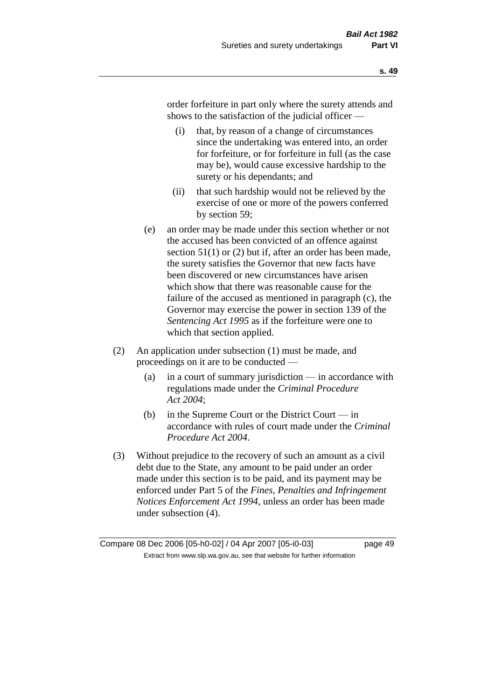order forfeiture in part only where the surety attends and shows to the satisfaction of the judicial officer —

- (i) that, by reason of a change of circumstances since the undertaking was entered into, an order for forfeiture, or for forfeiture in full (as the case may be), would cause excessive hardship to the surety or his dependants; and
- (ii) that such hardship would not be relieved by the exercise of one or more of the powers conferred by section 59;
- (e) an order may be made under this section whether or not the accused has been convicted of an offence against section 51(1) or (2) but if, after an order has been made, the surety satisfies the Governor that new facts have been discovered or new circumstances have arisen which show that there was reasonable cause for the failure of the accused as mentioned in paragraph (c), the Governor may exercise the power in section 139 of the *Sentencing Act 1995* as if the forfeiture were one to which that section applied.
- (2) An application under subsection (1) must be made, and proceedings on it are to be conducted —
	- (a) in a court of summary jurisdiction in accordance with regulations made under the *Criminal Procedure Act 2004*;
	- (b) in the Supreme Court or the District Court  $-\text{in}$ accordance with rules of court made under the *Criminal Procedure Act 2004*.
- (3) Without prejudice to the recovery of such an amount as a civil debt due to the State, any amount to be paid under an order made under this section is to be paid, and its payment may be enforced under Part 5 of the *Fines, Penalties and Infringement Notices Enforcement Act 1994*, unless an order has been made under subsection (4).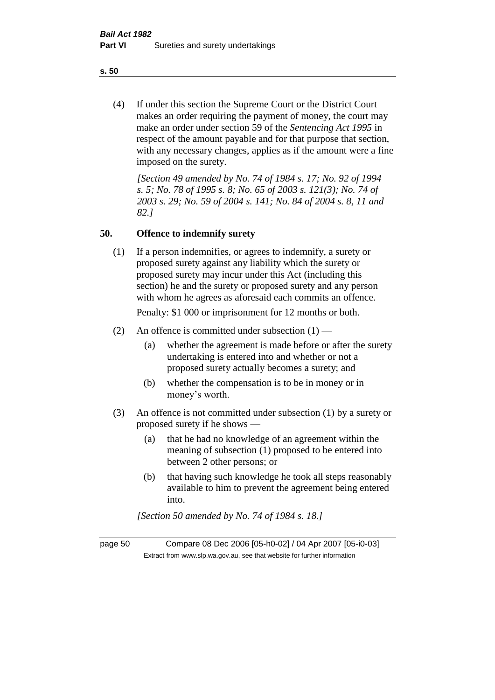(4) If under this section the Supreme Court or the District Court makes an order requiring the payment of money, the court may make an order under section 59 of the *Sentencing Act 1995* in respect of the amount payable and for that purpose that section, with any necessary changes, applies as if the amount were a fine imposed on the surety.

*[Section 49 amended by No. 74 of 1984 s. 17; No. 92 of 1994 s. 5; No. 78 of 1995 s. 8; No. 65 of 2003 s. 121(3); No. 74 of 2003 s. 29; No. 59 of 2004 s. 141; No. 84 of 2004 s. 8, 11 and 82.]* 

#### **50. Offence to indemnify surety**

(1) If a person indemnifies, or agrees to indemnify, a surety or proposed surety against any liability which the surety or proposed surety may incur under this Act (including this section) he and the surety or proposed surety and any person with whom he agrees as aforesaid each commits an offence.

Penalty: \$1 000 or imprisonment for 12 months or both.

- (2) An offence is committed under subsection  $(1)$ 
	- (a) whether the agreement is made before or after the surety undertaking is entered into and whether or not a proposed surety actually becomes a surety; and
	- (b) whether the compensation is to be in money or in money's worth.
- (3) An offence is not committed under subsection (1) by a surety or proposed surety if he shows —
	- (a) that he had no knowledge of an agreement within the meaning of subsection (1) proposed to be entered into between 2 other persons; or
	- (b) that having such knowledge he took all steps reasonably available to him to prevent the agreement being entered into.

*[Section 50 amended by No. 74 of 1984 s. 18.]* 

page 50 Compare 08 Dec 2006 [05-h0-02] / 04 Apr 2007 [05-i0-03] Extract from www.slp.wa.gov.au, see that website for further information

**s. 50**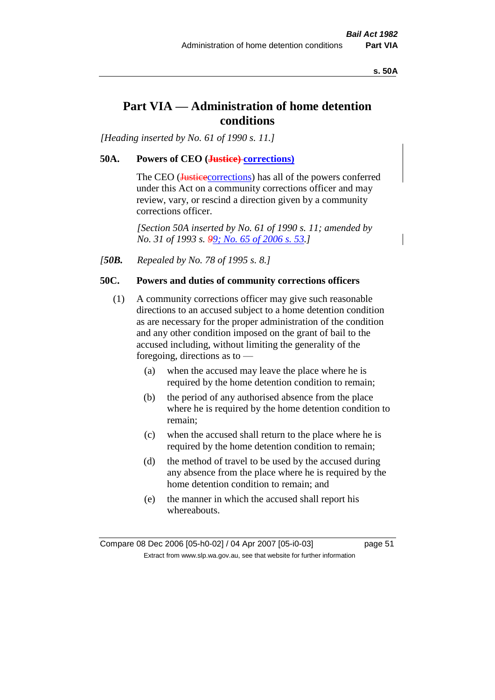**s. 50A**

# **Part VIA — Administration of home detention conditions**

*[Heading inserted by No. 61 of 1990 s. 11.]* 

# **50A. Powers of CEO (Justice) corrections)**

The CEO (Justicecorrections) has all of the powers conferred under this Act on a community corrections officer and may review, vary, or rescind a direction given by a community corrections officer.

*[Section 50A inserted by No. 61 of 1990 s. 11; amended by No. 31 of 1993 s. 99; No. 65 of 2006 s. 53.]* 

*[50B. Repealed by No. 78 of 1995 s. 8.]* 

# **50C. Powers and duties of community corrections officers**

- (1) A community corrections officer may give such reasonable directions to an accused subject to a home detention condition as are necessary for the proper administration of the condition and any other condition imposed on the grant of bail to the accused including, without limiting the generality of the foregoing, directions as to —
	- (a) when the accused may leave the place where he is required by the home detention condition to remain;
	- (b) the period of any authorised absence from the place where he is required by the home detention condition to remain;
	- (c) when the accused shall return to the place where he is required by the home detention condition to remain;
	- (d) the method of travel to be used by the accused during any absence from the place where he is required by the home detention condition to remain; and
	- (e) the manner in which the accused shall report his whereabouts.

Compare 08 Dec 2006 [05-h0-02] / 04 Apr 2007 [05-i0-03] page 51 Extract from www.slp.wa.gov.au, see that website for further information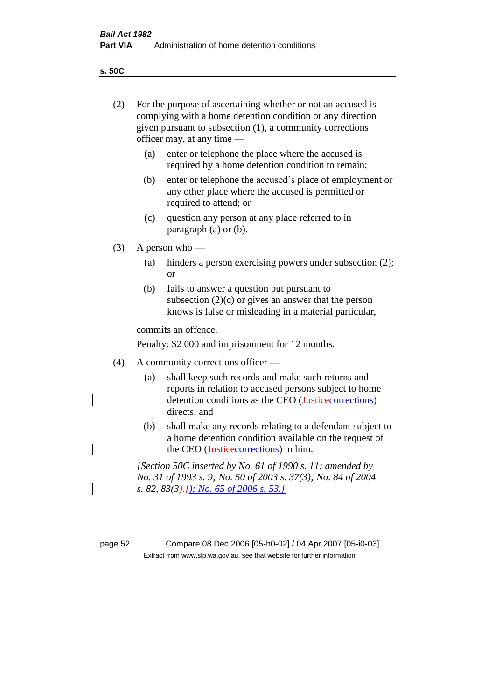**s. 50C**

| (2) | For the purpose of ascertaining whether or not an accused is<br>complying with a home detention condition or any direction<br>given pursuant to subsection (1), a community corrections<br>officer may, at any time — |                                                                                                                                                                                      |  |  |  |
|-----|-----------------------------------------------------------------------------------------------------------------------------------------------------------------------------------------------------------------------|--------------------------------------------------------------------------------------------------------------------------------------------------------------------------------------|--|--|--|
|     | (a)                                                                                                                                                                                                                   | enter or telephone the place where the accused is<br>required by a home detention condition to remain;                                                                               |  |  |  |
|     | (b)                                                                                                                                                                                                                   | enter or telephone the accused's place of employment or<br>any other place where the accused is permitted or<br>required to attend; or                                               |  |  |  |
|     | (c)                                                                                                                                                                                                                   | question any person at any place referred to in<br>paragraph (a) or (b).                                                                                                             |  |  |  |
| (3) | A person who $-$                                                                                                                                                                                                      |                                                                                                                                                                                      |  |  |  |
|     | (a)                                                                                                                                                                                                                   | hinders a person exercising powers under subsection (2);<br>or                                                                                                                       |  |  |  |
|     | (b)                                                                                                                                                                                                                   | fails to answer a question put pursuant to<br>subsection $(2)(c)$ or gives an answer that the person<br>knows is false or misleading in a material particular,                       |  |  |  |
|     | commits an offence.                                                                                                                                                                                                   |                                                                                                                                                                                      |  |  |  |
|     | Penalty: \$2 000 and imprisonment for 12 months.                                                                                                                                                                      |                                                                                                                                                                                      |  |  |  |
| (4) | A community corrections officer -                                                                                                                                                                                     |                                                                                                                                                                                      |  |  |  |
|     | (a)                                                                                                                                                                                                                   | shall keep such records and make such returns and<br>reports in relation to accused persons subject to home<br>detention conditions as the CEO (Justice corrections)<br>directs; and |  |  |  |
|     | (b)                                                                                                                                                                                                                   | shall make any records relating to a defendant subject to<br>a home detention condition available on the request of<br>the CEO (Justicecorrections) to him.                          |  |  |  |
|     | [Section 50C inserted by No. 61 of 1990 s. 11; amended by<br>No. 31 of 1993 s. 9; No. 50 of 2003 s. 37(3); No. 84 of 2004                                                                                             |                                                                                                                                                                                      |  |  |  |

page 52 Compare 08 Dec 2006 [05-h0-02] / 04 Apr 2007 [05-i0-03] Extract from www.slp.wa.gov.au, see that website for further information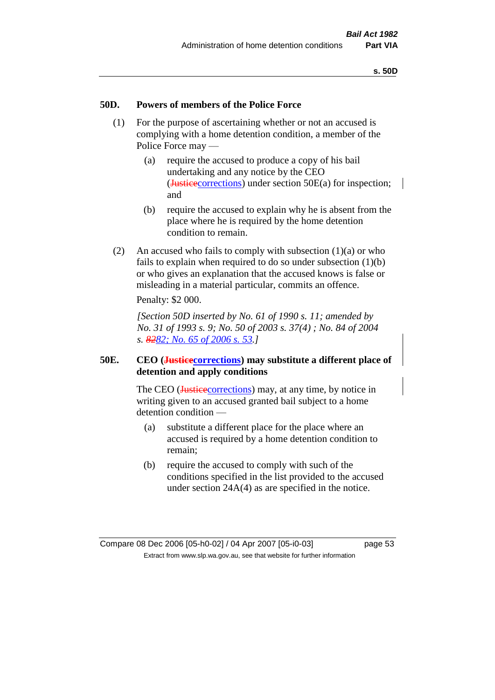#### **50D. Powers of members of the Police Force**

- (1) For the purpose of ascertaining whether or not an accused is complying with a home detention condition, a member of the Police Force may —
	- (a) require the accused to produce a copy of his bail undertaking and any notice by the CEO (Justicecorrections) under section 50E(a) for inspection; and
	- (b) require the accused to explain why he is absent from the place where he is required by the home detention condition to remain.
- (2) An accused who fails to comply with subsection (1)(a) or who fails to explain when required to do so under subsection (1)(b) or who gives an explanation that the accused knows is false or misleading in a material particular, commits an offence. Penalty: \$2 000.

*[Section 50D inserted by No. 61 of 1990 s. 11; amended by No. 31 of 1993 s. 9; No. 50 of 2003 s. 37(4) ; No. 84 of 2004 s. 8282; No. 65 of 2006 s. 53.]* 

### **50E. CEO (Justicecorrections) may substitute a different place of detention and apply conditions**

The CEO (Justice corrections) may, at any time, by notice in writing given to an accused granted bail subject to a home detention condition —

- (a) substitute a different place for the place where an accused is required by a home detention condition to remain;
- (b) require the accused to comply with such of the conditions specified in the list provided to the accused under section 24A(4) as are specified in the notice.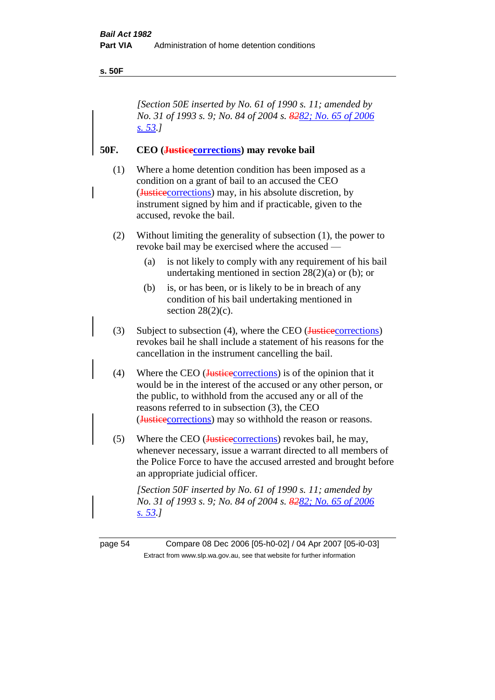#### **s. 50F**

*[Section 50E inserted by No. 61 of 1990 s. 11; amended by No. 31 of 1993 s. 9; No. 84 of 2004 s. 8282; No. 65 of 2006 s. 53.]* 

## **50F. CEO (Justicecorrections) may revoke bail**

- (1) Where a home detention condition has been imposed as a condition on a grant of bail to an accused the CEO (Justicecorrections) may, in his absolute discretion, by instrument signed by him and if practicable, given to the accused, revoke the bail.
- (2) Without limiting the generality of subsection (1), the power to revoke bail may be exercised where the accused —
	- (a) is not likely to comply with any requirement of his bail undertaking mentioned in section  $28(2)(a)$  or (b); or
	- (b) is, or has been, or is likely to be in breach of any condition of his bail undertaking mentioned in section  $28(2)(c)$ .
- (3) Subject to subsection (4), where the CEO ( $Justieecorrections$ ) revokes bail he shall include a statement of his reasons for the cancellation in the instrument cancelling the bail.
- (4) Where the CEO (Justice corrections) is of the opinion that it would be in the interest of the accused or any other person, or the public, to withhold from the accused any or all of the reasons referred to in subsection (3), the CEO (Justicecorrections) may so withhold the reason or reasons.
- (5) Where the CEO (*Justicecorrections*) revokes bail, he may, whenever necessary, issue a warrant directed to all members of the Police Force to have the accused arrested and brought before an appropriate judicial officer.

*[Section 50F inserted by No. 61 of 1990 s. 11; amended by No. 31 of 1993 s. 9; No. 84 of 2004 s. 8282; No. 65 of 2006 s. 53.]* 

page 54 Compare 08 Dec 2006 [05-h0-02] / 04 Apr 2007 [05-i0-03] Extract from www.slp.wa.gov.au, see that website for further information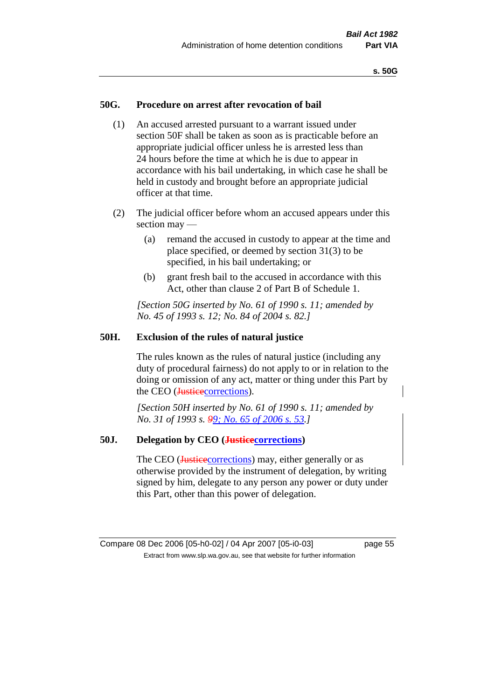#### **50G. Procedure on arrest after revocation of bail**

- (1) An accused arrested pursuant to a warrant issued under section 50F shall be taken as soon as is practicable before an appropriate judicial officer unless he is arrested less than 24 hours before the time at which he is due to appear in accordance with his bail undertaking, in which case he shall be held in custody and brought before an appropriate judicial officer at that time.
- (2) The judicial officer before whom an accused appears under this section may —
	- (a) remand the accused in custody to appear at the time and place specified, or deemed by section 31(3) to be specified, in his bail undertaking; or
	- (b) grant fresh bail to the accused in accordance with this Act, other than clause 2 of Part B of Schedule 1.

*[Section 50G inserted by No. 61 of 1990 s. 11; amended by No. 45 of 1993 s. 12; No. 84 of 2004 s. 82.]* 

#### **50H. Exclusion of the rules of natural justice**

The rules known as the rules of natural justice (including any duty of procedural fairness) do not apply to or in relation to the doing or omission of any act, matter or thing under this Part by the CEO (Justicecorrections).

*[Section 50H inserted by No. 61 of 1990 s. 11; amended by No. 31 of 1993 s. 99; No. 65 of 2006 s. 53.]* 

#### **50J. Delegation by CEO (Justicecorrections)**

The CEO (**Justice** corrections) may, either generally or as otherwise provided by the instrument of delegation, by writing signed by him, delegate to any person any power or duty under this Part, other than this power of delegation.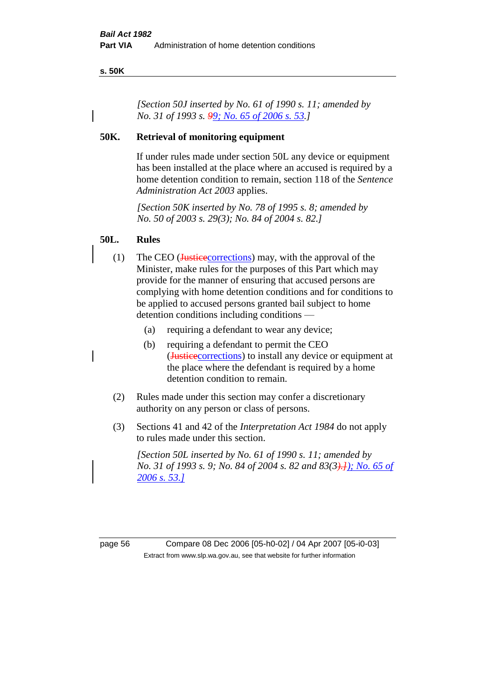#### **s. 50K**

*[Section 50J inserted by No. 61 of 1990 s. 11; amended by No. 31 of 1993 s. 99; No. 65 of 2006 s. 53.]* 

#### **50K. Retrieval of monitoring equipment**

If under rules made under section 50L any device or equipment has been installed at the place where an accused is required by a home detention condition to remain, section 118 of the *Sentence Administration Act 2003* applies.

*[Section 50K inserted by No. 78 of 1995 s. 8; amended by No. 50 of 2003 s. 29(3); No. 84 of 2004 s. 82.]* 

#### **50L. Rules**

- (1) The CEO (Justicecorrections) may, with the approval of the Minister, make rules for the purposes of this Part which may provide for the manner of ensuring that accused persons are complying with home detention conditions and for conditions to be applied to accused persons granted bail subject to home detention conditions including conditions —
	- (a) requiring a defendant to wear any device;
	- (b) requiring a defendant to permit the CEO (Justicecorrections) to install any device or equipment at the place where the defendant is required by a home detention condition to remain.
- (2) Rules made under this section may confer a discretionary authority on any person or class of persons.
- (3) Sections 41 and 42 of the *Interpretation Act 1984* do not apply to rules made under this section.

*[Section 50L inserted by No. 61 of 1990 s. 11; amended by No. 31 of 1993 s. 9; No. 84 of 2004 s. 82 and 83(3).]); No. 65 of 2006 s. 53.]*

page 56 Compare 08 Dec 2006 [05-h0-02] / 04 Apr 2007 [05-i0-03] Extract from www.slp.wa.gov.au, see that website for further information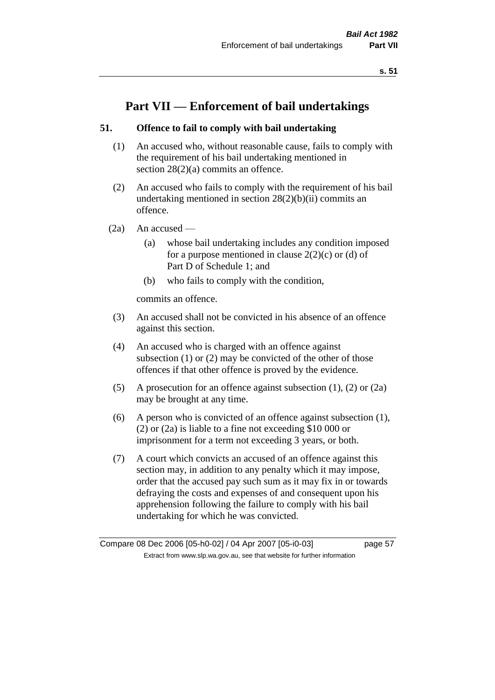# **Part VII — Enforcement of bail undertakings**

# **51. Offence to fail to comply with bail undertaking**

- (1) An accused who, without reasonable cause, fails to comply with the requirement of his bail undertaking mentioned in section 28(2)(a) commits an offence.
- (2) An accused who fails to comply with the requirement of his bail undertaking mentioned in section  $28(2)(b)(ii)$  commits an offence.
- $(2a)$  An accused
	- (a) whose bail undertaking includes any condition imposed for a purpose mentioned in clause  $2(2)(c)$  or (d) of Part D of Schedule 1; and
	- (b) who fails to comply with the condition,

commits an offence.

- (3) An accused shall not be convicted in his absence of an offence against this section.
- (4) An accused who is charged with an offence against subsection (1) or (2) may be convicted of the other of those offences if that other offence is proved by the evidence.
- (5) A prosecution for an offence against subsection (1), (2) or (2a) may be brought at any time.
- (6) A person who is convicted of an offence against subsection (1), (2) or (2a) is liable to a fine not exceeding \$10 000 or imprisonment for a term not exceeding 3 years, or both.
- (7) A court which convicts an accused of an offence against this section may, in addition to any penalty which it may impose, order that the accused pay such sum as it may fix in or towards defraying the costs and expenses of and consequent upon his apprehension following the failure to comply with his bail undertaking for which he was convicted.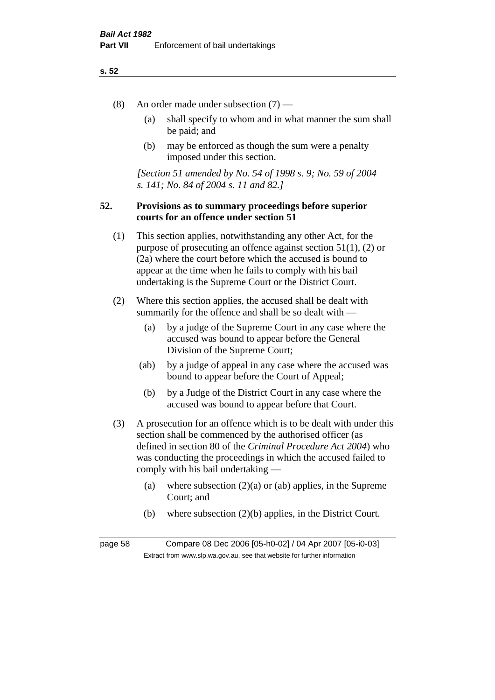- (8) An order made under subsection (7)
	- (a) shall specify to whom and in what manner the sum shall be paid; and
	- (b) may be enforced as though the sum were a penalty imposed under this section.

*[Section 51 amended by No. 54 of 1998 s. 9; No. 59 of 2004 s. 141; No. 84 of 2004 s. 11 and 82.]*

#### **52. Provisions as to summary proceedings before superior courts for an offence under section 51**

- (1) This section applies, notwithstanding any other Act, for the purpose of prosecuting an offence against section 51(1), (2) or (2a) where the court before which the accused is bound to appear at the time when he fails to comply with his bail undertaking is the Supreme Court or the District Court.
- (2) Where this section applies, the accused shall be dealt with summarily for the offence and shall be so dealt with —
	- (a) by a judge of the Supreme Court in any case where the accused was bound to appear before the General Division of the Supreme Court;
	- (ab) by a judge of appeal in any case where the accused was bound to appear before the Court of Appeal;
	- (b) by a Judge of the District Court in any case where the accused was bound to appear before that Court.
- (3) A prosecution for an offence which is to be dealt with under this section shall be commenced by the authorised officer (as defined in section 80 of the *Criminal Procedure Act 2004*) who was conducting the proceedings in which the accused failed to comply with his bail undertaking —
	- (a) where subsection  $(2)(a)$  or (ab) applies, in the Supreme Court; and
	- (b) where subsection (2)(b) applies, in the District Court.

page 58 Compare 08 Dec 2006 [05-h0-02] / 04 Apr 2007 [05-i0-03] Extract from www.slp.wa.gov.au, see that website for further information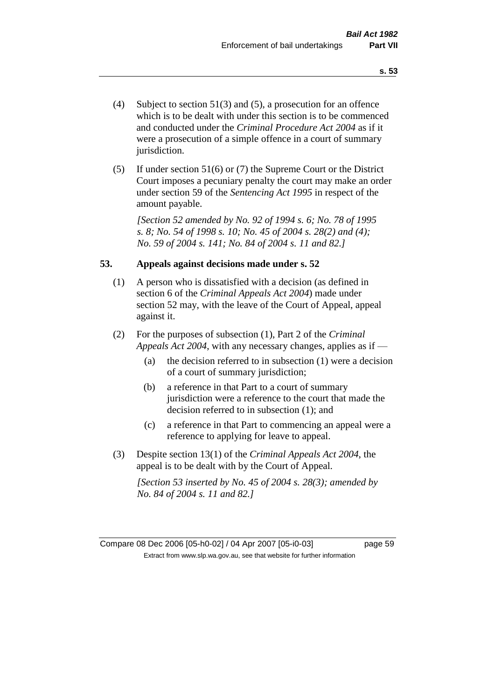- (4) Subject to section 51(3) and (5), a prosecution for an offence which is to be dealt with under this section is to be commenced and conducted under the *Criminal Procedure Act 2004* as if it were a prosecution of a simple offence in a court of summary jurisdiction.
- (5) If under section 51(6) or (7) the Supreme Court or the District Court imposes a pecuniary penalty the court may make an order under section 59 of the *Sentencing Act 1995* in respect of the amount payable.

*[Section 52 amended by No. 92 of 1994 s. 6; No. 78 of 1995 s. 8; No. 54 of 1998 s. 10; No. 45 of 2004 s. 28(2) and (4); No. 59 of 2004 s. 141; No. 84 of 2004 s. 11 and 82.]* 

#### **53. Appeals against decisions made under s. 52**

- (1) A person who is dissatisfied with a decision (as defined in section 6 of the *Criminal Appeals Act 2004*) made under section 52 may, with the leave of the Court of Appeal, appeal against it.
- (2) For the purposes of subsection (1), Part 2 of the *Criminal Appeals Act 2004*, with any necessary changes, applies as if —
	- (a) the decision referred to in subsection (1) were a decision of a court of summary jurisdiction;
	- (b) a reference in that Part to a court of summary jurisdiction were a reference to the court that made the decision referred to in subsection (1); and
	- (c) a reference in that Part to commencing an appeal were a reference to applying for leave to appeal.
- (3) Despite section 13(1) of the *Criminal Appeals Act 2004*, the appeal is to be dealt with by the Court of Appeal.

*[Section 53 inserted by No. 45 of 2004 s. 28(3); amended by No. 84 of 2004 s. 11 and 82.]*

Compare 08 Dec 2006 [05-h0-02] / 04 Apr 2007 [05-i0-03] page 59 Extract from www.slp.wa.gov.au, see that website for further information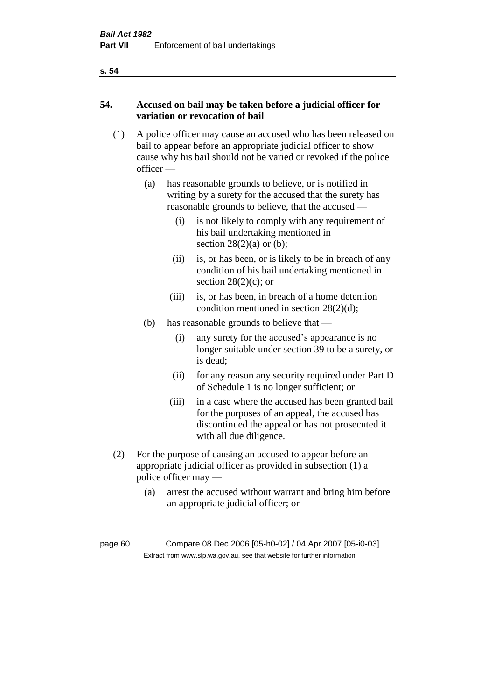# **54. Accused on bail may be taken before a judicial officer for variation or revocation of bail**

- (1) A police officer may cause an accused who has been released on bail to appear before an appropriate judicial officer to show cause why his bail should not be varied or revoked if the police officer —
	- (a) has reasonable grounds to believe, or is notified in writing by a surety for the accused that the surety has reasonable grounds to believe, that the accused —
		- (i) is not likely to comply with any requirement of his bail undertaking mentioned in section  $28(2)(a)$  or (b);
		- (ii) is, or has been, or is likely to be in breach of any condition of his bail undertaking mentioned in section  $28(2)(c)$ ; or
		- (iii) is, or has been, in breach of a home detention condition mentioned in section 28(2)(d);
	- (b) has reasonable grounds to believe that
		- (i) any surety for the accused's appearance is no longer suitable under section 39 to be a surety, or is dead;
		- (ii) for any reason any security required under Part D of Schedule 1 is no longer sufficient; or
		- (iii) in a case where the accused has been granted bail for the purposes of an appeal, the accused has discontinued the appeal or has not prosecuted it with all due diligence.
- (2) For the purpose of causing an accused to appear before an appropriate judicial officer as provided in subsection (1) a police officer may —
	- (a) arrest the accused without warrant and bring him before an appropriate judicial officer; or

| page 60 | Compare 08 Dec 2006 [05-h0-02] / 04 Apr 2007 [05-i0-03]                  |
|---------|--------------------------------------------------------------------------|
|         | Extract from www.slp.wa.gov.au, see that website for further information |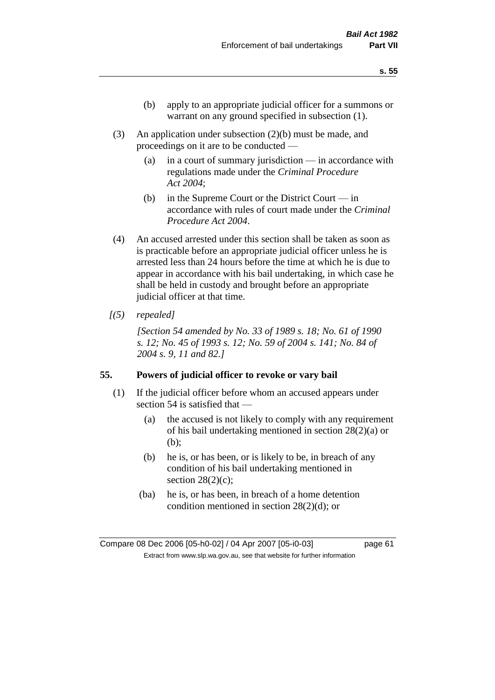- (b) apply to an appropriate judicial officer for a summons or warrant on any ground specified in subsection (1).
- (3) An application under subsection (2)(b) must be made, and proceedings on it are to be conducted —
	- (a) in a court of summary jurisdiction in accordance with regulations made under the *Criminal Procedure Act 2004*;
	- (b) in the Supreme Court or the District Court  $-\text{in}$ accordance with rules of court made under the *Criminal Procedure Act 2004*.
- (4) An accused arrested under this section shall be taken as soon as is practicable before an appropriate judicial officer unless he is arrested less than 24 hours before the time at which he is due to appear in accordance with his bail undertaking, in which case he shall be held in custody and brought before an appropriate judicial officer at that time.
- *[(5) repealed]*

*[Section 54 amended by No. 33 of 1989 s. 18; No. 61 of 1990 s. 12; No. 45 of 1993 s. 12; No. 59 of 2004 s. 141; No. 84 of 2004 s. 9, 11 and 82.]* 

#### **55. Powers of judicial officer to revoke or vary bail**

- (1) If the judicial officer before whom an accused appears under section 54 is satisfied that —
	- (a) the accused is not likely to comply with any requirement of his bail undertaking mentioned in section 28(2)(a) or (b);
	- (b) he is, or has been, or is likely to be, in breach of any condition of his bail undertaking mentioned in section  $28(2)(c)$ ;
	- (ba) he is, or has been, in breach of a home detention condition mentioned in section 28(2)(d); or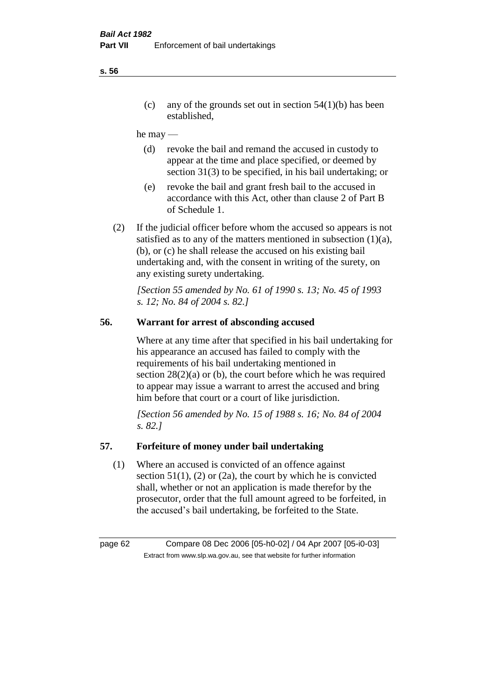(c) any of the grounds set out in section  $54(1)(b)$  has been established,

#### he may —

- (d) revoke the bail and remand the accused in custody to appear at the time and place specified, or deemed by section 31(3) to be specified, in his bail undertaking; or
- (e) revoke the bail and grant fresh bail to the accused in accordance with this Act, other than clause 2 of Part B of Schedule 1.
- (2) If the judicial officer before whom the accused so appears is not satisfied as to any of the matters mentioned in subsection (1)(a), (b), or (c) he shall release the accused on his existing bail undertaking and, with the consent in writing of the surety, on any existing surety undertaking.

*[Section 55 amended by No. 61 of 1990 s. 13; No. 45 of 1993 s. 12; No. 84 of 2004 s. 82.]* 

# **56. Warrant for arrest of absconding accused**

Where at any time after that specified in his bail undertaking for his appearance an accused has failed to comply with the requirements of his bail undertaking mentioned in section  $28(2)(a)$  or (b), the court before which he was required to appear may issue a warrant to arrest the accused and bring him before that court or a court of like jurisdiction.

*[Section 56 amended by No. 15 of 1988 s. 16; No. 84 of 2004 s. 82.]* 

#### **57. Forfeiture of money under bail undertaking**

(1) Where an accused is convicted of an offence against section  $51(1)$ , (2) or (2a), the court by which he is convicted shall, whether or not an application is made therefor by the prosecutor, order that the full amount agreed to be forfeited, in the accused's bail undertaking, be forfeited to the State.

page 62 Compare 08 Dec 2006 [05-h0-02] / 04 Apr 2007 [05-i0-03] Extract from www.slp.wa.gov.au, see that website for further information

#### **s. 56**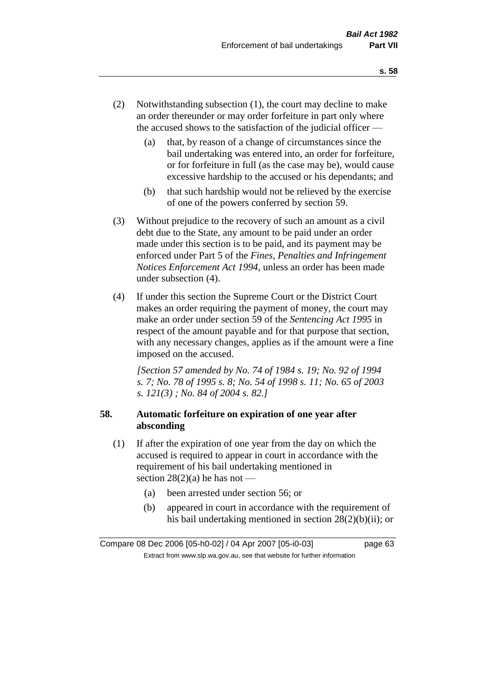- (2) Notwithstanding subsection (1), the court may decline to make an order thereunder or may order forfeiture in part only where the accused shows to the satisfaction of the judicial officer —
	- (a) that, by reason of a change of circumstances since the bail undertaking was entered into, an order for forfeiture, or for forfeiture in full (as the case may be), would cause excessive hardship to the accused or his dependants; and
	- (b) that such hardship would not be relieved by the exercise of one of the powers conferred by section 59.
- (3) Without prejudice to the recovery of such an amount as a civil debt due to the State, any amount to be paid under an order made under this section is to be paid, and its payment may be enforced under Part 5 of the *Fines, Penalties and Infringement Notices Enforcement Act 1994*, unless an order has been made under subsection (4).
- (4) If under this section the Supreme Court or the District Court makes an order requiring the payment of money, the court may make an order under section 59 of the *Sentencing Act 1995* in respect of the amount payable and for that purpose that section, with any necessary changes, applies as if the amount were a fine imposed on the accused.

*[Section 57 amended by No. 74 of 1984 s. 19; No. 92 of 1994 s. 7; No. 78 of 1995 s. 8; No. 54 of 1998 s. 11; No. 65 of 2003 s. 121(3) ; No. 84 of 2004 s. 82.]* 

# **58. Automatic forfeiture on expiration of one year after absconding**

- (1) If after the expiration of one year from the day on which the accused is required to appear in court in accordance with the requirement of his bail undertaking mentioned in section  $28(2)(a)$  he has not —
	- (a) been arrested under section 56; or
	- (b) appeared in court in accordance with the requirement of his bail undertaking mentioned in section 28(2)(b)(ii); or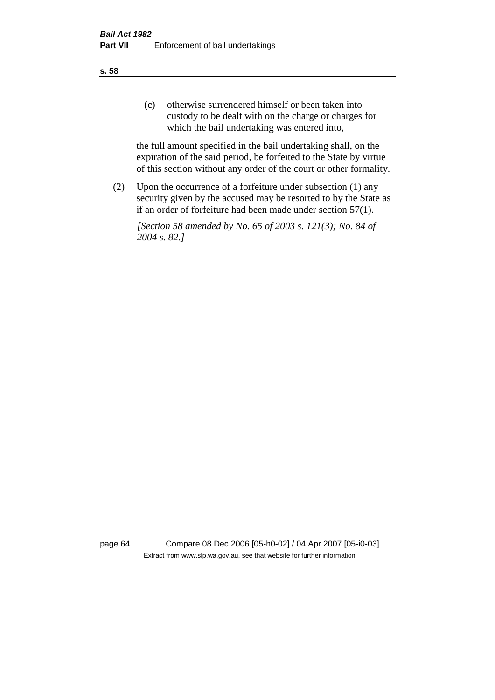(c) otherwise surrendered himself or been taken into custody to be dealt with on the charge or charges for which the bail undertaking was entered into,

the full amount specified in the bail undertaking shall, on the expiration of the said period, be forfeited to the State by virtue of this section without any order of the court or other formality.

(2) Upon the occurrence of a forfeiture under subsection (1) any security given by the accused may be resorted to by the State as if an order of forfeiture had been made under section 57(1).

*[Section 58 amended by No. 65 of 2003 s. 121(3); No. 84 of 2004 s. 82.]*

page 64 Compare 08 Dec 2006 [05-h0-02] / 04 Apr 2007 [05-i0-03] Extract from www.slp.wa.gov.au, see that website for further information

**s. 58**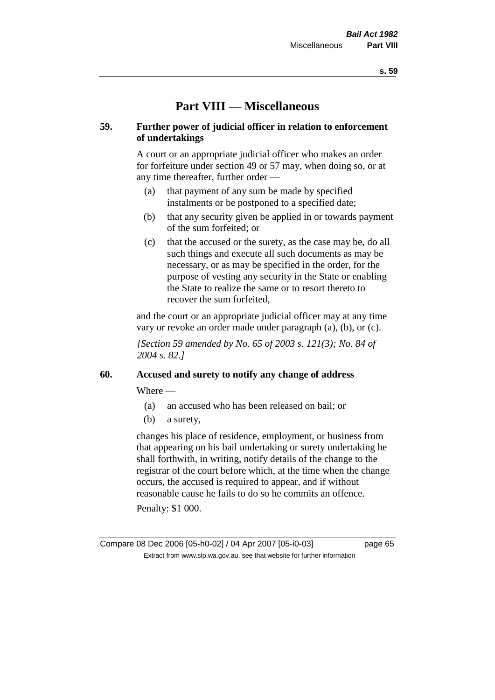# **Part VIII — Miscellaneous**

## **59. Further power of judicial officer in relation to enforcement of undertakings**

A court or an appropriate judicial officer who makes an order for forfeiture under section 49 or 57 may, when doing so, or at any time thereafter, further order —

- (a) that payment of any sum be made by specified instalments or be postponed to a specified date;
- (b) that any security given be applied in or towards payment of the sum forfeited; or
- (c) that the accused or the surety, as the case may be, do all such things and execute all such documents as may be necessary, or as may be specified in the order, for the purpose of vesting any security in the State or enabling the State to realize the same or to resort thereto to recover the sum forfeited,

and the court or an appropriate judicial officer may at any time vary or revoke an order made under paragraph (a), (b), or (c).

*[Section 59 amended by No. 65 of 2003 s. 121(3); No. 84 of 2004 s. 82.]*

#### **60. Accused and surety to notify any change of address**

Where —

- (a) an accused who has been released on bail; or
- (b) a surety,

changes his place of residence, employment, or business from that appearing on his bail undertaking or surety undertaking he shall forthwith, in writing, notify details of the change to the registrar of the court before which, at the time when the change occurs, the accused is required to appear, and if without reasonable cause he fails to do so he commits an offence.

Penalty: \$1 000.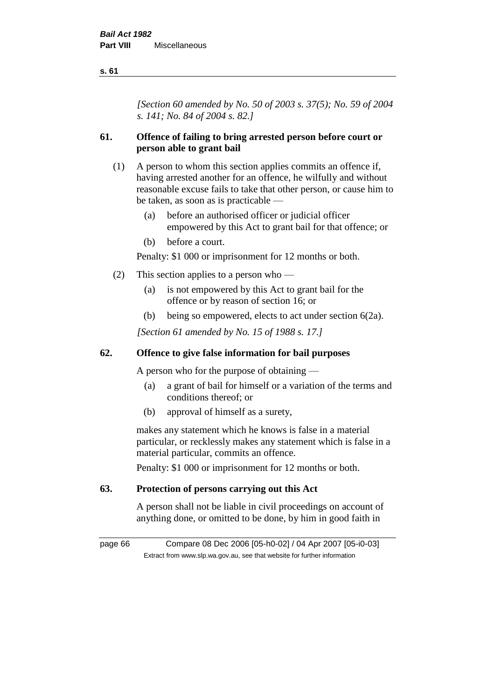*[Section 60 amended by No. 50 of 2003 s. 37(5); No. 59 of 2004 s. 141; No. 84 of 2004 s. 82.]*

# **61. Offence of failing to bring arrested person before court or person able to grant bail**

- (1) A person to whom this section applies commits an offence if, having arrested another for an offence, he wilfully and without reasonable excuse fails to take that other person, or cause him to be taken, as soon as is practicable —
	- (a) before an authorised officer or judicial officer empowered by this Act to grant bail for that offence; or
	- (b) before a court.

Penalty: \$1 000 or imprisonment for 12 months or both.

- (2) This section applies to a person who
	- (a) is not empowered by this Act to grant bail for the offence or by reason of section 16; or
	- (b) being so empowered, elects to act under section 6(2a).

*[Section 61 amended by No. 15 of 1988 s. 17.]* 

## **62. Offence to give false information for bail purposes**

A person who for the purpose of obtaining —

- (a) a grant of bail for himself or a variation of the terms and conditions thereof; or
- (b) approval of himself as a surety,

makes any statement which he knows is false in a material particular, or recklessly makes any statement which is false in a material particular, commits an offence.

Penalty: \$1 000 or imprisonment for 12 months or both.

#### **63. Protection of persons carrying out this Act**

A person shall not be liable in civil proceedings on account of anything done, or omitted to be done, by him in good faith in

page 66 Compare 08 Dec 2006 [05-h0-02] / 04 Apr 2007 [05-i0-03] Extract from www.slp.wa.gov.au, see that website for further information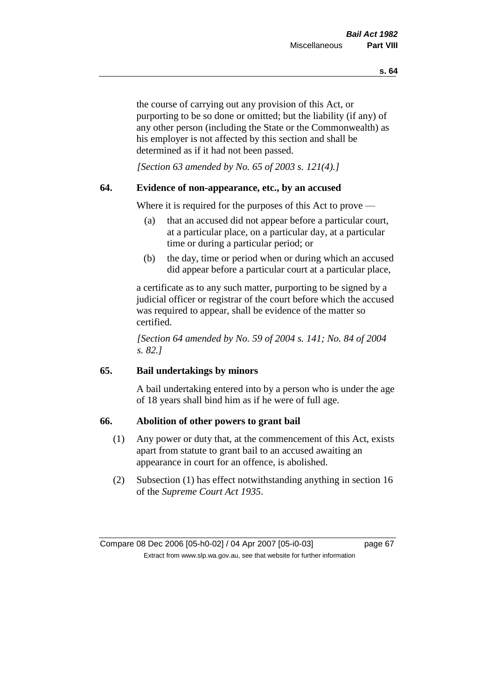the course of carrying out any provision of this Act, or purporting to be so done or omitted; but the liability (if any) of any other person (including the State or the Commonwealth) as his employer is not affected by this section and shall be determined as if it had not been passed.

*[Section 63 amended by No. 65 of 2003 s. 121(4).]*

#### **64. Evidence of non-appearance, etc., by an accused**

Where it is required for the purposes of this Act to prove —

- (a) that an accused did not appear before a particular court, at a particular place, on a particular day, at a particular time or during a particular period; or
- (b) the day, time or period when or during which an accused did appear before a particular court at a particular place,

a certificate as to any such matter, purporting to be signed by a judicial officer or registrar of the court before which the accused was required to appear, shall be evidence of the matter so certified.

*[Section 64 amended by No. 59 of 2004 s. 141; No. 84 of 2004 s. 82.]* 

## **65. Bail undertakings by minors**

A bail undertaking entered into by a person who is under the age of 18 years shall bind him as if he were of full age.

#### **66. Abolition of other powers to grant bail**

- (1) Any power or duty that, at the commencement of this Act, exists apart from statute to grant bail to an accused awaiting an appearance in court for an offence, is abolished.
- (2) Subsection (1) has effect notwithstanding anything in section 16 of the *Supreme Court Act 1935*.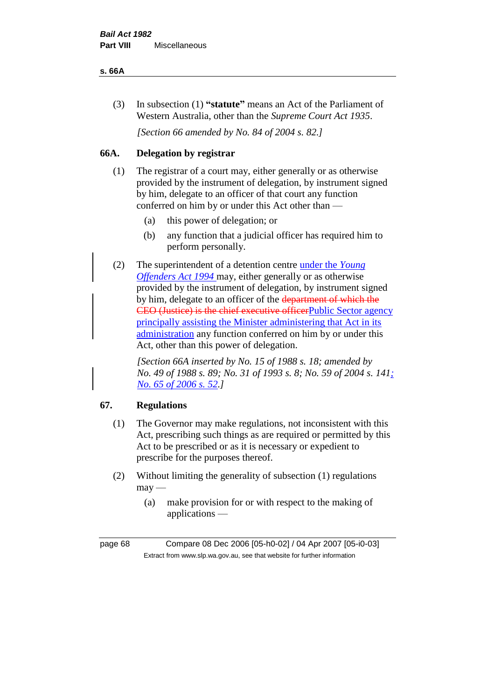#### **s. 66A**

(3) In subsection (1) **"statute"** means an Act of the Parliament of Western Australia, other than the *Supreme Court Act 1935*.

*[Section 66 amended by No. 84 of 2004 s. 82.]*

# **66A. Delegation by registrar**

- (1) The registrar of a court may, either generally or as otherwise provided by the instrument of delegation, by instrument signed by him, delegate to an officer of that court any function conferred on him by or under this Act other than —
	- (a) this power of delegation; or
	- (b) any function that a judicial officer has required him to perform personally.
- (2) The superintendent of a detention centre under the *Young Offenders Act 1994* may, either generally or as otherwise provided by the instrument of delegation, by instrument signed by him, delegate to an officer of the department of which the CEO (Justice) is the chief executive officerPublic Sector agency principally assisting the Minister administering that Act in its administration any function conferred on him by or under this Act, other than this power of delegation.

*[Section 66A inserted by No. 15 of 1988 s. 18; amended by No. 49 of 1988 s. 89; No. 31 of 1993 s. 8; No. 59 of 2004 s. 141; No. 65 of 2006 s. 52.]* 

# **67. Regulations**

- (1) The Governor may make regulations, not inconsistent with this Act, prescribing such things as are required or permitted by this Act to be prescribed or as it is necessary or expedient to prescribe for the purposes thereof.
- (2) Without limiting the generality of subsection (1) regulations  $may -$ 
	- (a) make provision for or with respect to the making of applications —

page 68 Compare 08 Dec 2006 [05-h0-02] / 04 Apr 2007 [05-i0-03] Extract from www.slp.wa.gov.au, see that website for further information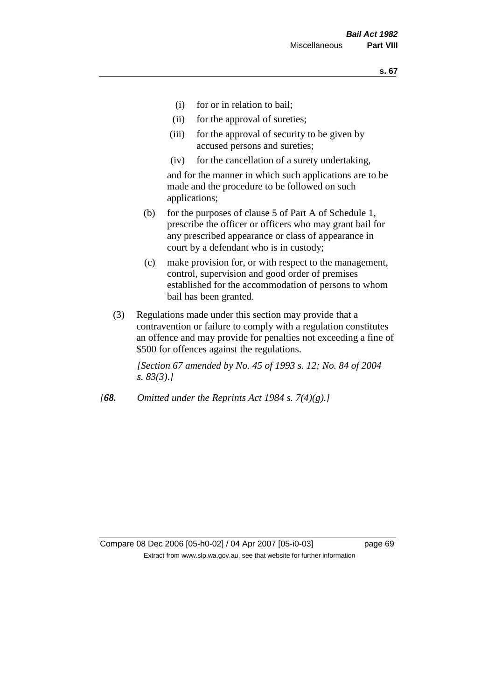- (i) for or in relation to bail;
- (ii) for the approval of sureties;
- (iii) for the approval of security to be given by accused persons and sureties;
- (iv) for the cancellation of a surety undertaking,

and for the manner in which such applications are to be made and the procedure to be followed on such applications;

- (b) for the purposes of clause 5 of Part A of Schedule 1, prescribe the officer or officers who may grant bail for any prescribed appearance or class of appearance in court by a defendant who is in custody;
- (c) make provision for, or with respect to the management, control, supervision and good order of premises established for the accommodation of persons to whom bail has been granted.
- (3) Regulations made under this section may provide that a contravention or failure to comply with a regulation constitutes an offence and may provide for penalties not exceeding a fine of \$500 for offences against the regulations.

*[Section 67 amended by No. 45 of 1993 s. 12; No. 84 of 2004 s. 83(3).]* 

*[68. Omitted under the Reprints Act 1984 s. 7(4)(g).]*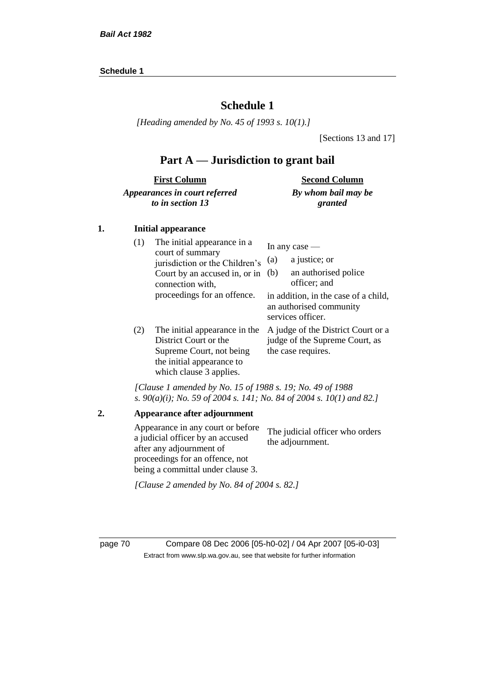#### **Schedule 1**

# **Schedule 1**

*[Heading amended by No. 45 of 1993 s. 10(1).]*

[Sections 13 and 17]

# **Part A — Jurisdiction to grant bail**

| <b>First Column</b>           | <b>Second Column</b> |
|-------------------------------|----------------------|
| Appearances in court referred | By whom bail may be  |
| to in section 13              | granted              |

#### **1. Initial appearance**

| (1) | The initial appearance in a<br>court of summary<br>jurisdiction or the Children's<br>Court by an accused in, or in<br>connection with,<br>proceedings for an offence. | In any case $-$<br>a justice; or<br>(a)<br>an authorised police<br>(b)<br>officer; and<br>in addition, in the case of a child,<br>an authorised community |
|-----|-----------------------------------------------------------------------------------------------------------------------------------------------------------------------|-----------------------------------------------------------------------------------------------------------------------------------------------------------|
| (2) | The initial appearance in the<br>District Court or the<br>Supreme Court, not being<br>the initial appearance to<br>which clause 3 applies.                            | services officer.<br>A judge of the District Court or a<br>judge of the Supreme Court, as<br>the case requires.                                           |

*[Clause 1 amended by No. 15 of 1988 s. 19; No. 49 of 1988 s. 90(a)(i); No. 59 of 2004 s. 141; No. 84 of 2004 s. 10(1) and 82.]*

```
2. Appearance after adjournment
Appearance in any court or before 
a judicial officer by an accused 
after any adjournment of 
proceedings for an offence, not 
being a committal under clause 3.
                                   The judicial officer who orders 
                                   the adjournment.
[Clause 2 amended by No. 84 of 2004 s. 82.]
```
page 70 Compare 08 Dec 2006 [05-h0-02] / 04 Apr 2007 [05-i0-03] Extract from www.slp.wa.gov.au, see that website for further information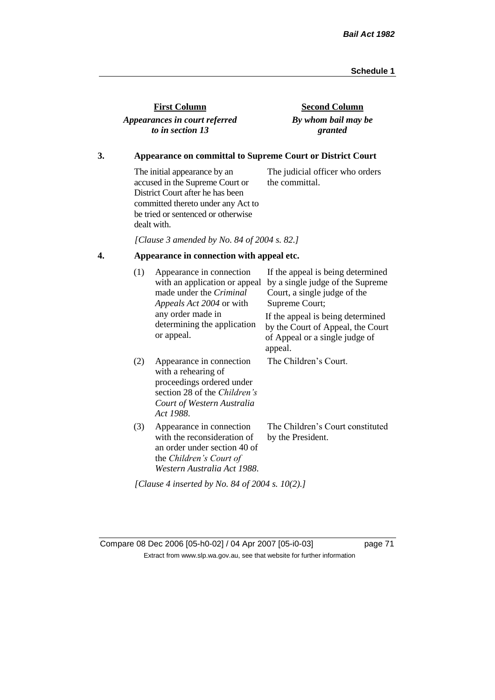| <b>First Column</b>           |
|-------------------------------|
| Appearances in court referred |
| to in section 13              |

**Second Column** *By whom bail may be granted*

## **3. Appearance on committal to Supreme Court or District Court**

The initial appearance by an accused in the Supreme Court or District Court after he has been committed thereto under any Act to be tried or sentenced or otherwise dealt with. The judicial officer who orders the committal.

*[Clause 3 amended by No. 84 of 2004 s. 82.]*

# **4. Appearance in connection with appeal etc.**

| (1) | Appearance in connection<br>with an application or appeal<br>made under the Criminal<br><i>Appeals Act 2004</i> or with                                 | If the appeal is being determined<br>by a single judge of the Supreme<br>Court, a single judge of the<br>Supreme Court; |  |  |
|-----|---------------------------------------------------------------------------------------------------------------------------------------------------------|-------------------------------------------------------------------------------------------------------------------------|--|--|
|     | any order made in<br>determining the application<br>or appeal.                                                                                          | If the appeal is being determined<br>by the Court of Appeal, the Court<br>of Appeal or a single judge of<br>appeal.     |  |  |
| (2) | Appearance in connection<br>with a rehearing of<br>proceedings ordered under<br>section 28 of the Children's<br>Court of Western Australia<br>Act 1988. | The Children's Court.                                                                                                   |  |  |
| (3) | Appearance in connection<br>with the reconsideration of<br>an order under section 40 of<br>the Children's Court of<br>Western Australia Act 1988.       | The Children's Court constituted<br>by the President.                                                                   |  |  |
|     | [Clause 4 inserted by No. 84 of 2004 s. 10(2).]                                                                                                         |                                                                                                                         |  |  |

Compare 08 Dec 2006 [05-h0-02] / 04 Apr 2007 [05-i0-03] page 71 Extract from www.slp.wa.gov.au, see that website for further information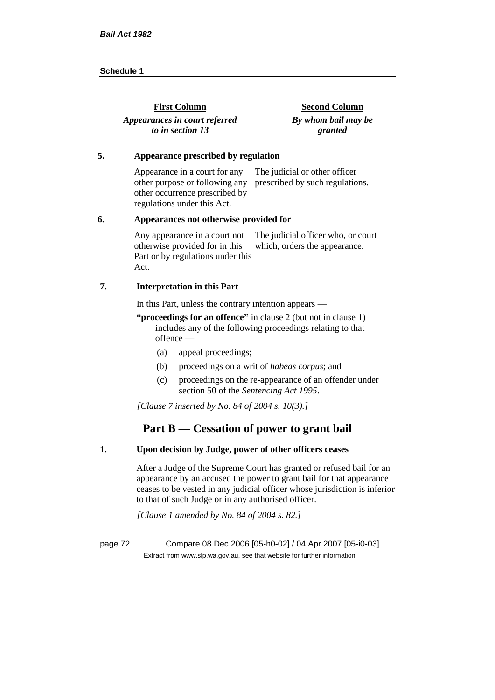| <b>First Column</b>           | <b>Second Column</b> |
|-------------------------------|----------------------|
| Appearances in court referred | By whom bail may be  |
| to in section 13              | granted              |

#### **5. Appearance prescribed by regulation**

Appearance in a court for any other purpose or following any prescribed by such regulations. other occurrence prescribed by regulations under this Act. The judicial or other officer

#### **6. Appearances not otherwise provided for**

Any appearance in a court not otherwise provided for in this Part or by regulations under this Act. The judicial officer who, or court which, orders the appearance.

#### **7. Interpretation in this Part**

In this Part, unless the contrary intention appears —

**"proceedings for an offence"** in clause 2 (but not in clause 1) includes any of the following proceedings relating to that offence —

- (a) appeal proceedings;
- (b) proceedings on a writ of *habeas corpus*; and
- (c) proceedings on the re-appearance of an offender under section 50 of the *Sentencing Act 1995*.

*[Clause 7 inserted by No. 84 of 2004 s. 10(3).]*

# **Part B — Cessation of power to grant bail**

### **1. Upon decision by Judge, power of other officers ceases**

After a Judge of the Supreme Court has granted or refused bail for an appearance by an accused the power to grant bail for that appearance ceases to be vested in any judicial officer whose jurisdiction is inferior to that of such Judge or in any authorised officer.

*[Clause 1 amended by No. 84 of 2004 s. 82.]*

page 72 Compare 08 Dec 2006 [05-h0-02] / 04 Apr 2007 [05-i0-03] Extract from www.slp.wa.gov.au, see that website for further information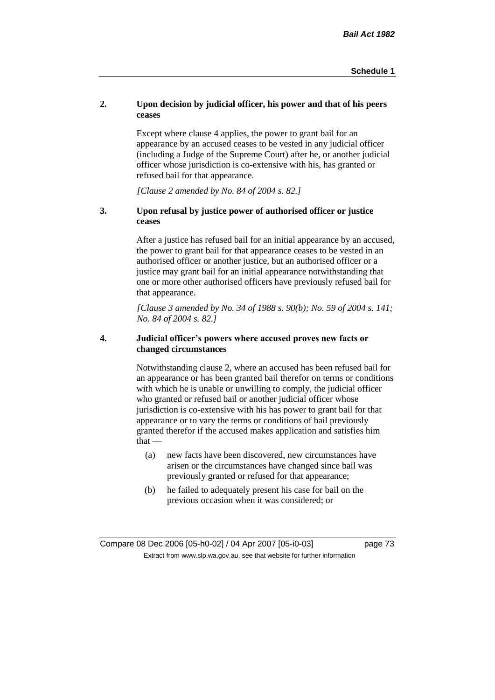## **2. Upon decision by judicial officer, his power and that of his peers ceases**

Except where clause 4 applies, the power to grant bail for an appearance by an accused ceases to be vested in any judicial officer (including a Judge of the Supreme Court) after he, or another judicial officer whose jurisdiction is co-extensive with his, has granted or refused bail for that appearance.

*[Clause 2 amended by No. 84 of 2004 s. 82.]*

## **3. Upon refusal by justice power of authorised officer or justice ceases**

After a justice has refused bail for an initial appearance by an accused, the power to grant bail for that appearance ceases to be vested in an authorised officer or another justice, but an authorised officer or a justice may grant bail for an initial appearance notwithstanding that one or more other authorised officers have previously refused bail for that appearance.

*[Clause 3 amended by No. 34 of 1988 s. 90(b); No. 59 of 2004 s. 141; No. 84 of 2004 s. 82.]*

### **4. Judicial officer's powers where accused proves new facts or changed circumstances**

Notwithstanding clause 2, where an accused has been refused bail for an appearance or has been granted bail therefor on terms or conditions with which he is unable or unwilling to comply, the judicial officer who granted or refused bail or another judicial officer whose jurisdiction is co-extensive with his has power to grant bail for that appearance or to vary the terms or conditions of bail previously granted therefor if the accused makes application and satisfies him  $that -$ 

- (a) new facts have been discovered, new circumstances have arisen or the circumstances have changed since bail was previously granted or refused for that appearance;
- (b) he failed to adequately present his case for bail on the previous occasion when it was considered; or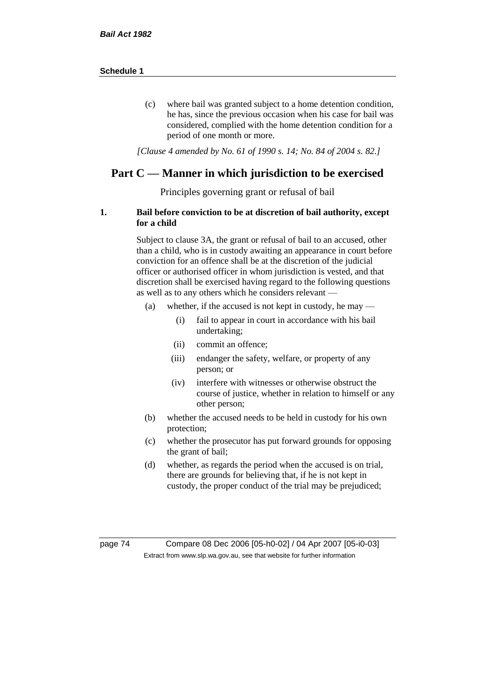(c) where bail was granted subject to a home detention condition, he has, since the previous occasion when his case for bail was considered, complied with the home detention condition for a period of one month or more.

*[Clause 4 amended by No. 61 of 1990 s. 14; No. 84 of 2004 s. 82.]*

# **Part C — Manner in which jurisdiction to be exercised**

Principles governing grant or refusal of bail

### **1. Bail before conviction to be at discretion of bail authority, except for a child**

Subject to clause 3A, the grant or refusal of bail to an accused, other than a child, who is in custody awaiting an appearance in court before conviction for an offence shall be at the discretion of the judicial officer or authorised officer in whom jurisdiction is vested, and that discretion shall be exercised having regard to the following questions as well as to any others which he considers relevant —

- (a) whether, if the accused is not kept in custody, he may
	- (i) fail to appear in court in accordance with his bail undertaking;
	- (ii) commit an offence;
	- (iii) endanger the safety, welfare, or property of any person; or
	- (iv) interfere with witnesses or otherwise obstruct the course of justice, whether in relation to himself or any other person;
- (b) whether the accused needs to be held in custody for his own protection;
- (c) whether the prosecutor has put forward grounds for opposing the grant of bail;
- (d) whether, as regards the period when the accused is on trial, there are grounds for believing that, if he is not kept in custody, the proper conduct of the trial may be prejudiced;

page 74 Compare 08 Dec 2006 [05-h0-02] / 04 Apr 2007 [05-i0-03] Extract from www.slp.wa.gov.au, see that website for further information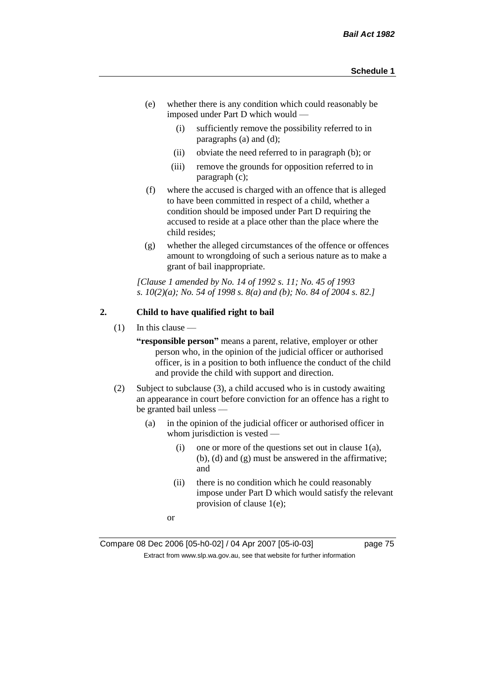- (e) whether there is any condition which could reasonably be imposed under Part D which would —
	- (i) sufficiently remove the possibility referred to in paragraphs (a) and (d);
	- (ii) obviate the need referred to in paragraph (b); or
	- (iii) remove the grounds for opposition referred to in paragraph (c);
- (f) where the accused is charged with an offence that is alleged to have been committed in respect of a child, whether a condition should be imposed under Part D requiring the accused to reside at a place other than the place where the child resides;
- (g) whether the alleged circumstances of the offence or offences amount to wrongdoing of such a serious nature as to make a grant of bail inappropriate.

*[Clause 1 amended by No. 14 of 1992 s. 11; No. 45 of 1993 s. 10(2)(a); No. 54 of 1998 s. 8(a) and (b); No. 84 of 2004 s. 82.]*

## **2. Child to have qualified right to bail**

 $(1)$  In this clause —

**"responsible person"** means a parent, relative, employer or other person who, in the opinion of the judicial officer or authorised officer, is in a position to both influence the conduct of the child and provide the child with support and direction.

- (2) Subject to subclause (3), a child accused who is in custody awaiting an appearance in court before conviction for an offence has a right to be granted bail unless —
	- (a) in the opinion of the judicial officer or authorised officer in whom jurisdiction is vested —
		- (i) one or more of the questions set out in clause  $1(a)$ , (b), (d) and (g) must be answered in the affirmative; and
		- (ii) there is no condition which he could reasonably impose under Part D which would satisfy the relevant provision of clause 1(e);
		- or

Compare 08 Dec 2006 [05-h0-02] / 04 Apr 2007 [05-i0-03] page 75 Extract from www.slp.wa.gov.au, see that website for further information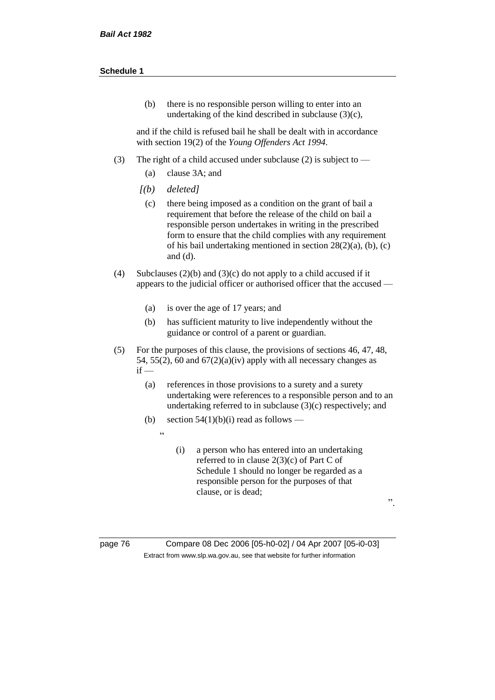(b) there is no responsible person willing to enter into an undertaking of the kind described in subclause (3)(c),

and if the child is refused bail he shall be dealt with in accordance with section 19(2) of the *Young Offenders Act 1994*.

- (3) The right of a child accused under subclause (2) is subject to
	- (a) clause 3A; and
	- *[(b) deleted]*

 $\overline{a}$ 

- (c) there being imposed as a condition on the grant of bail a requirement that before the release of the child on bail a responsible person undertakes in writing in the prescribed form to ensure that the child complies with any requirement of his bail undertaking mentioned in section 28(2)(a), (b), (c) and (d).
- (4) Subclauses (2)(b) and (3)(c) do not apply to a child accused if it appears to the judicial officer or authorised officer that the accused —
	- (a) is over the age of 17 years; and
	- (b) has sufficient maturity to live independently without the guidance or control of a parent or guardian.
- (5) For the purposes of this clause, the provisions of sections 46, 47, 48, 54, 55(2), 60 and  $67(2)(a)(iv)$  apply with all necessary changes as  $if -$ 
	- (a) references in those provisions to a surety and a surety undertaking were references to a responsible person and to an undertaking referred to in subclause (3)(c) respectively; and
	- (b) section  $54(1)(b)(i)$  read as follows
		- (i) a person who has entered into an undertaking referred to in clause 2(3)(c) of Part C of Schedule 1 should no longer be regarded as a responsible person for the purposes of that clause, or is dead;

".

page 76 Compare 08 Dec 2006 [05-h0-02] / 04 Apr 2007 [05-i0-03] Extract from www.slp.wa.gov.au, see that website for further information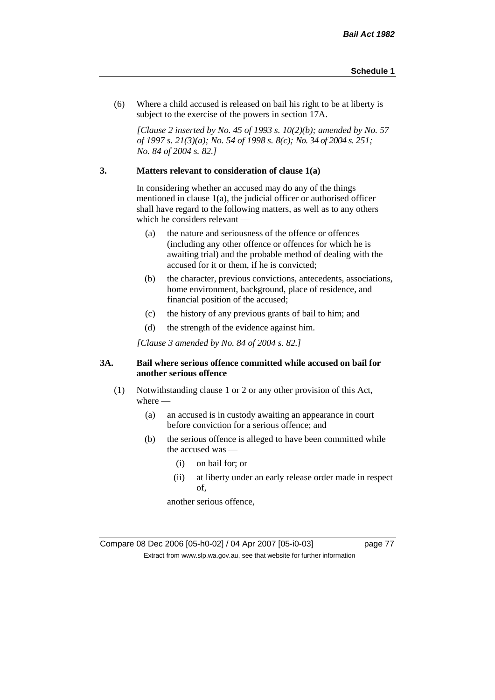(6) Where a child accused is released on bail his right to be at liberty is subject to the exercise of the powers in section 17A.

*[Clause 2 inserted by No. 45 of 1993 s. 10(2)(b); amended by No. 57 of 1997 s. 21(3)(a); No. 54 of 1998 s. 8(c); No. 34 of 2004 s. 251; No. 84 of 2004 s. 82.]*

#### **3. Matters relevant to consideration of clause 1(a)**

In considering whether an accused may do any of the things mentioned in clause 1(a), the judicial officer or authorised officer shall have regard to the following matters, as well as to any others which he considers relevant —

- (a) the nature and seriousness of the offence or offences (including any other offence or offences for which he is awaiting trial) and the probable method of dealing with the accused for it or them, if he is convicted;
- (b) the character, previous convictions, antecedents, associations, home environment, background, place of residence, and financial position of the accused;
- (c) the history of any previous grants of bail to him; and
- (d) the strength of the evidence against him.

*[Clause 3 amended by No. 84 of 2004 s. 82.]*

### **3A. Bail where serious offence committed while accused on bail for another serious offence**

- (1) Notwithstanding clause 1 or 2 or any other provision of this Act, where —
	- (a) an accused is in custody awaiting an appearance in court before conviction for a serious offence; and
	- (b) the serious offence is alleged to have been committed while the accused was —
		- (i) on bail for; or
		- (ii) at liberty under an early release order made in respect of,

another serious offence,

Compare 08 Dec 2006 [05-h0-02] / 04 Apr 2007 [05-i0-03] page 77 Extract from www.slp.wa.gov.au, see that website for further information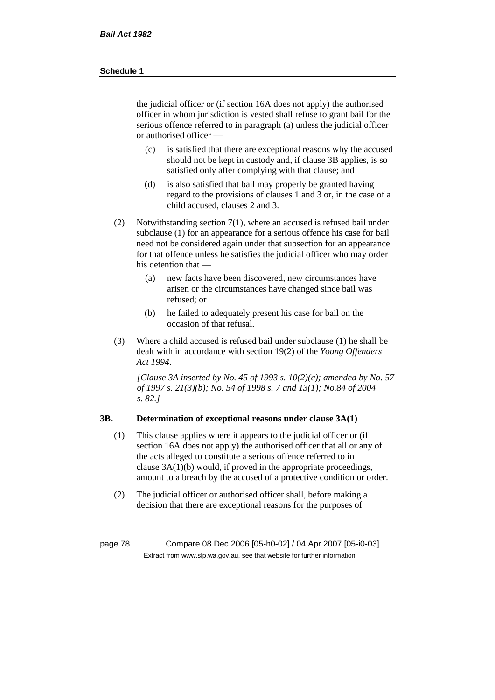the judicial officer or (if section 16A does not apply) the authorised officer in whom jurisdiction is vested shall refuse to grant bail for the serious offence referred to in paragraph (a) unless the judicial officer or authorised officer —

- (c) is satisfied that there are exceptional reasons why the accused should not be kept in custody and, if clause 3B applies, is so satisfied only after complying with that clause; and
- (d) is also satisfied that bail may properly be granted having regard to the provisions of clauses 1 and 3 or, in the case of a child accused, clauses 2 and 3.
- (2) Notwithstanding section 7(1), where an accused is refused bail under subclause (1) for an appearance for a serious offence his case for bail need not be considered again under that subsection for an appearance for that offence unless he satisfies the judicial officer who may order his detention that —
	- (a) new facts have been discovered, new circumstances have arisen or the circumstances have changed since bail was refused; or
	- (b) he failed to adequately present his case for bail on the occasion of that refusal.
- (3) Where a child accused is refused bail under subclause (1) he shall be dealt with in accordance with section 19(2) of the *Young Offenders Act 1994*.

*[Clause 3A inserted by No. 45 of 1993 s. 10(2)(c); amended by No. 57 of 1997 s. 21(3)(b); No. 54 of 1998 s. 7 and 13(1); No.84 of 2004 s. 82.]*

## **3B. Determination of exceptional reasons under clause 3A(1)**

- (1) This clause applies where it appears to the judicial officer or (if section 16A does not apply) the authorised officer that all or any of the acts alleged to constitute a serious offence referred to in clause 3A(1)(b) would, if proved in the appropriate proceedings, amount to a breach by the accused of a protective condition or order.
- (2) The judicial officer or authorised officer shall, before making a decision that there are exceptional reasons for the purposes of

page 78 Compare 08 Dec 2006 [05-h0-02] / 04 Apr 2007 [05-i0-03] Extract from www.slp.wa.gov.au, see that website for further information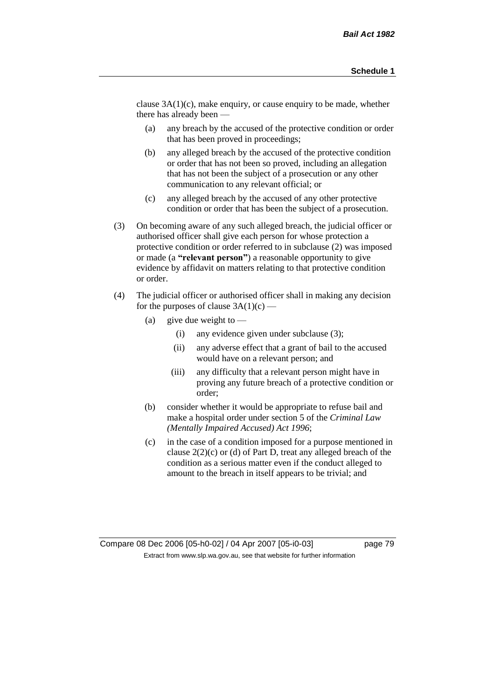clause 3A(1)(c), make enquiry, or cause enquiry to be made, whether there has already been —

- (a) any breach by the accused of the protective condition or order that has been proved in proceedings;
- (b) any alleged breach by the accused of the protective condition or order that has not been so proved, including an allegation that has not been the subject of a prosecution or any other communication to any relevant official; or
- (c) any alleged breach by the accused of any other protective condition or order that has been the subject of a prosecution.
- (3) On becoming aware of any such alleged breach, the judicial officer or authorised officer shall give each person for whose protection a protective condition or order referred to in subclause (2) was imposed or made (a **"relevant person"**) a reasonable opportunity to give evidence by affidavit on matters relating to that protective condition or order.
- (4) The judicial officer or authorised officer shall in making any decision for the purposes of clause  $3A(1)(c)$  —
	- (a) give due weight to  $-$ 
		- (i) any evidence given under subclause (3);
		- (ii) any adverse effect that a grant of bail to the accused would have on a relevant person; and
		- (iii) any difficulty that a relevant person might have in proving any future breach of a protective condition or order;
	- (b) consider whether it would be appropriate to refuse bail and make a hospital order under section 5 of the *Criminal Law (Mentally Impaired Accused) Act 1996*;
	- (c) in the case of a condition imposed for a purpose mentioned in clause 2(2)(c) or (d) of Part D, treat any alleged breach of the condition as a serious matter even if the conduct alleged to amount to the breach in itself appears to be trivial; and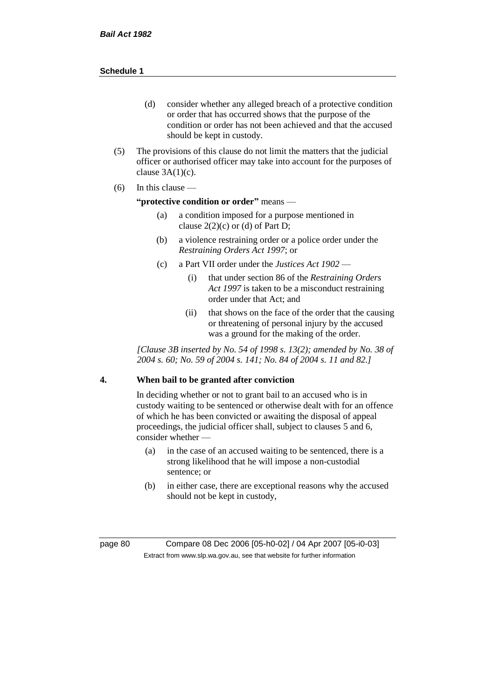- (d) consider whether any alleged breach of a protective condition or order that has occurred shows that the purpose of the condition or order has not been achieved and that the accused should be kept in custody.
- (5) The provisions of this clause do not limit the matters that the judicial officer or authorised officer may take into account for the purposes of clause  $3A(1)(c)$ .
- $(6)$  In this clause —

#### **"protective condition or order"** means —

- (a) a condition imposed for a purpose mentioned in clause  $2(2)(c)$  or (d) of Part D;
- (b) a violence restraining order or a police order under the *Restraining Orders Act 1997*; or
- (c) a Part VII order under the *Justices Act 1902*
	- (i) that under section 86 of the *Restraining Orders Act 1997* is taken to be a misconduct restraining order under that Act; and
	- (ii) that shows on the face of the order that the causing or threatening of personal injury by the accused was a ground for the making of the order.

*[Clause 3B inserted by No. 54 of 1998 s. 13(2); amended by No. 38 of 2004 s. 60; No. 59 of 2004 s. 141; No. 84 of 2004 s. 11 and 82.]*

## **4. When bail to be granted after conviction**

In deciding whether or not to grant bail to an accused who is in custody waiting to be sentenced or otherwise dealt with for an offence of which he has been convicted or awaiting the disposal of appeal proceedings, the judicial officer shall, subject to clauses 5 and 6, consider whether -

- (a) in the case of an accused waiting to be sentenced, there is a strong likelihood that he will impose a non-custodial sentence; or
- (b) in either case, there are exceptional reasons why the accused should not be kept in custody,

page 80 Compare 08 Dec 2006 [05-h0-02] / 04 Apr 2007 [05-i0-03] Extract from www.slp.wa.gov.au, see that website for further information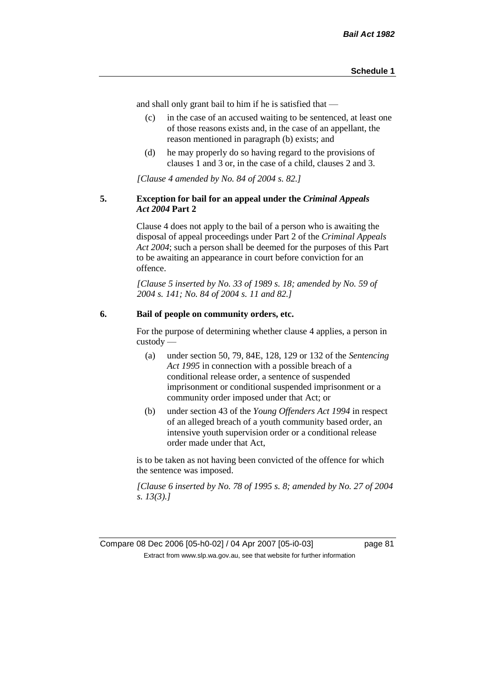and shall only grant bail to him if he is satisfied that —

- (c) in the case of an accused waiting to be sentenced, at least one of those reasons exists and, in the case of an appellant, the reason mentioned in paragraph (b) exists; and
- (d) he may properly do so having regard to the provisions of clauses 1 and 3 or, in the case of a child, clauses 2 and 3.

*[Clause 4 amended by No. 84 of 2004 s. 82.]*

#### **5. Exception for bail for an appeal under the** *Criminal Appeals Act 2004* **Part 2**

Clause 4 does not apply to the bail of a person who is awaiting the disposal of appeal proceedings under Part 2 of the *Criminal Appeals Act 2004*; such a person shall be deemed for the purposes of this Part to be awaiting an appearance in court before conviction for an offence.

*[Clause 5 inserted by No. 33 of 1989 s. 18; amended by No. 59 of 2004 s. 141; No. 84 of 2004 s. 11 and 82.]*

## **6. Bail of people on community orders, etc.**

For the purpose of determining whether clause 4 applies, a person in custody —

- (a) under section 50, 79, 84E, 128, 129 or 132 of the *Sentencing Act 1995* in connection with a possible breach of a conditional release order, a sentence of suspended imprisonment or conditional suspended imprisonment or a community order imposed under that Act; or
- (b) under section 43 of the *Young Offenders Act 1994* in respect of an alleged breach of a youth community based order, an intensive youth supervision order or a conditional release order made under that Act,

is to be taken as not having been convicted of the offence for which the sentence was imposed.

*[Clause 6 inserted by No. 78 of 1995 s. 8; amended by No. 27 of 2004 s. 13(3).]*

Compare 08 Dec 2006 [05-h0-02] / 04 Apr 2007 [05-i0-03] page 81 Extract from www.slp.wa.gov.au, see that website for further information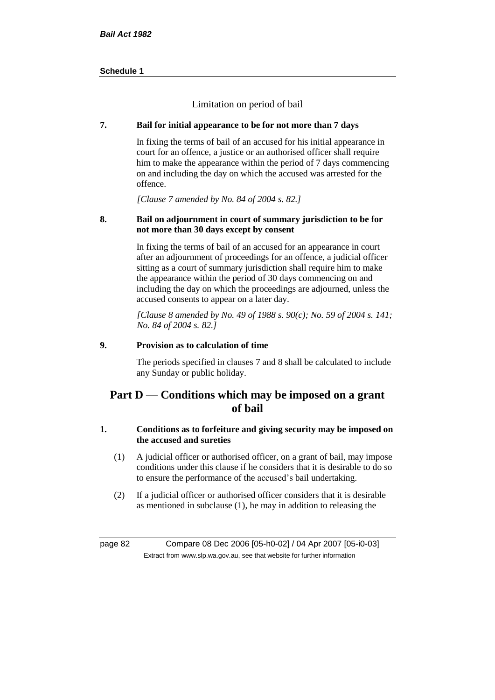Limitation on period of bail

## **7. Bail for initial appearance to be for not more than 7 days**

In fixing the terms of bail of an accused for his initial appearance in court for an offence, a justice or an authorised officer shall require him to make the appearance within the period of 7 days commencing on and including the day on which the accused was arrested for the offence.

*[Clause 7 amended by No. 84 of 2004 s. 82.]*

## **8. Bail on adjournment in court of summary jurisdiction to be for not more than 30 days except by consent**

In fixing the terms of bail of an accused for an appearance in court after an adjournment of proceedings for an offence, a judicial officer sitting as a court of summary jurisdiction shall require him to make the appearance within the period of 30 days commencing on and including the day on which the proceedings are adjourned, unless the accused consents to appear on a later day.

*[Clause 8 amended by No. 49 of 1988 s. 90(c); No. 59 of 2004 s. 141; No. 84 of 2004 s. 82.]*

## **9. Provision as to calculation of time**

The periods specified in clauses 7 and 8 shall be calculated to include any Sunday or public holiday.

# **Part D — Conditions which may be imposed on a grant of bail**

## **1. Conditions as to forfeiture and giving security may be imposed on the accused and sureties**

- (1) A judicial officer or authorised officer, on a grant of bail, may impose conditions under this clause if he considers that it is desirable to do so to ensure the performance of the accused's bail undertaking.
- (2) If a judicial officer or authorised officer considers that it is desirable as mentioned in subclause (1), he may in addition to releasing the

page 82 Compare 08 Dec 2006 [05-h0-02] / 04 Apr 2007 [05-i0-03] Extract from www.slp.wa.gov.au, see that website for further information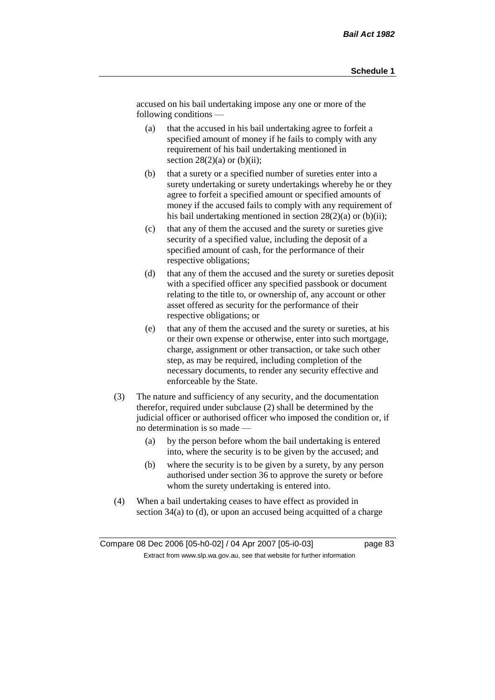accused on his bail undertaking impose any one or more of the following conditions —

- (a) that the accused in his bail undertaking agree to forfeit a specified amount of money if he fails to comply with any requirement of his bail undertaking mentioned in section  $28(2)(a)$  or  $(b)(ii)$ ;
- (b) that a surety or a specified number of sureties enter into a surety undertaking or surety undertakings whereby he or they agree to forfeit a specified amount or specified amounts of money if the accused fails to comply with any requirement of his bail undertaking mentioned in section  $28(2)(a)$  or (b)(ii);
- (c) that any of them the accused and the surety or sureties give security of a specified value, including the deposit of a specified amount of cash, for the performance of their respective obligations;
- (d) that any of them the accused and the surety or sureties deposit with a specified officer any specified passbook or document relating to the title to, or ownership of, any account or other asset offered as security for the performance of their respective obligations; or
- (e) that any of them the accused and the surety or sureties, at his or their own expense or otherwise, enter into such mortgage, charge, assignment or other transaction, or take such other step, as may be required, including completion of the necessary documents, to render any security effective and enforceable by the State.
- (3) The nature and sufficiency of any security, and the documentation therefor, required under subclause (2) shall be determined by the judicial officer or authorised officer who imposed the condition or, if no determination is so made —
	- (a) by the person before whom the bail undertaking is entered into, where the security is to be given by the accused; and
	- (b) where the security is to be given by a surety, by any person authorised under section 36 to approve the surety or before whom the surety undertaking is entered into.
- (4) When a bail undertaking ceases to have effect as provided in section 34(a) to (d), or upon an accused being acquitted of a charge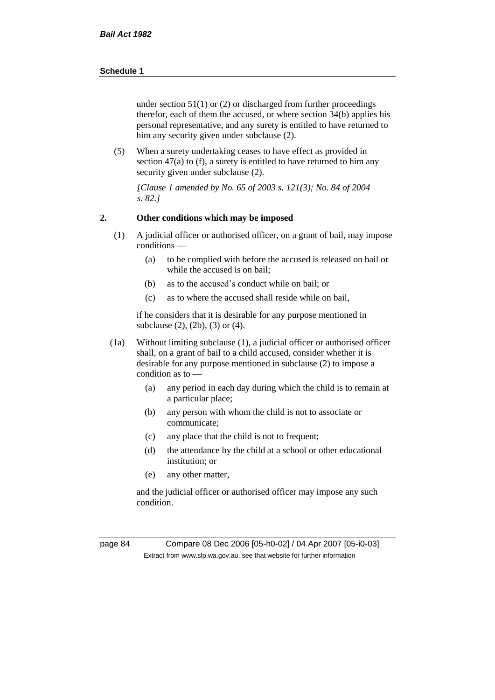under section  $51(1)$  or (2) or discharged from further proceedings therefor, each of them the accused, or where section 34(b) applies his personal representative, and any surety is entitled to have returned to him any security given under subclause (2).

(5) When a surety undertaking ceases to have effect as provided in section 47(a) to (f), a surety is entitled to have returned to him any security given under subclause (2).

*[Clause 1 amended by No. 65 of 2003 s. 121(3); No. 84 of 2004 s. 82.]*

#### **2. Other conditions which may be imposed**

- (1) A judicial officer or authorised officer, on a grant of bail, may impose conditions —
	- (a) to be complied with before the accused is released on bail or while the accused is on bail;
	- (b) as to the accused's conduct while on bail; or
	- (c) as to where the accused shall reside while on bail,

if he considers that it is desirable for any purpose mentioned in subclause (2), (2b), (3) or (4).

- (1a) Without limiting subclause (1), a judicial officer or authorised officer shall, on a grant of bail to a child accused, consider whether it is desirable for any purpose mentioned in subclause (2) to impose a condition as to —
	- (a) any period in each day during which the child is to remain at a particular place;
	- (b) any person with whom the child is not to associate or communicate;
	- (c) any place that the child is not to frequent;
	- (d) the attendance by the child at a school or other educational institution; or
	- (e) any other matter,

and the judicial officer or authorised officer may impose any such condition.

page 84 Compare 08 Dec 2006 [05-h0-02] / 04 Apr 2007 [05-i0-03] Extract from www.slp.wa.gov.au, see that website for further information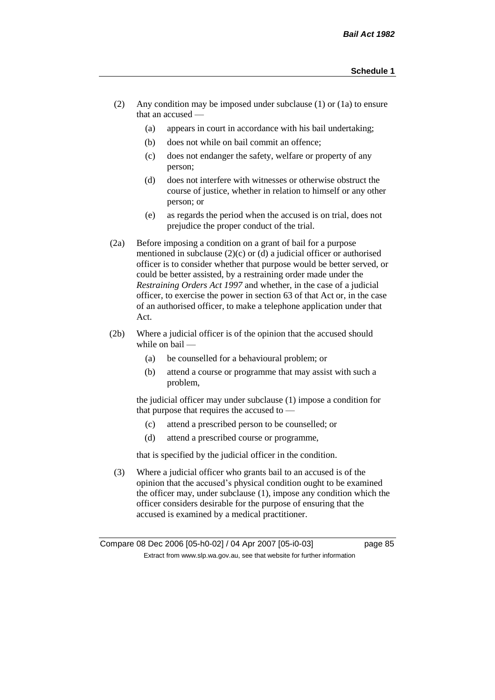- (2) Any condition may be imposed under subclause (1) or (1a) to ensure that an accused —
	- (a) appears in court in accordance with his bail undertaking;
	- (b) does not while on bail commit an offence;
	- (c) does not endanger the safety, welfare or property of any person;
	- (d) does not interfere with witnesses or otherwise obstruct the course of justice, whether in relation to himself or any other person; or
	- (e) as regards the period when the accused is on trial, does not prejudice the proper conduct of the trial.
- (2a) Before imposing a condition on a grant of bail for a purpose mentioned in subclause (2)(c) or (d) a judicial officer or authorised officer is to consider whether that purpose would be better served, or could be better assisted, by a restraining order made under the *Restraining Orders Act 1997* and whether, in the case of a judicial officer, to exercise the power in section 63 of that Act or, in the case of an authorised officer, to make a telephone application under that Act.
- (2b) Where a judicial officer is of the opinion that the accused should while on bail -
	- (a) be counselled for a behavioural problem; or
	- (b) attend a course or programme that may assist with such a problem,

the judicial officer may under subclause (1) impose a condition for that purpose that requires the accused to —

- (c) attend a prescribed person to be counselled; or
- (d) attend a prescribed course or programme,

that is specified by the judicial officer in the condition.

(3) Where a judicial officer who grants bail to an accused is of the opinion that the accused's physical condition ought to be examined the officer may, under subclause (1), impose any condition which the officer considers desirable for the purpose of ensuring that the accused is examined by a medical practitioner.

Compare 08 Dec 2006 [05-h0-02] / 04 Apr 2007 [05-i0-03] page 85 Extract from www.slp.wa.gov.au, see that website for further information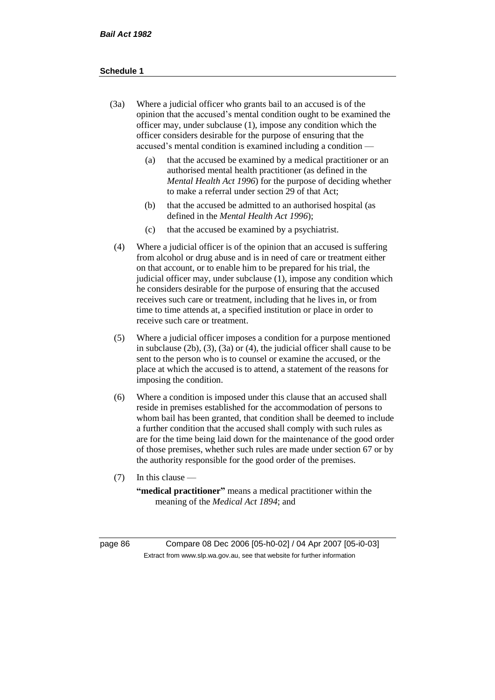- (3a) Where a judicial officer who grants bail to an accused is of the opinion that the accused's mental condition ought to be examined the officer may, under subclause (1), impose any condition which the officer considers desirable for the purpose of ensuring that the accused's mental condition is examined including a condition —
	- (a) that the accused be examined by a medical practitioner or an authorised mental health practitioner (as defined in the *Mental Health Act 1996*) for the purpose of deciding whether to make a referral under section 29 of that Act;
	- (b) that the accused be admitted to an authorised hospital (as defined in the *Mental Health Act 1996*);
	- (c) that the accused be examined by a psychiatrist.
- (4) Where a judicial officer is of the opinion that an accused is suffering from alcohol or drug abuse and is in need of care or treatment either on that account, or to enable him to be prepared for his trial, the judicial officer may, under subclause (1), impose any condition which he considers desirable for the purpose of ensuring that the accused receives such care or treatment, including that he lives in, or from time to time attends at, a specified institution or place in order to receive such care or treatment.
- (5) Where a judicial officer imposes a condition for a purpose mentioned in subclause (2b), (3), (3a) or (4), the judicial officer shall cause to be sent to the person who is to counsel or examine the accused, or the place at which the accused is to attend, a statement of the reasons for imposing the condition.
- (6) Where a condition is imposed under this clause that an accused shall reside in premises established for the accommodation of persons to whom bail has been granted, that condition shall be deemed to include a further condition that the accused shall comply with such rules as are for the time being laid down for the maintenance of the good order of those premises, whether such rules are made under section 67 or by the authority responsible for the good order of the premises.
- (7) In this clause —

**"medical practitioner"** means a medical practitioner within the meaning of the *Medical Act 1894*; and

page 86 Compare 08 Dec 2006 [05-h0-02] / 04 Apr 2007 [05-i0-03] Extract from www.slp.wa.gov.au, see that website for further information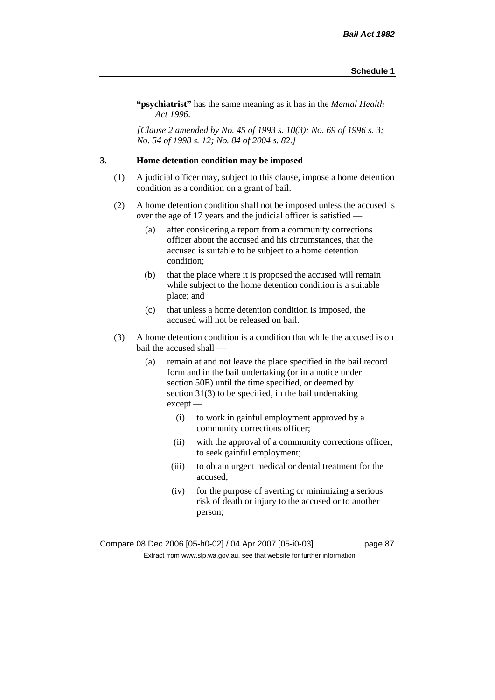**"psychiatrist"** has the same meaning as it has in the *Mental Health Act 1996*.

*[Clause 2 amended by No. 45 of 1993 s. 10(3); No. 69 of 1996 s. 3; No. 54 of 1998 s. 12; No. 84 of 2004 s. 82.]*

#### **3. Home detention condition may be imposed**

- (1) A judicial officer may, subject to this clause, impose a home detention condition as a condition on a grant of bail.
- (2) A home detention condition shall not be imposed unless the accused is over the age of 17 years and the judicial officer is satisfied —
	- (a) after considering a report from a community corrections officer about the accused and his circumstances, that the accused is suitable to be subject to a home detention condition;
	- (b) that the place where it is proposed the accused will remain while subject to the home detention condition is a suitable place; and
	- (c) that unless a home detention condition is imposed, the accused will not be released on bail.
- (3) A home detention condition is a condition that while the accused is on bail the accused shall —
	- (a) remain at and not leave the place specified in the bail record form and in the bail undertaking (or in a notice under section 50E) until the time specified, or deemed by section 31(3) to be specified, in the bail undertaking except —
		- (i) to work in gainful employment approved by a community corrections officer;
		- (ii) with the approval of a community corrections officer, to seek gainful employment;
		- (iii) to obtain urgent medical or dental treatment for the accused;
		- (iv) for the purpose of averting or minimizing a serious risk of death or injury to the accused or to another person;

Compare 08 Dec 2006 [05-h0-02] / 04 Apr 2007 [05-i0-03] page 87 Extract from www.slp.wa.gov.au, see that website for further information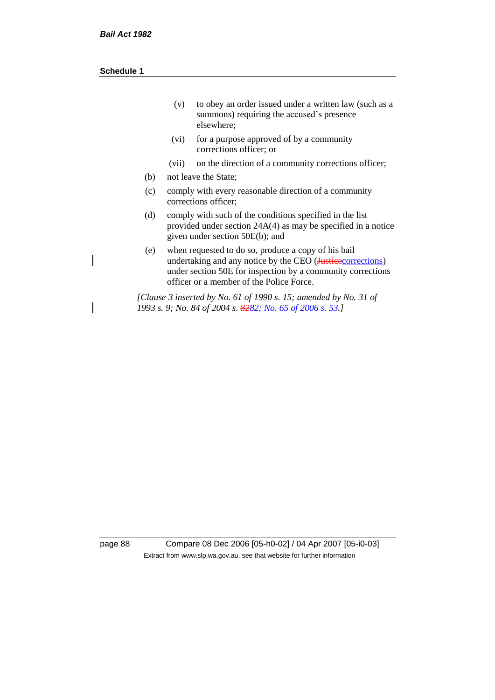| (v) | to obey an order issued under a written law (such as a |
|-----|--------------------------------------------------------|
|     | summons) requiring the accused's presence              |
|     | elsewhere:                                             |

- (vi) for a purpose approved of by a community corrections officer; or
- (vii) on the direction of a community corrections officer;
- (b) not leave the State;
- (c) comply with every reasonable direction of a community corrections officer;
- (d) comply with such of the conditions specified in the list provided under section 24A(4) as may be specified in a notice given under section 50E(b); and
- (e) when requested to do so, produce a copy of his bail undertaking and any notice by the CEO (Justice corrections) under section 50E for inspection by a community corrections officer or a member of the Police Force.

*[Clause 3 inserted by No. 61 of 1990 s. 15; amended by No. 31 of 1993 s. 9; No. 84 of 2004 s. 8282; No. 65 of 2006 s. 53.]*

page 88 Compare 08 Dec 2006 [05-h0-02] / 04 Apr 2007 [05-i0-03] Extract from www.slp.wa.gov.au, see that website for further information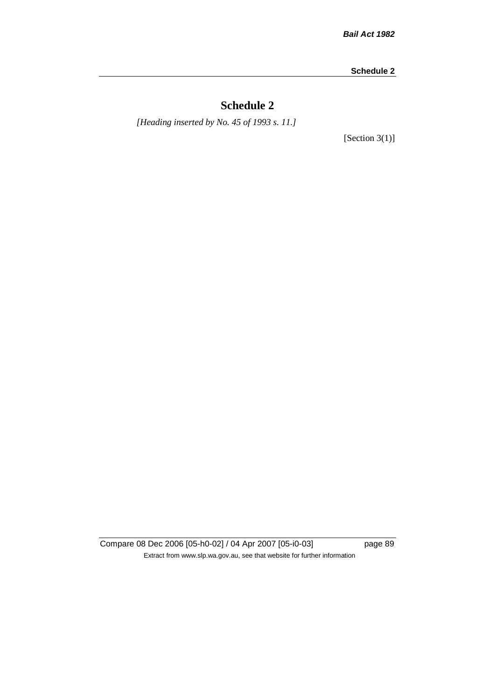# **Schedule 2**

*[Heading inserted by No. 45 of 1993 s. 11.]*

[Section 3(1)]

Compare 08 Dec 2006 [05-h0-02] / 04 Apr 2007 [05-i0-03] page 89 Extract from www.slp.wa.gov.au, see that website for further information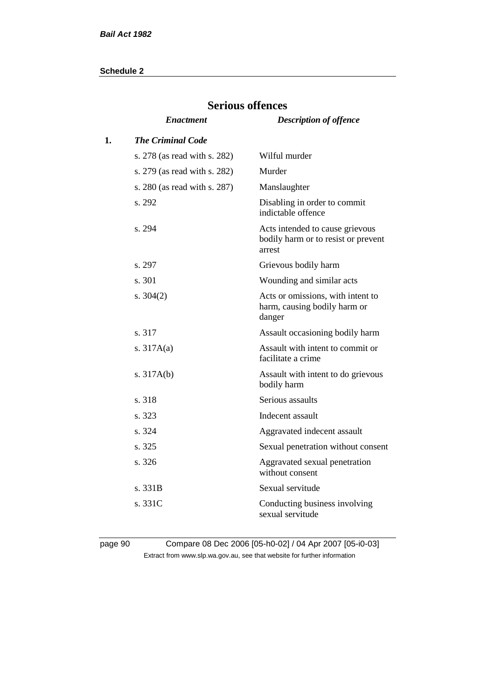|    | DULIOUD ULLUIU               |                                                                                  |  |  |  |
|----|------------------------------|----------------------------------------------------------------------------------|--|--|--|
|    | <b>Enactment</b>             | <b>Description of offence</b>                                                    |  |  |  |
| 1. | <b>The Criminal Code</b>     |                                                                                  |  |  |  |
|    | s. 278 (as read with s. 282) | Wilful murder                                                                    |  |  |  |
|    | s. 279 (as read with s. 282) | Murder                                                                           |  |  |  |
|    | s. 280 (as read with s. 287) | Manslaughter                                                                     |  |  |  |
|    | s. 292                       | Disabling in order to commit<br>indictable offence                               |  |  |  |
|    | s. 294                       | Acts intended to cause grievous<br>bodily harm or to resist or prevent<br>arrest |  |  |  |
|    | s. 297                       | Grievous bodily harm                                                             |  |  |  |
|    | s. 301                       | Wounding and similar acts                                                        |  |  |  |
|    | s. $304(2)$                  | Acts or omissions, with intent to<br>harm, causing bodily harm or<br>danger      |  |  |  |
|    | s. 317                       | Assault occasioning bodily harm                                                  |  |  |  |
|    | s. $317A(a)$                 | Assault with intent to commit or<br>facilitate a crime                           |  |  |  |
|    | s. $317A(b)$                 | Assault with intent to do grievous<br>bodily harm                                |  |  |  |
|    | s. 318                       | Serious assaults                                                                 |  |  |  |
|    | s. 323                       | Indecent assault                                                                 |  |  |  |
|    | s. 324                       | Aggravated indecent assault                                                      |  |  |  |
|    | s. 325                       | Sexual penetration without consent                                               |  |  |  |
|    | s. 326                       | Aggravated sexual penetration<br>without consent                                 |  |  |  |
|    | s. 331B                      | Sexual servitude                                                                 |  |  |  |
|    | s. 331C                      | Conducting business involving<br>sexual servitude                                |  |  |  |

# **Serious offences**

page 90 Compare 08 Dec 2006 [05-h0-02] / 04 Apr 2007 [05-i0-03] Extract from www.slp.wa.gov.au, see that website for further information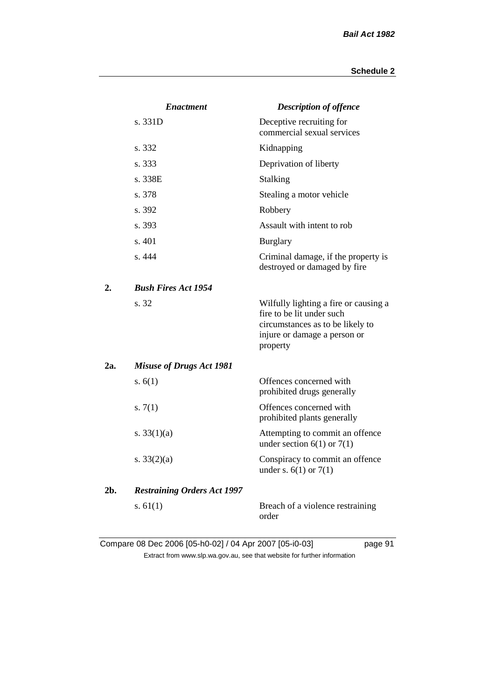|     | <b>Enactment</b>                   | <b>Description of offence</b>                                                                                                                      |
|-----|------------------------------------|----------------------------------------------------------------------------------------------------------------------------------------------------|
|     | s. 331D                            | Deceptive recruiting for<br>commercial sexual services                                                                                             |
|     | s. 332                             | Kidnapping                                                                                                                                         |
|     | s. 333                             | Deprivation of liberty                                                                                                                             |
|     | s. 338E                            | Stalking                                                                                                                                           |
|     | s. 378                             | Stealing a motor vehicle                                                                                                                           |
|     | s. 392                             | Robbery                                                                                                                                            |
|     | s. 393                             | Assault with intent to rob                                                                                                                         |
|     | s. 401                             | <b>Burglary</b>                                                                                                                                    |
|     | s. 444                             | Criminal damage, if the property is<br>destroyed or damaged by fire                                                                                |
| 2.  | <b>Bush Fires Act 1954</b>         |                                                                                                                                                    |
|     | s. 32                              | Wilfully lighting a fire or causing a<br>fire to be lit under such<br>circumstances as to be likely to<br>injure or damage a person or<br>property |
| 2a. | <b>Misuse of Drugs Act 1981</b>    |                                                                                                                                                    |
|     | s. $6(1)$                          | Offences concerned with<br>prohibited drugs generally                                                                                              |
|     | s. $7(1)$                          | Offences concerned with<br>prohibited plants generally                                                                                             |
|     | s. $33(1)(a)$                      | Attempting to commit an offence<br>under section $6(1)$ or $7(1)$                                                                                  |
|     | s. $33(2)(a)$                      | Conspiracy to commit an offence<br>under s. $6(1)$ or $7(1)$                                                                                       |
| 2b. | <b>Restraining Orders Act 1997</b> |                                                                                                                                                    |
|     | s. $61(1)$                         | Breach of a violence restraining<br>order                                                                                                          |

Compare 08 Dec 2006 [05-h0-02] / 04 Apr 2007 [05-i0-03] page 91 Extract from www.slp.wa.gov.au, see that website for further information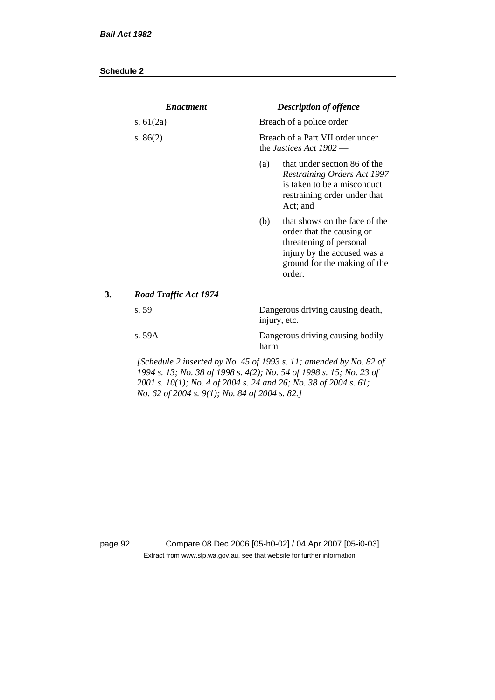| <b>Enactment</b>      |                                                                                                                                                                                                                                                                 | <b>Description of offence</b>                                                                                                                                  |
|-----------------------|-----------------------------------------------------------------------------------------------------------------------------------------------------------------------------------------------------------------------------------------------------------------|----------------------------------------------------------------------------------------------------------------------------------------------------------------|
| s. $61(2a)$           |                                                                                                                                                                                                                                                                 | Breach of a police order                                                                                                                                       |
| s. $86(2)$            |                                                                                                                                                                                                                                                                 | Breach of a Part VII order under<br>the <i>Justices</i> Act $1902$ —                                                                                           |
|                       | (a)                                                                                                                                                                                                                                                             | that under section 86 of the<br><b>Restraining Orders Act 1997</b><br>is taken to be a misconduct<br>restraining order under that<br>Act; and                  |
|                       | (b)                                                                                                                                                                                                                                                             | that shows on the face of the<br>order that the causing or<br>threatening of personal<br>injury by the accused was a<br>ground for the making of the<br>order. |
| Road Traffic Act 1974 |                                                                                                                                                                                                                                                                 |                                                                                                                                                                |
| s. 59<br>injury, etc. |                                                                                                                                                                                                                                                                 | Dangerous driving causing death,                                                                                                                               |
| s. 59A                | harm                                                                                                                                                                                                                                                            | Dangerous driving causing bodily                                                                                                                               |
|                       | [Schedule 2 inserted by No. 45 of 1993 s. 11; amended by No. 82 of<br>1994 s. 13; No. 38 of 1998 s. 4(2); No. 54 of 1998 s. 15; No. 23 of<br>2001 s. 10(1); No. 4 of 2004 s. 24 and 26; No. 38 of 2004 s. 61;<br>No. 62 of 2004 s. 9(1); No. 84 of 2004 s. 82.] |                                                                                                                                                                |

page 92 Compare 08 Dec 2006 [05-h0-02] / 04 Apr 2007 [05-i0-03] Extract from www.slp.wa.gov.au, see that website for further information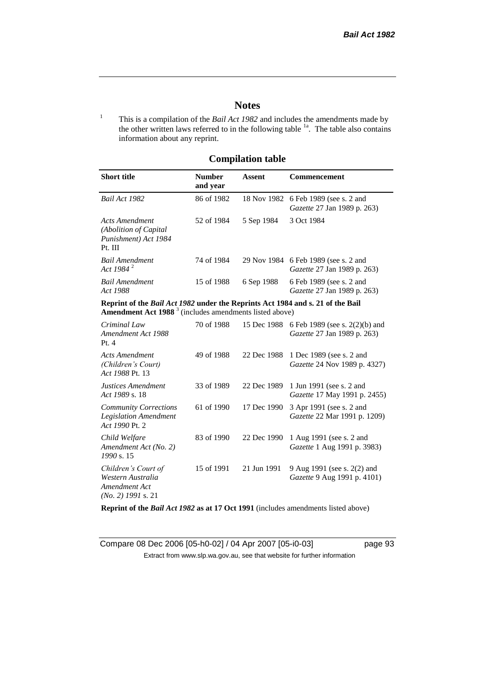## **Notes**

<sup>1</sup> This is a compilation of the *Bail Act 1982* and includes the amendments made by the other written laws referred to in the following table  $1a$ . The table also contains information about any reprint.

## **Compilation table**

| <b>Short title</b>                                                          | <b>Number</b><br>and year | Assent     | <b>Commencement</b>                                                        |
|-----------------------------------------------------------------------------|---------------------------|------------|----------------------------------------------------------------------------|
| Bail Act 1982                                                               | 86 of 1982                |            | 18 Nov 1982 6 Feb 1989 (see s. 2 and<br><i>Gazette</i> 27 Jan 1989 p. 263) |
| Acts Amendment<br>(Abolition of Capital)<br>Punishment) Act 1984<br>Pt. III | 52 of 1984                | 5 Sep 1984 | 3 Oct 1984                                                                 |
| <b>Bail Amendment</b><br>Act 1984 <sup>2</sup>                              | 74 of 1984                |            | 29 Nov 1984 6 Feb 1989 (see s. 2 and<br><i>Gazette</i> 27 Jan 1989 p. 263) |
| <b>Bail Amendment</b><br>Act 1988                                           | 15 of 1988                | 6 Sep 1988 | 6 Feb 1989 (see s. 2 and<br><i>Gazette</i> 27 Jan 1989 p. 263)             |
|                                                                             |                           |            |                                                                            |

**Reprint of the** *Bail Act 1982* **under the Reprints Act 1984 and s. 21 of the Bail Amendment Act 1988** <sup>3</sup> (includes amendments listed above)

| Criminal Law<br>Amendment Act 1988<br>Pt.4                                        | 70 of 1988 | 15 Dec 1988 | 6 Feb 1989 (see s. 2(2)(b) and<br>Gazette 27 Jan 1989 p. 263)     |
|-----------------------------------------------------------------------------------|------------|-------------|-------------------------------------------------------------------|
| <b>Acts Amendment</b><br>(Children's Court)<br>Act 1988 Pt. 13                    | 49 of 1988 | 22 Dec 1988 | 1 Dec 1989 (see s. 2 and<br><i>Gazette</i> 24 Nov 1989 p. 4327)   |
| Justices Amendment<br>Act 1989 s. 18                                              | 33 of 1989 | 22 Dec 1989 | 1 Jun 1991 (see s. 2 and<br><i>Gazette</i> 17 May 1991 p. 2455)   |
| <b>Community Corrections</b><br><b>Legislation Amendment</b><br>Act 1990 Pt. 2    | 61 of 1990 | 17 Dec 1990 | 3 Apr 1991 (see s. 2 and<br><i>Gazette</i> 22 Mar 1991 p. 1209)   |
| Child Welfare<br>Amendment Act (No. 2)<br>1990 s. 15                              | 83 of 1990 | 22 Dec 1990 | 1 Aug 1991 (see s. 2 and<br><i>Gazette</i> 1 Aug 1991 p. 3983)    |
| Children's Court of<br>Western Australia<br>Amendment Act<br>$(No. 2)$ 1991 s. 21 | 15 of 1991 | 21 Jun 1991 | 9 Aug 1991 (see s. 2(2) and<br><i>Gazette</i> 9 Aug 1991 p. 4101) |

**Reprint of the** *Bail Act 1982* **as at 17 Oct 1991** (includes amendments listed above)

Compare 08 Dec 2006 [05-h0-02] / 04 Apr 2007 [05-i0-03] page 93 Extract from www.slp.wa.gov.au, see that website for further information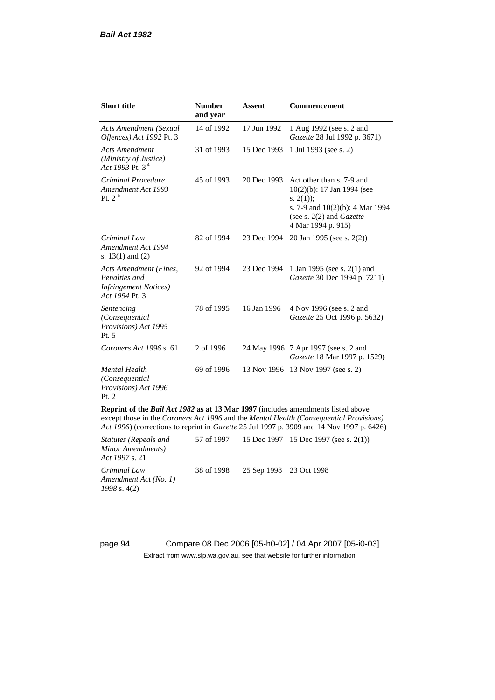| <b>Short title</b>                                                                                                                                                                                                                                                             | <b>Number</b> | <b>Assent</b> | Commencement                                                                                                                                                            |  |
|--------------------------------------------------------------------------------------------------------------------------------------------------------------------------------------------------------------------------------------------------------------------------------|---------------|---------------|-------------------------------------------------------------------------------------------------------------------------------------------------------------------------|--|
|                                                                                                                                                                                                                                                                                | and year      |               |                                                                                                                                                                         |  |
| <b>Acts Amendment (Sexual</b><br>Offences) Act 1992 Pt. 3                                                                                                                                                                                                                      | 14 of 1992    | 17 Jun 1992   | 1 Aug 1992 (see s. 2 and<br>Gazette 28 Jul 1992 p. 3671)                                                                                                                |  |
| <b>Acts Amendment</b><br>(Ministry of Justice)<br>Act 1993 Pt. 3 <sup>4</sup>                                                                                                                                                                                                  | 31 of 1993    | 15 Dec 1993   | 1 Jul 1993 (see s. 2)                                                                                                                                                   |  |
| Criminal Procedure<br>Amendment Act 1993<br>Pt. $2^5$                                                                                                                                                                                                                          | 45 of 1993    | 20 Dec 1993   | Act other than s. 7-9 and<br>$10(2)(b)$ : 17 Jan 1994 (see<br>s. $2(1)$ ;<br>s. 7-9 and 10(2)(b): 4 Mar 1994<br>(see s. $2(2)$ and <i>Gazette</i><br>4 Mar 1994 p. 915) |  |
| Criminal Law<br>Amendment Act 1994<br>s. $13(1)$ and $(2)$                                                                                                                                                                                                                     | 82 of 1994    | 23 Dec 1994   | 20 Jan 1995 (see s. 2(2))                                                                                                                                               |  |
| Acts Amendment (Fines,<br>Penalties and<br><b>Infringement Notices</b> )<br>Act 1994 Pt. 3                                                                                                                                                                                     | 92 of 1994    | 23 Dec 1994   | 1 Jan 1995 (see s. 2(1) and<br>Gazette 30 Dec 1994 p. 7211)                                                                                                             |  |
| Sentencing<br>(Consequential<br>Provisions) Act 1995<br>Pt. 5                                                                                                                                                                                                                  | 78 of 1995    | 16 Jan 1996   | 4 Nov 1996 (see s. 2 and<br>Gazette 25 Oct 1996 p. 5632)                                                                                                                |  |
| Coroners Act 1996 s. 61                                                                                                                                                                                                                                                        | 2 of 1996     |               | 24 May 1996 7 Apr 1997 (see s. 2 and<br>Gazette 18 Mar 1997 p. 1529)                                                                                                    |  |
| <b>Mental Health</b><br>(Consequential<br>Provisions) Act 1996<br>Pt. 2                                                                                                                                                                                                        | 69 of 1996    |               | 13 Nov 1996 13 Nov 1997 (see s. 2)                                                                                                                                      |  |
| <b>Reprint of the Bail Act 1982 as at 13 Mar 1997</b> (includes amendments listed above<br>except those in the Coroners Act 1996 and the Mental Health (Consequential Provisions)<br>Act 1996) (corrections to reprint in Gazette 25 Jul 1997 p. 3909 and 14 Nov 1997 p. 6426) |               |               |                                                                                                                                                                         |  |

| Statutes (Repeals and<br>Minor Amendments)<br><i>Act 1997 s.</i> 21 |                                    | 57 of 1997 15 Dec 1997 15 Dec 1997 (see s. 2(1)) |
|---------------------------------------------------------------------|------------------------------------|--------------------------------------------------|
| Criminal Law<br>Amendment Act (No. 1)<br>$1998$ s. 4(2)             | 38 of 1998 25 Sep 1998 23 Oct 1998 |                                                  |

page 94 Compare 08 Dec 2006 [05-h0-02] / 04 Apr 2007 [05-i0-03] Extract from www.slp.wa.gov.au, see that website for further information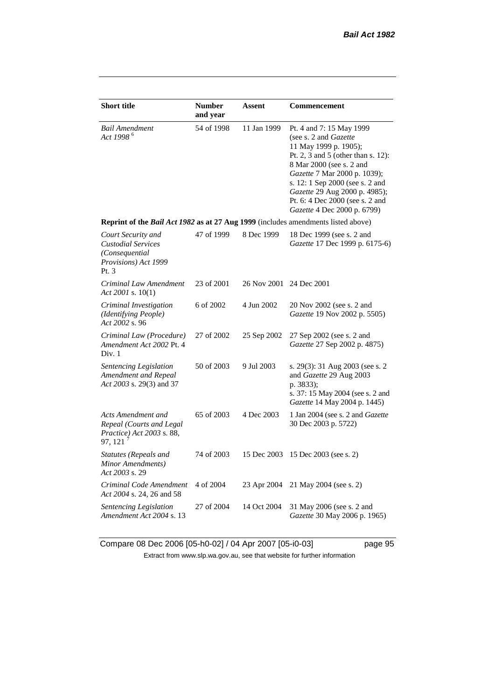| <b>Short title</b>                                                                                | <b>Number</b><br>and year | Assent                  | Commencement                                                                                                                                                                                                                                                                                                       |  |  |
|---------------------------------------------------------------------------------------------------|---------------------------|-------------------------|--------------------------------------------------------------------------------------------------------------------------------------------------------------------------------------------------------------------------------------------------------------------------------------------------------------------|--|--|
| <b>Bail Amendment</b><br>Act 1998 <sup>6</sup>                                                    | 54 of 1998                | 11 Jan 1999             | Pt. 4 and 7: 15 May 1999<br>(see s. 2 and Gazette<br>11 May 1999 p. 1905);<br>Pt. 2, 3 and 5 (other than s. 12):<br>8 Mar 2000 (see s. 2 and<br>Gazette 7 Mar 2000 p. 1039);<br>s. 12: 1 Sep 2000 (see s. 2 and<br>Gazette 29 Aug 2000 p. 4985);<br>Pt. 6: 4 Dec 2000 (see s. 2 and<br>Gazette 4 Dec 2000 p. 6799) |  |  |
| Reprint of the Bail Act 1982 as at 27 Aug 1999 (includes amendments listed above)                 |                           |                         |                                                                                                                                                                                                                                                                                                                    |  |  |
| Court Security and<br><b>Custodial Services</b><br>(Consequential<br>Provisions) Act 1999<br>Pt.3 | 47 of 1999                | 8 Dec 1999              | 18 Dec 1999 (see s. 2 and<br>Gazette 17 Dec 1999 p. 6175-6)                                                                                                                                                                                                                                                        |  |  |
| Criminal Law Amendment<br>Act 2001 s. 10(1)                                                       | 23 of 2001                | 26 Nov 2001 24 Dec 2001 |                                                                                                                                                                                                                                                                                                                    |  |  |
| Criminal Investigation<br>(Identifying People)<br>Act 2002 s. 96                                  | 6 of 2002                 | 4 Jun 2002              | 20 Nov 2002 (see s. 2 and<br><i>Gazette</i> 19 Nov 2002 p. 5505)                                                                                                                                                                                                                                                   |  |  |
| Criminal Law (Procedure)<br>Amendment Act 2002 Pt. 4<br>Div. 1                                    | 27 of 2002                | 25 Sep 2002             | 27 Sep 2002 (see s. 2 and<br>Gazette 27 Sep 2002 p. 4875)                                                                                                                                                                                                                                                          |  |  |
| <b>Sentencing Legislation</b><br>Amendment and Repeal<br>Act 2003 s. 29(3) and 37                 | 50 of 2003                | 9 Jul 2003              | s. 29(3): 31 Aug 2003 (see s. 2)<br>and Gazette 29 Aug 2003<br>p. 3833);<br>s. 37: 15 May 2004 (see s. 2 and<br>Gazette 14 May 2004 p. 1445)                                                                                                                                                                       |  |  |
| Acts Amendment and<br>Repeal (Courts and Legal<br>Practice) Act 2003 s. 88,<br>97, 121            | 65 of 2003                | 4 Dec 2003              | 1 Jan 2004 (see s. 2 and <i>Gazette</i><br>30 Dec 2003 p. 5722)                                                                                                                                                                                                                                                    |  |  |
| Statutes (Repeals and<br>Minor Amendments)<br>Act 2003 s. 29                                      | 74 of 2003                | 15 Dec 2003             | 15 Dec 2003 (see s. 2)                                                                                                                                                                                                                                                                                             |  |  |
| Criminal Code Amendment<br>Act 2004 s. 24, 26 and 58                                              | 4 of 2004                 | 23 Apr 2004             | 21 May 2004 (see s. 2)                                                                                                                                                                                                                                                                                             |  |  |
| Sentencing Legislation<br>Amendment Act 2004 s. 13                                                | 27 of 2004                | 14 Oct 2004             | 31 May 2006 (see s. 2 and<br>Gazette 30 May 2006 p. 1965)                                                                                                                                                                                                                                                          |  |  |

Compare 08 Dec 2006 [05-h0-02] / 04 Apr 2007 [05-i0-03] page 95 Extract from www.slp.wa.gov.au, see that website for further information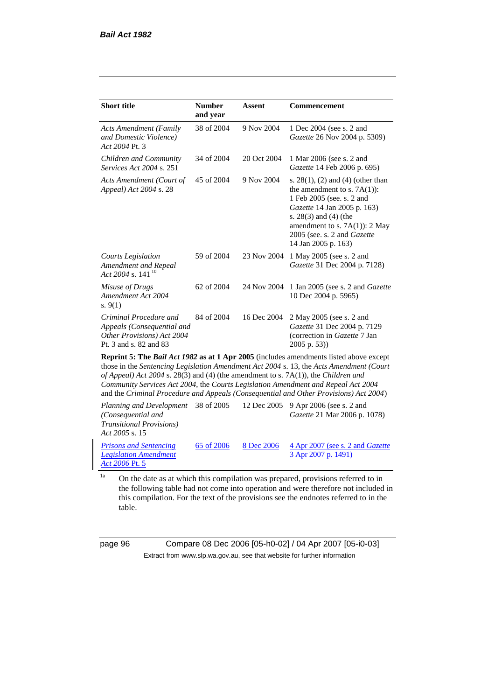| <b>Short title</b>                                                                                           | <b>Number</b><br>and year | <b>Assent</b> | <b>Commencement</b>                                                                                                                                                                                                                                            |
|--------------------------------------------------------------------------------------------------------------|---------------------------|---------------|----------------------------------------------------------------------------------------------------------------------------------------------------------------------------------------------------------------------------------------------------------------|
| <b>Acts Amendment (Family</b><br>and Domestic Violence)<br>Act 2004 Pt. 3                                    | 38 of 2004                | 9 Nov 2004    | 1 Dec 2004 (see s. 2 and<br><i>Gazette</i> 26 Nov 2004 p. 5309)                                                                                                                                                                                                |
| Children and Community<br><i>Services Act 2004 s. 251</i>                                                    | 34 of 2004                | 20 Oct 2004   | 1 Mar 2006 (see s. 2 and<br>Gazette 14 Feb 2006 p. 695)                                                                                                                                                                                                        |
| Acts Amendment (Court of<br>Appeal) Act 2004 s. 28                                                           | 45 of 2004                | 9 Nov 2004    | s. $28(1)$ , (2) and (4) (other than<br>the amendment to s. $7A(1)$ :<br>1 Feb 2005 (see. s. 2 and<br><i>Gazette</i> 14 Jan 2005 p. 163)<br>s. $28(3)$ and $(4)$ (the<br>amendment to s. $7A(1)$ : 2 May<br>2005 (see. s. 2 and Gazette<br>14 Jan 2005 p. 163) |
| Courts Legislation<br>Amendment and Repeal<br>Act 2004 s. 141 <sup>10</sup>                                  | 59 of 2004                | 23 Nov 2004   | 1 May 2005 (see s. 2 and<br><i>Gazette</i> 31 Dec 2004 p. 7128)                                                                                                                                                                                                |
| Misuse of Drugs<br>Amendment Act 2004<br>s. $9(1)$                                                           | 62 of 2004                | 24 Nov 2004   | 1 Jan 2005 (see s. 2 and <i>Gazette</i><br>10 Dec 2004 p. 5965)                                                                                                                                                                                                |
| Criminal Procedure and<br>Appeals (Consequential and<br>Other Provisions) Act 2004<br>Pt. 3 and s. 82 and 83 | 84 of 2004                | 16 Dec 2004   | 2 May 2005 (see s. 2 and<br>Gazette 31 Dec 2004 p. 7129<br>(correction in Gazette 7 Jan<br>$2005$ p. 53))                                                                                                                                                      |
|                                                                                                              |                           |               | <b>Reprint 5: The Bail Act 1982 as at 1 Apr 2005</b> (includes amendments listed above except<br>those in the Contensing Legislation Amendment Act 2004 s 12 the Acts Amendment (Court                                                                         |

those in the *Sentencing Legislation Amendment Act 2004* s. 13, the *Acts Amendment (Court of Appeal) Act 2004* s. 28(3) and (4) (the amendment to s. 7A(1)), the *Children and Community Services Act 2004*, the *Courts Legislation Amendment and Repeal Act 2004* and the *Criminal Procedure and Appeals (Consequential and Other Provisions) Act 2004*)

*Planning and Development (Consequential and Transitional Provisions) Act 2005* s. 15 12 Dec 2005 9 Apr 2006 (see s. 2 and *Gazette* 21 Mar 2006 p. 1078) *Prisons and Sentencing Legislation Amendment Act 2006* Pt. 5 65 of 2006 8 Dec 2006 4 Apr 2007 (see s. 2 and *Gazette* 3 Apr 2007 p. 1491)

<sup>1a</sup> On the date as at which this compilation was prepared, provisions referred to in the following table had not come into operation and were therefore not included in this compilation. For the text of the provisions see the endnotes referred to in the table.

page 96 Compare 08 Dec 2006 [05-h0-02] / 04 Apr 2007 [05-i0-03] Extract from www.slp.wa.gov.au, see that website for further information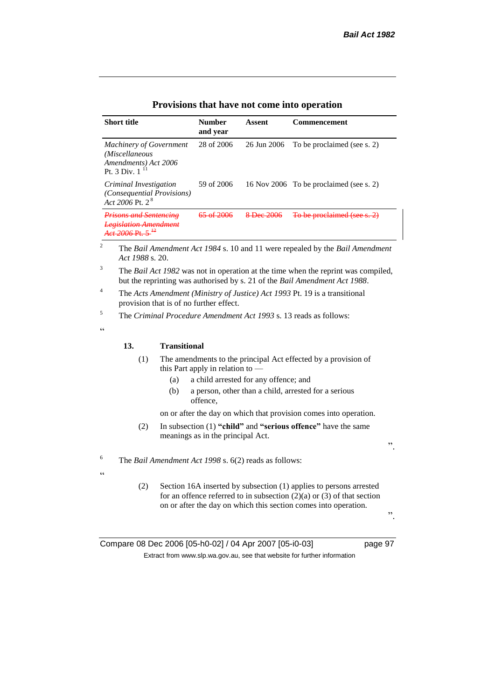| <b>Short title</b>                                                                       | Number<br>and year | Assent      | Commencement                                                                             |
|------------------------------------------------------------------------------------------|--------------------|-------------|------------------------------------------------------------------------------------------|
| <b>Machinery of Government</b><br>(Miscellaneous<br>Amendments) Act 2006<br>Pt. 3 Div. 1 | 28 of 2006         | 26 Jun 2006 | To be proclaimed (see s. 2)                                                              |
| Criminal Investigation<br><i>(Consequential Provisions)</i><br>Act 2006 Pt. $2^8$        | 59 of 2006         |             | 16 Nov 2006 To be proclaimed (see s. 2)                                                  |
| <u>Prisons and Sentencine</u><br><b>Legislation Amendment</b><br>$Aof 2006$ Dt           |                    | Dec 2006    | To be proclaimed (see s. 2)                                                              |
| 2<br>Act 1988 s. 20.                                                                     |                    |             | The Bail Amendment Act 1984 s. 10 and 11 were repealed by the Bail Amendment             |
| 3                                                                                        |                    |             | The <i>Bail Act 1982</i> was not in operation at the time when the reprint was compiled. |

| Provisions that have not come into operation |  |  |
|----------------------------------------------|--|--|
|----------------------------------------------|--|--|

<sup>4</sup> The *Acts Amendment (Ministry of Justice) Act 1993* Pt. 19 is a transitional provision that is of no further effect.

<sup>5</sup> The *Criminal Procedure Amendment Act 1993* s. 13 reads as follows:

 $\epsilon$ 

 $\epsilon$ 

#### **13. Transitional**

- (1) The amendments to the principal Act effected by a provision of this Part apply in relation to —
	- (a) a child arrested for any offence; and
	- (b) a person, other than a child, arrested for a serious offence,

on or after the day on which that provision comes into operation.

(2) In subsection (1) **"child"** and **"serious offence"** have the same meanings as in the principal Act.

<sup>6</sup> The *Bail Amendment Act 1998* s. 6(2) reads as follows:

(2) Section 16A inserted by subsection (1) applies to persons arrested for an offence referred to in subsection  $(2)(a)$  or  $(3)$  of that section on or after the day on which this section comes into operation.

".

".

Compare 08 Dec 2006 [05-h0-02] / 04 Apr 2007 [05-i0-03] page 97 Extract from www.slp.wa.gov.au, see that website for further information

<sup>&</sup>lt;sup>3</sup> The *Bail Act 1982* was not in operation at the time when the reprint was compiled, but the reprinting was authorised by s. 21 of the *Bail Amendment Act 1988*.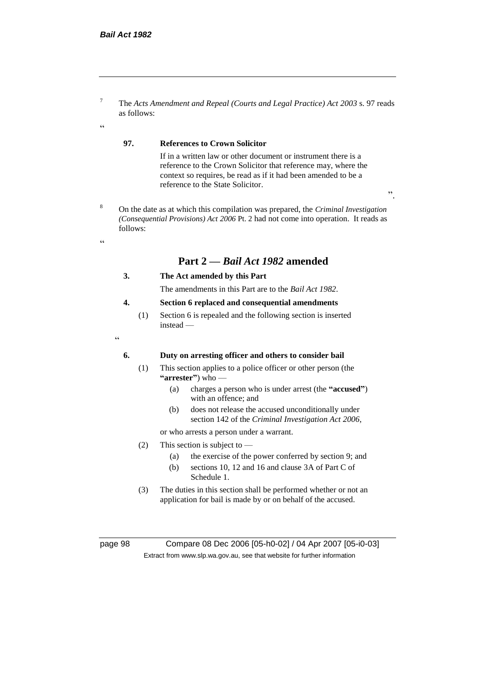<sup>7</sup> The *Acts Amendment and Repeal (Courts and Legal Practice) Act 2003* s. 97 reads as follows:

#### $\epsilon$

## **97. References to Crown Solicitor**

If in a written law or other document or instrument there is a reference to the Crown Solicitor that reference may, where the context so requires, be read as if it had been amended to be a reference to the State Solicitor.

".

<sup>8</sup> On the date as at which this compilation was prepared, the *Criminal Investigation (Consequential Provisions) Act 2006* Pt. 2 had not come into operation. It reads as follows:

#### $\epsilon$

# **Part 2 —** *Bail Act 1982* **amended**

- **3. The Act amended by this Part**
	- The amendments in this Part are to the *Bail Act 1982*.

#### **4. Section 6 replaced and consequential amendments**

(1) Section 6 is repealed and the following section is inserted instead —

<u>،</u>

#### **6. Duty on arresting officer and others to consider bail**

- (1) This section applies to a police officer or other person (the **"arrester"**) who —
	- (a) charges a person who is under arrest (the **"accused"**) with an offence; and
	- (b) does not release the accused unconditionally under section 142 of the *Criminal Investigation Act 2006*,

or who arrests a person under a warrant.

- (2) This section is subject to
	- (a) the exercise of the power conferred by section 9; and
	- (b) sections 10, 12 and 16 and clause 3A of Part C of Schedule 1.
- (3) The duties in this section shall be performed whether or not an application for bail is made by or on behalf of the accused.

page 98 Compare 08 Dec 2006 [05-h0-02] / 04 Apr 2007 [05-i0-03] Extract from www.slp.wa.gov.au, see that website for further information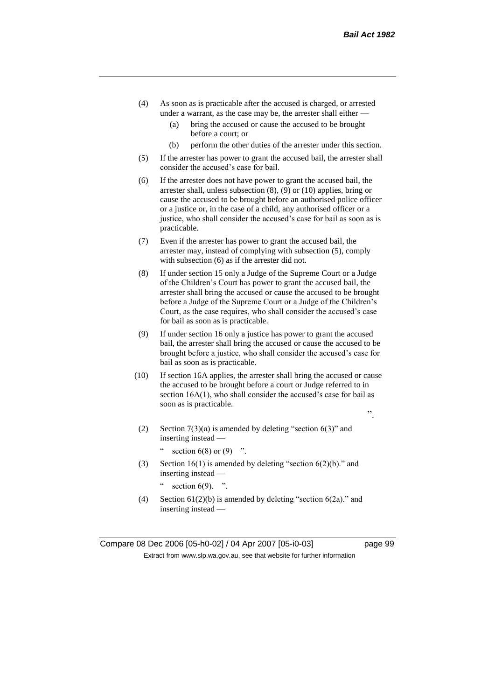- (4) As soon as is practicable after the accused is charged, or arrested under a warrant, as the case may be, the arrester shall either —
	- (a) bring the accused or cause the accused to be brought before a court; or
	- (b) perform the other duties of the arrester under this section.
- (5) If the arrester has power to grant the accused bail, the arrester shall consider the accused's case for bail.
- (6) If the arrester does not have power to grant the accused bail, the arrester shall, unless subsection (8), (9) or (10) applies, bring or cause the accused to be brought before an authorised police officer or a justice or, in the case of a child, any authorised officer or a justice, who shall consider the accused's case for bail as soon as is practicable.
- (7) Even if the arrester has power to grant the accused bail, the arrester may, instead of complying with subsection (5), comply with subsection (6) as if the arrester did not.
- (8) If under section 15 only a Judge of the Supreme Court or a Judge of the Children's Court has power to grant the accused bail, the arrester shall bring the accused or cause the accused to be brought before a Judge of the Supreme Court or a Judge of the Children's Court, as the case requires, who shall consider the accused's case for bail as soon as is practicable.
- (9) If under section 16 only a justice has power to grant the accused bail, the arrester shall bring the accused or cause the accused to be brought before a justice, who shall consider the accused's case for bail as soon as is practicable.
- (10) If section 16A applies, the arrester shall bring the accused or cause the accused to be brought before a court or Judge referred to in section 16A(1), who shall consider the accused's case for bail as soon as is practicable.
	- ".
	- (2) Section  $7(3)(a)$  is amended by deleting "section  $6(3)$ " and inserting instead —

" section  $6(8)$  or  $(9)$  ".

(3) Section 16(1) is amended by deleting "section 6(2)(b)." and inserting instead —

section  $6(9)$ .

(4) Section  $61(2)(b)$  is amended by deleting "section  $6(2a)$ ." and inserting instead —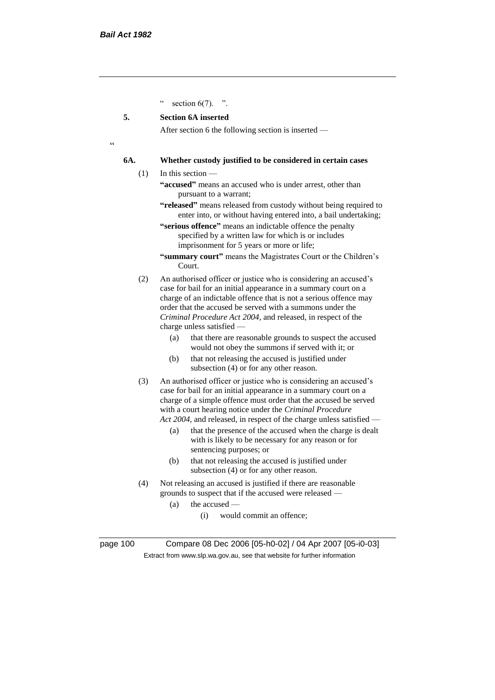section  $6(7)$ . ".

#### **5. Section 6A inserted**

After section 6 the following section is inserted —

 $\epsilon$ 

#### **6A. Whether custody justified to be considered in certain cases**

(1) In this section —

- **"accused"** means an accused who is under arrest, other than pursuant to a warrant;
- **"released"** means released from custody without being required to enter into, or without having entered into, a bail undertaking;
- **"serious offence"** means an indictable offence the penalty specified by a written law for which is or includes imprisonment for 5 years or more or life;
- **"summary court"** means the Magistrates Court or the Children's Court.
- (2) An authorised officer or justice who is considering an accused's case for bail for an initial appearance in a summary court on a charge of an indictable offence that is not a serious offence may order that the accused be served with a summons under the *Criminal Procedure Act 2004*, and released, in respect of the charge unless satisfied —
	- (a) that there are reasonable grounds to suspect the accused would not obey the summons if served with it; or
	- (b) that not releasing the accused is justified under subsection (4) or for any other reason.
- (3) An authorised officer or justice who is considering an accused's case for bail for an initial appearance in a summary court on a charge of a simple offence must order that the accused be served with a court hearing notice under the *Criminal Procedure Act* 2004, and released, in respect of the charge unless satisfied -
	- (a) that the presence of the accused when the charge is dealt with is likely to be necessary for any reason or for sentencing purposes; or
	- (b) that not releasing the accused is justified under subsection (4) or for any other reason.
- (4) Not releasing an accused is justified if there are reasonable grounds to suspect that if the accused were released —
	- (a) the accused
		- (i) would commit an offence;

page 100 Compare 08 Dec 2006 [05-h0-02] / 04 Apr 2007 [05-i0-03] Extract from www.slp.wa.gov.au, see that website for further information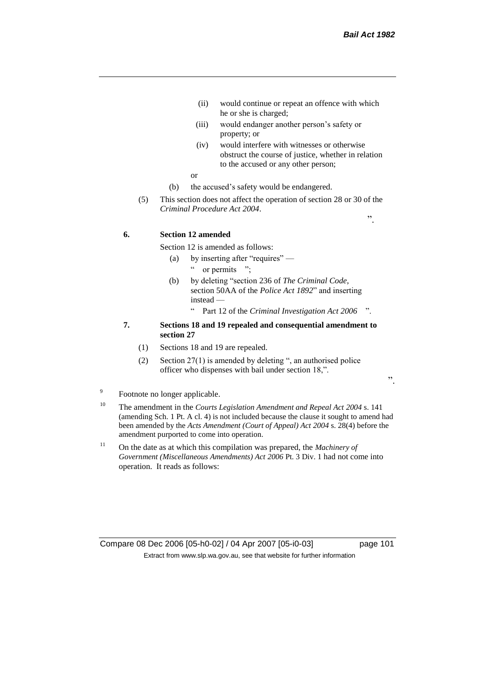".

- (ii) would continue or repeat an offence with which he or she is charged;
- (iii) would endanger another person's safety or property; or
- (iv) would interfere with witnesses or otherwise obstruct the course of justice, whether in relation to the accused or any other person;
- or
- (b) the accused's safety would be endangered.
- (5) This section does not affect the operation of section 28 or 30 of the *Criminal Procedure Act 2004*.

**6. Section 12 amended**

Section 12 is amended as follows:

- (a) by inserting after "requires"
	- " or permits ";
- (b) by deleting "section 236 of *The Criminal Code*, section 50AA of the *Police Act 1892*" and inserting instead —
	- " Part 12 of the *Criminal Investigation Act 2006* ".

#### **7. Sections 18 and 19 repealed and consequential amendment to section 27**

- (1) Sections 18 and 19 are repealed.
- (2) Section 27(1) is amended by deleting ", an authorised police officer who dispenses with bail under section 18,".

".

- 9 Footnote no longer applicable.
- <sup>10</sup> The amendment in the *Courts Legislation Amendment and Repeal Act 2004* s. 141 (amending Sch. 1 Pt. A cl. 4) is not included because the clause it sought to amend had been amended by the *Acts Amendment (Court of Appeal) Act 2004* s. 28(4) before the amendment purported to come into operation.
- <sup>11</sup> On the date as at which this compilation was prepared, the *Machinery of Government (Miscellaneous Amendments) Act 2006* Pt. 3 Div. 1 had not come into operation. It reads as follows:

Compare 08 Dec 2006 [05-h0-02] / 04 Apr 2007 [05-i0-03] page 101 Extract from www.slp.wa.gov.au, see that website for further information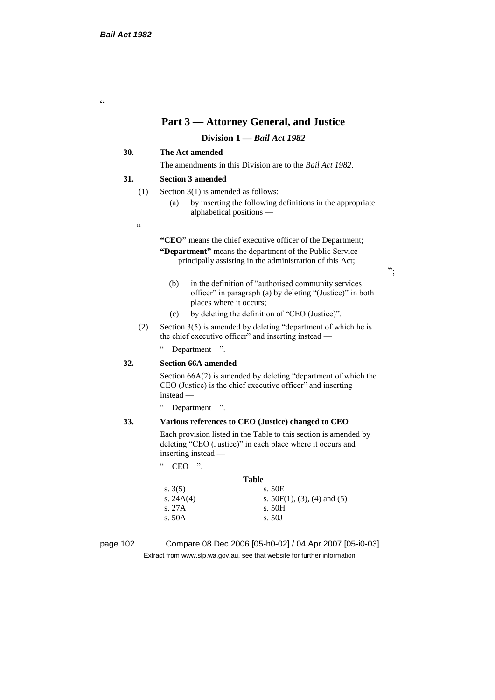"

## **Part 3 — Attorney General, and Justice**

#### **Division 1 —** *Bail Act 1982*

#### **30. The Act amended**

The amendments in this Division are to the *Bail Act 1982*.

#### **31. Section 3 amended**

- (1) Section 3(1) is amended as follows:
	- (a) by inserting the following definitions in the appropriate alphabetical positions —
- $\epsilon$

**"CEO"** means the chief executive officer of the Department; **"Department"** means the department of the Public Service

principally assisting in the administration of this Act;

- (b) in the definition of "authorised community services officer" in paragraph (a) by deleting "(Justice)" in both places where it occurs;
- (c) by deleting the definition of "CEO (Justice)".
- (2) Section 3(5) is amended by deleting "department of which he is the chief executive officer" and inserting instead —

" Department ".

#### **32. Section 66A amended**

Section 66A(2) is amended by deleting "department of which the CEO (Justice) is the chief executive officer" and inserting instead —

" Department ".

#### **33. Various references to CEO (Justice) changed to CEO**

Each provision listed in the Table to this section is amended by deleting "CEO (Justice)" in each place where it occurs and inserting instead —

| CEO | יי |
|-----|----|
|     |    |

## **Table** s. 3(5) s. 50E s.  $24A(4)$  s.  $50F(1), (3), (4)$  and (5) s. 27A s. 50H s. 50A s. 50J

page 102 Compare 08 Dec 2006 [05-h0-02] / 04 Apr 2007 [05-i0-03] Extract from www.slp.wa.gov.au, see that website for further information

";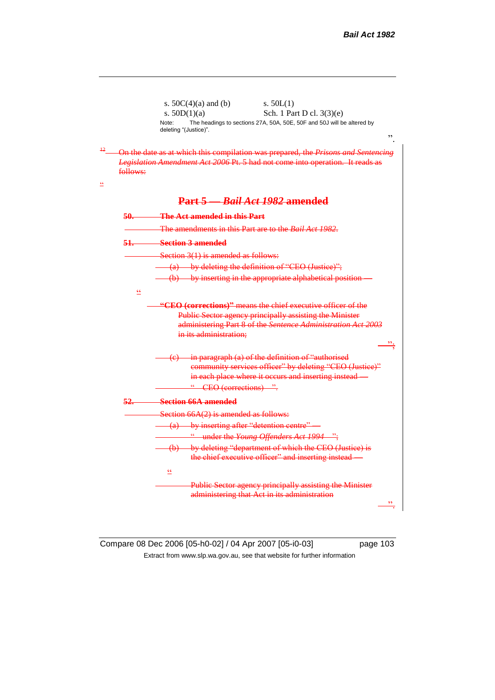|                  | s. $50C(4)(a)$ and (b)<br>s. $50L(1)$                                                                                                                              |
|------------------|--------------------------------------------------------------------------------------------------------------------------------------------------------------------|
|                  | s. $50D(1)(a)$<br>Sch. 1 Part D cl. 3(3)(e)                                                                                                                        |
|                  | The headings to sections 27A, 50A, 50E, 50F and 50J will be altered by<br>Note:<br>deleting "(Justice)".<br>,,                                                     |
| follows:         | On the date as at which this compilation was prepared, the Prisons and Sentencing<br>Legislation Amendment Act 2006 Pt. 5 had not come into operation. It reads as |
|                  | Part 5 Bail Act 1982 amended                                                                                                                                       |
| <del>50. -</del> | <b>The Act amended in this Part</b>                                                                                                                                |
|                  | The amendments in this Part are to the <i>Bail Act 1982</i> .                                                                                                      |
| $51-$            | Section 3 amended                                                                                                                                                  |
|                  | Section $3(1)$ is amended as follows:                                                                                                                              |
|                  | (a) by deleting the definition of "CEO (Justice)";                                                                                                                 |
|                  | (b) by inserting in the appropriate alphabetical position-                                                                                                         |
| $rac{c}{c}$      |                                                                                                                                                                    |
|                  | Public Sector agency principally assisting the Minister                                                                                                            |
|                  | administering Part 8 of the Sentence Administration Act 2003<br>in its administration:                                                                             |
|                  | in paragraph (a) of the definition of "authorised<br><del>(e)</del>                                                                                                |
|                  | community services officer" by deleting "CEO (Justice)"                                                                                                            |
|                  | in each place where it occurs and inserting instead                                                                                                                |
|                  | " CEO (corrections) ".                                                                                                                                             |
| <u>52. </u>      | <b>Section 66A amended</b>                                                                                                                                         |
|                  | Section $66A(2)$ is amended as follows:                                                                                                                            |
|                  | (a) by inserting after "detention centre"                                                                                                                          |
|                  | " under the Young Offenders Act 1994 ";                                                                                                                            |
|                  | (b) by deleting "department of which the CEO (Justice) is                                                                                                          |
|                  | the chief executive officer" and inserting instead                                                                                                                 |
|                  | $\leq$                                                                                                                                                             |
|                  | <b>Public Sector agency principally assisting the Minister</b><br>administering that Act in its administration                                                     |

 $\underline{\underline{\epsilon}\underline{\epsilon}}$ 

Compare 08 Dec 2006 [05-h0-02] / 04 Apr 2007 [05-i0-03] page 103 Extract from www.slp.wa.gov.au, see that website for further information